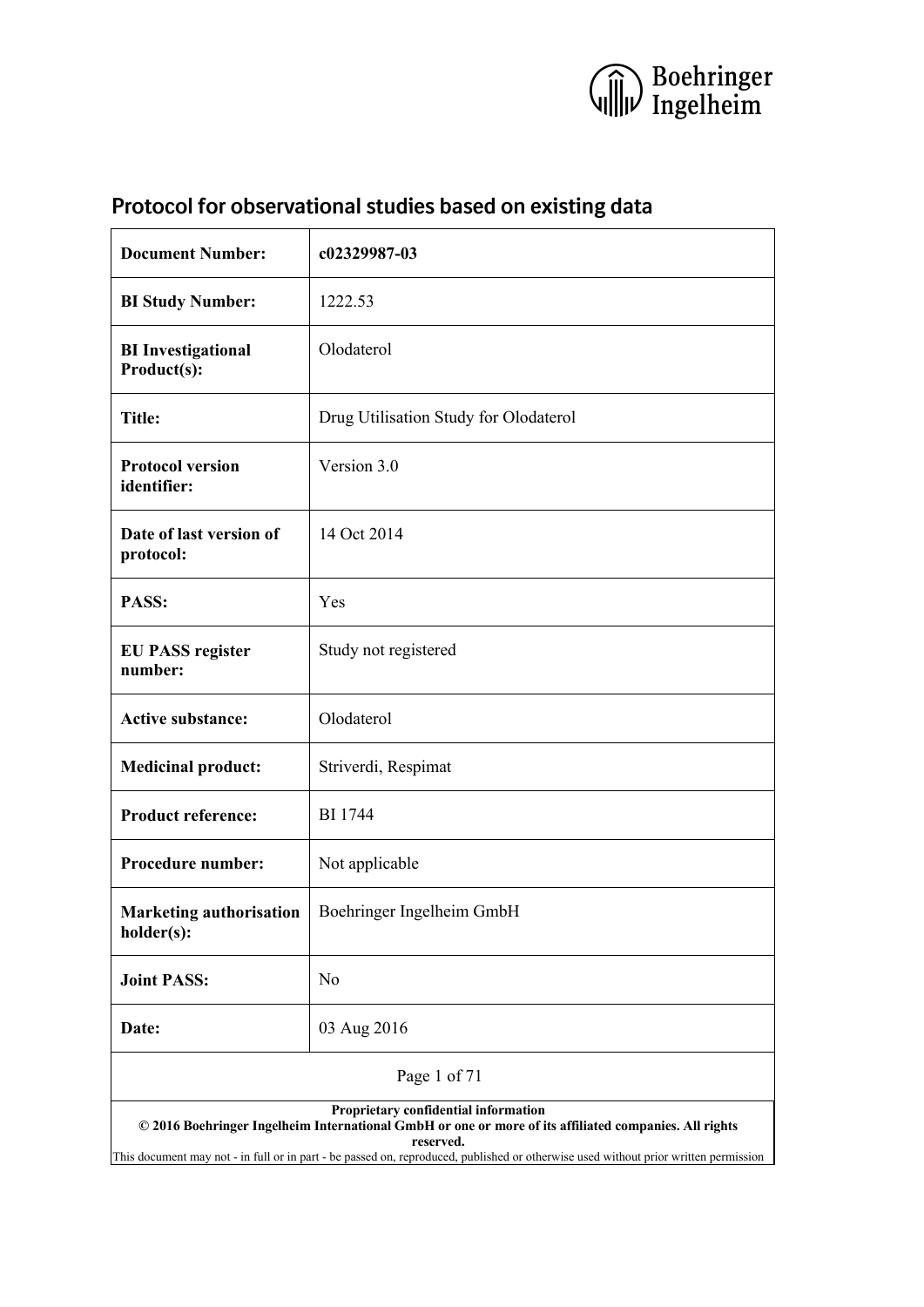

| <b>Document Number:</b>                                                                                                                                                                                                                                                                           | c02329987-03                          |  |  |  |
|---------------------------------------------------------------------------------------------------------------------------------------------------------------------------------------------------------------------------------------------------------------------------------------------------|---------------------------------------|--|--|--|
| <b>BI Study Number:</b>                                                                                                                                                                                                                                                                           | 1222.53                               |  |  |  |
| <b>BI</b> Investigational<br>Product(s):                                                                                                                                                                                                                                                          | Olodaterol                            |  |  |  |
| <b>Title:</b>                                                                                                                                                                                                                                                                                     | Drug Utilisation Study for Olodaterol |  |  |  |
| <b>Protocol version</b><br>identifier:                                                                                                                                                                                                                                                            | Version 3.0                           |  |  |  |
| Date of last version of<br>protocol:                                                                                                                                                                                                                                                              | 14 Oct 2014                           |  |  |  |
| PASS:                                                                                                                                                                                                                                                                                             | Yes                                   |  |  |  |
| <b>EU PASS register</b><br>number:                                                                                                                                                                                                                                                                | Study not registered                  |  |  |  |
| <b>Active substance:</b>                                                                                                                                                                                                                                                                          | Olodaterol                            |  |  |  |
| Striverdi, Respimat<br><b>Medicinal product:</b>                                                                                                                                                                                                                                                  |                                       |  |  |  |
| <b>Product reference:</b>                                                                                                                                                                                                                                                                         | <b>BI</b> 1744                        |  |  |  |
| <b>Procedure number:</b>                                                                                                                                                                                                                                                                          | Not applicable                        |  |  |  |
| <b>Marketing authorisation</b><br>holder(s):                                                                                                                                                                                                                                                      | Boehringer Ingelheim GmbH             |  |  |  |
| <b>Joint PASS:</b>                                                                                                                                                                                                                                                                                | N <sub>0</sub>                        |  |  |  |
| Date:                                                                                                                                                                                                                                                                                             | 03 Aug 2016                           |  |  |  |
| Page 1 of 71                                                                                                                                                                                                                                                                                      |                                       |  |  |  |
| Proprietary confidential information<br>© 2016 Boehringer Ingelheim International GmbH or one or more of its affiliated companies. All rights<br>reserved.<br>This document may not - in full or in part - be passed on, reproduced, published or otherwise used without prior written permission |                                       |  |  |  |

# <span id="page-0-0"></span>**Protocol for observational studies based on existing data**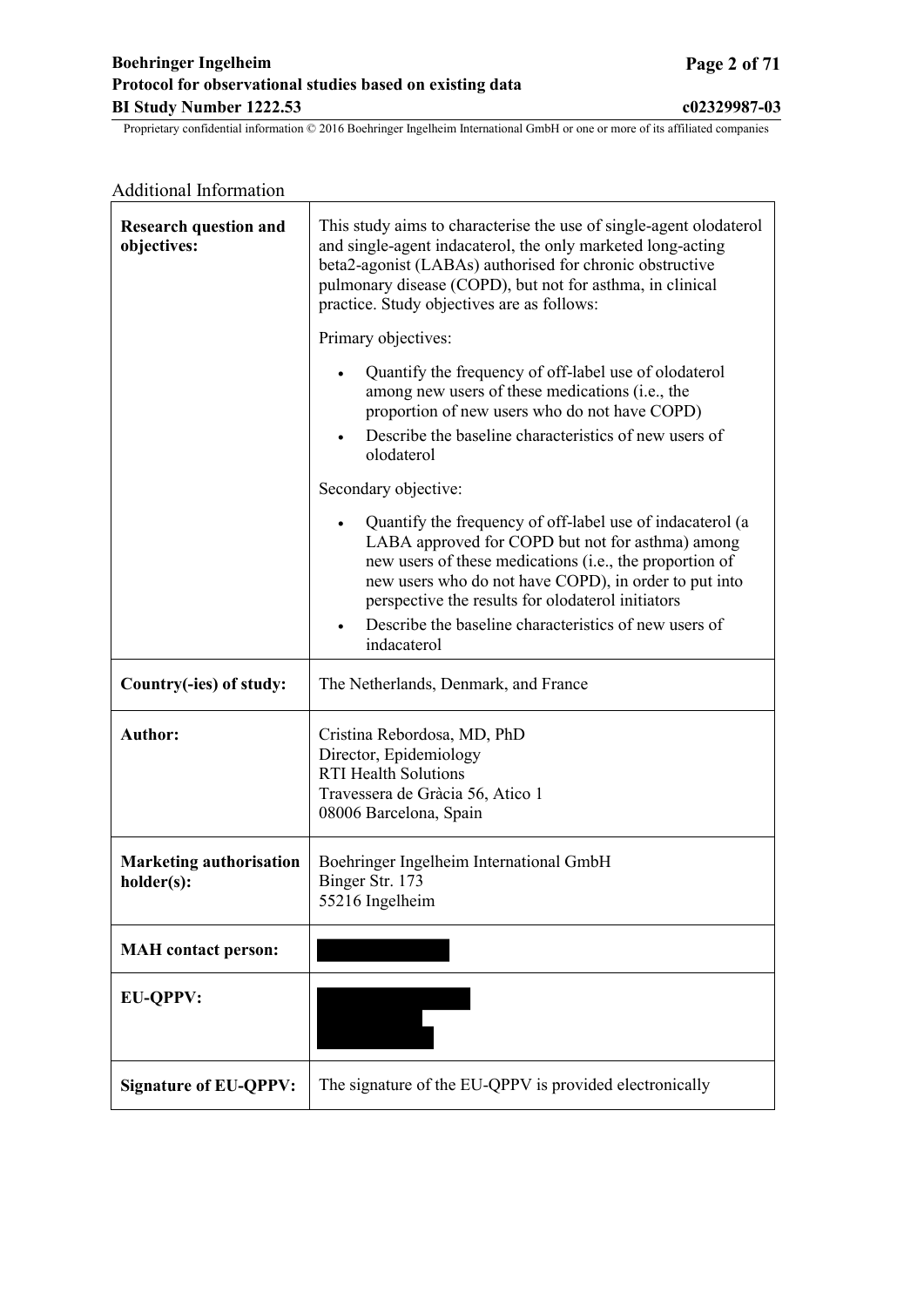## **Boehringer Ingelheim Page 2 of 71 Protocol for observational studies based on existing data BI Study Number 1222.53 c02329987-03**

| <b>Additional Information</b>                |                                                                                                                                                                                                                                                                                                                                                                             |  |  |  |  |
|----------------------------------------------|-----------------------------------------------------------------------------------------------------------------------------------------------------------------------------------------------------------------------------------------------------------------------------------------------------------------------------------------------------------------------------|--|--|--|--|
| <b>Research question and</b><br>objectives:  | This study aims to characterise the use of single-agent olodaterol<br>and single-agent indacaterol, the only marketed long-acting<br>beta2-agonist (LABAs) authorised for chronic obstructive<br>pulmonary disease (COPD), but not for asthma, in clinical<br>practice. Study objectives are as follows:                                                                    |  |  |  |  |
|                                              | Primary objectives:                                                                                                                                                                                                                                                                                                                                                         |  |  |  |  |
|                                              | Quantify the frequency of off-label use of olodaterol<br>among new users of these medications (i.e., the<br>proportion of new users who do not have COPD)<br>Describe the baseline characteristics of new users of                                                                                                                                                          |  |  |  |  |
|                                              | olodaterol                                                                                                                                                                                                                                                                                                                                                                  |  |  |  |  |
|                                              | Secondary objective:                                                                                                                                                                                                                                                                                                                                                        |  |  |  |  |
|                                              | Quantify the frequency of off-label use of indacaterol (a<br>$\bullet$<br>LABA approved for COPD but not for asthma) among<br>new users of these medications (i.e., the proportion of<br>new users who do not have COPD), in order to put into<br>perspective the results for olodaterol initiators<br>Describe the baseline characteristics of new users of<br>indacaterol |  |  |  |  |
|                                              |                                                                                                                                                                                                                                                                                                                                                                             |  |  |  |  |
| Country(-ies) of study:                      | The Netherlands, Denmark, and France                                                                                                                                                                                                                                                                                                                                        |  |  |  |  |
| <b>Author:</b>                               | Cristina Rebordosa, MD, PhD<br>Director, Epidemiology<br><b>RTI Health Solutions</b><br>Travessera de Gràcia 56, Atico 1<br>08006 Barcelona, Spain                                                                                                                                                                                                                          |  |  |  |  |
| <b>Marketing authorisation</b><br>holder(s): | Boehringer Ingelheim International GmbH<br>Binger Str. 173<br>55216 Ingelheim                                                                                                                                                                                                                                                                                               |  |  |  |  |
| <b>MAH</b> contact person:                   |                                                                                                                                                                                                                                                                                                                                                                             |  |  |  |  |
| <b>EU-QPPV:</b>                              |                                                                                                                                                                                                                                                                                                                                                                             |  |  |  |  |
| <b>Signature of EU-QPPV:</b>                 | The signature of the EU-QPPV is provided electronically                                                                                                                                                                                                                                                                                                                     |  |  |  |  |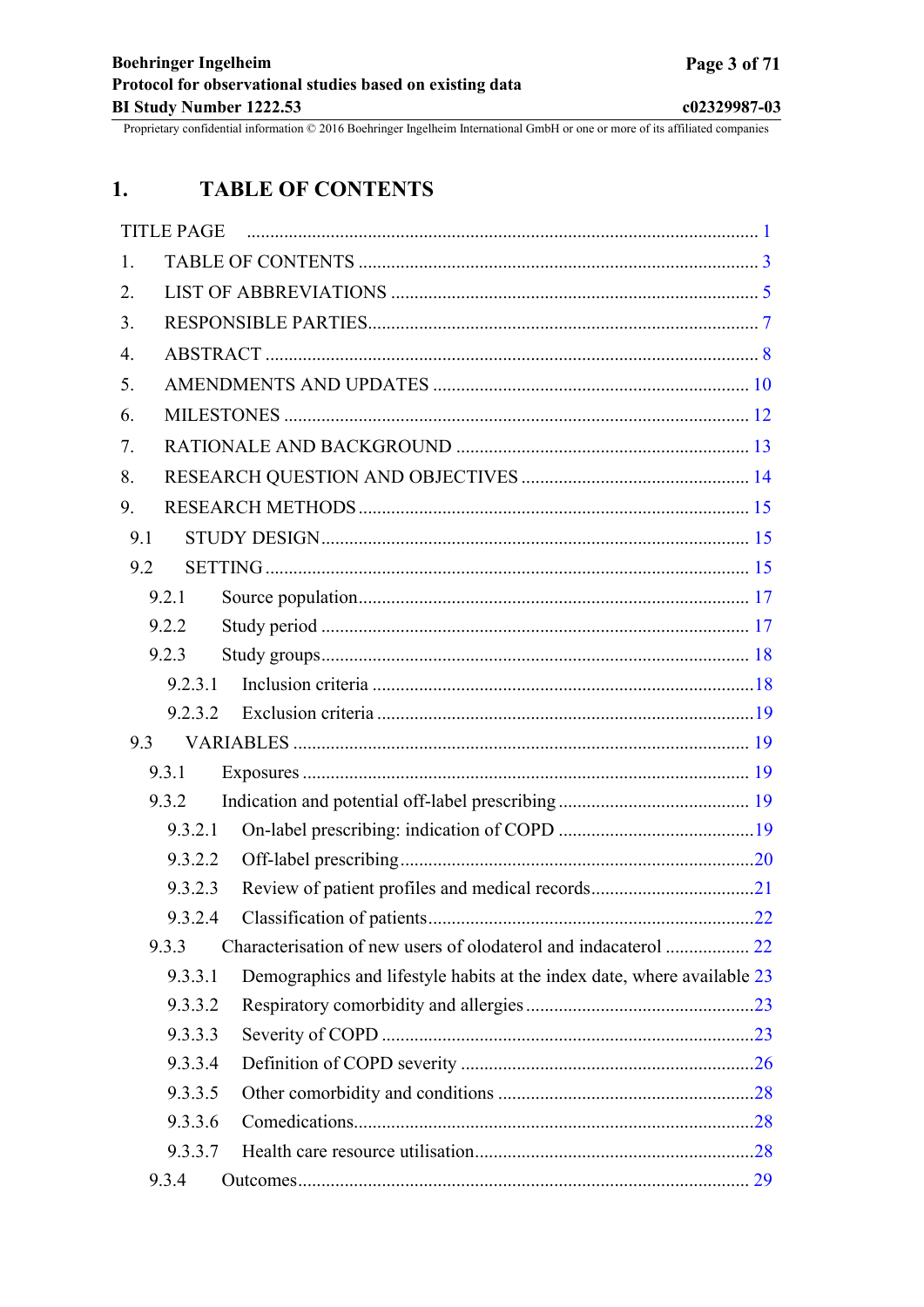# <span id="page-2-0"></span>**1. TABLE OF CONTENTS**

|     | <b>TITLE PAGE</b> |                                                                         |  |
|-----|-------------------|-------------------------------------------------------------------------|--|
| 1.  |                   |                                                                         |  |
| 2.  |                   |                                                                         |  |
| 3.  |                   |                                                                         |  |
| 4.  |                   |                                                                         |  |
| 5.  |                   |                                                                         |  |
| 6.  |                   |                                                                         |  |
| 7.  |                   |                                                                         |  |
| 8.  |                   |                                                                         |  |
| 9.  |                   |                                                                         |  |
| 9.1 |                   |                                                                         |  |
| 9.2 |                   |                                                                         |  |
|     | 9.2.1             |                                                                         |  |
|     | 9.2.2             |                                                                         |  |
|     | 9.2.3             |                                                                         |  |
|     | 9.2.3.1           |                                                                         |  |
|     | 9.2.3.2           |                                                                         |  |
| 9.3 |                   |                                                                         |  |
|     | 9.3.1             |                                                                         |  |
|     | 9.3.2             |                                                                         |  |
|     | 9.3.2.1           |                                                                         |  |
|     | 9.3.2.2           |                                                                         |  |
|     | 9.3.2.3           |                                                                         |  |
|     | 9.3.2.4           |                                                                         |  |
|     | 9.3.3             |                                                                         |  |
|     | 9.3.3.1           | Demographics and lifestyle habits at the index date, where available 23 |  |
|     | 9.3.3.2           |                                                                         |  |
|     | 9.3.3.3           |                                                                         |  |
|     | 9.3.3.4           |                                                                         |  |
|     | 9.3.3.5           |                                                                         |  |
|     | 9.3.3.6           |                                                                         |  |
|     | 9.3.3.7           |                                                                         |  |
|     | 9.3.4             |                                                                         |  |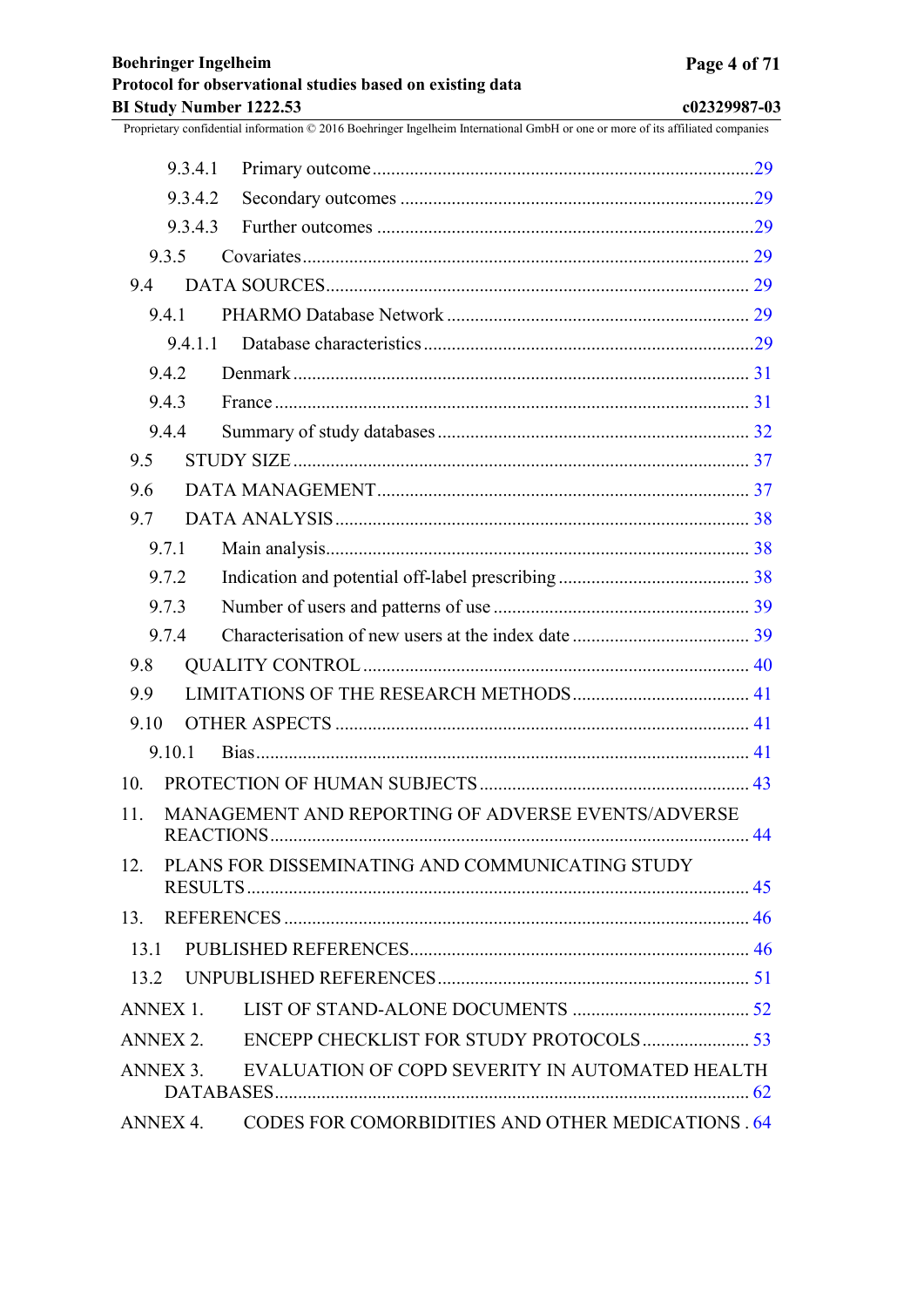| 9.3.4.1  |                                                            |  |
|----------|------------------------------------------------------------|--|
| 9.3.4.2  |                                                            |  |
| 9.3.4.3  |                                                            |  |
| 9.3.5    |                                                            |  |
| 9.4      |                                                            |  |
| 9.4.1    |                                                            |  |
| 9.4.1.1  |                                                            |  |
| 9.4.2    |                                                            |  |
| 9.4.3    |                                                            |  |
| 9.4.4    |                                                            |  |
| 9.5      |                                                            |  |
| 9.6      |                                                            |  |
| 9.7      |                                                            |  |
| 9.7.1    |                                                            |  |
| 9.7.2    |                                                            |  |
| 9.7.3    |                                                            |  |
| 9.7.4    |                                                            |  |
| 9.8      |                                                            |  |
| 9.9      |                                                            |  |
| 9.10     |                                                            |  |
| 9.10.1   |                                                            |  |
| 10.      |                                                            |  |
| 11.      | MANAGEMENT AND REPORTING OF ADVERSE EVENTS/ADVERSE         |  |
| 12.      | PLANS FOR DISSEMINATING AND COMMUNICATING STUDY            |  |
|          |                                                            |  |
| 13.1     |                                                            |  |
| 13.2     |                                                            |  |
| ANNEX 1. |                                                            |  |
| ANNEX 2. |                                                            |  |
| ANNEX 3. | EVALUATION OF COPD SEVERITY IN AUTOMATED HEALTH            |  |
|          | ANNEX 4. CODES FOR COMORBIDITIES AND OTHER MEDICATIONS .64 |  |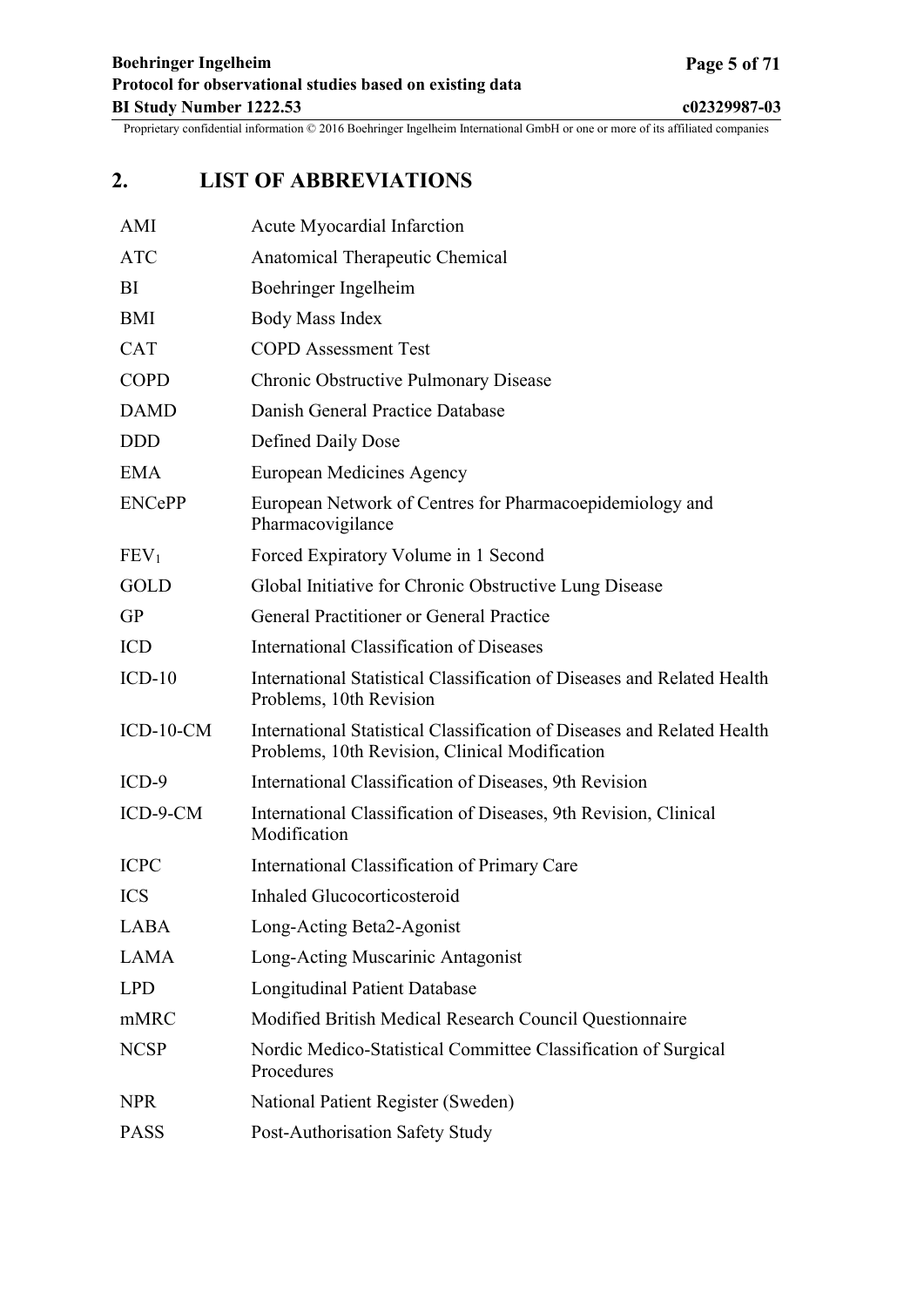# <span id="page-4-0"></span>**2. LIST OF ABBREVIATIONS**

| AMI              | Acute Myocardial Infarction                                                                                               |
|------------------|---------------------------------------------------------------------------------------------------------------------------|
| <b>ATC</b>       | Anatomical Therapeutic Chemical                                                                                           |
| BI               | Boehringer Ingelheim                                                                                                      |
| BMI              | Body Mass Index                                                                                                           |
| <b>CAT</b>       | <b>COPD</b> Assessment Test                                                                                               |
| <b>COPD</b>      | Chronic Obstructive Pulmonary Disease                                                                                     |
| <b>DAMD</b>      | Danish General Practice Database                                                                                          |
| <b>DDD</b>       | Defined Daily Dose                                                                                                        |
| <b>EMA</b>       | European Medicines Agency                                                                                                 |
| <b>ENCePP</b>    | European Network of Centres for Pharmacoepidemiology and<br>Pharmacovigilance                                             |
| FEV <sub>1</sub> | Forced Expiratory Volume in 1 Second                                                                                      |
| <b>GOLD</b>      | Global Initiative for Chronic Obstructive Lung Disease                                                                    |
| <b>GP</b>        | General Practitioner or General Practice                                                                                  |
| <b>ICD</b>       | <b>International Classification of Diseases</b>                                                                           |
| $ICD-10$         | International Statistical Classification of Diseases and Related Health<br>Problems, 10th Revision                        |
| $ICD-10-CM$      | International Statistical Classification of Diseases and Related Health<br>Problems, 10th Revision, Clinical Modification |
| $ICD-9$          | International Classification of Diseases, 9th Revision                                                                    |
| ICD-9-CM         | International Classification of Diseases, 9th Revision, Clinical<br>Modification                                          |
| <b>ICPC</b>      | International Classification of Primary Care                                                                              |
| <b>ICS</b>       | Inhaled Glucocorticosteroid                                                                                               |
| LABA             | Long-Acting Beta2-Agonist                                                                                                 |
| <b>LAMA</b>      | Long-Acting Muscarinic Antagonist                                                                                         |
| <b>LPD</b>       | <b>Longitudinal Patient Database</b>                                                                                      |
| mMRC             | Modified British Medical Research Council Questionnaire                                                                   |
| <b>NCSP</b>      | Nordic Medico-Statistical Committee Classification of Surgical<br>Procedures                                              |
| <b>NPR</b>       | National Patient Register (Sweden)                                                                                        |
| <b>PASS</b>      | Post-Authorisation Safety Study                                                                                           |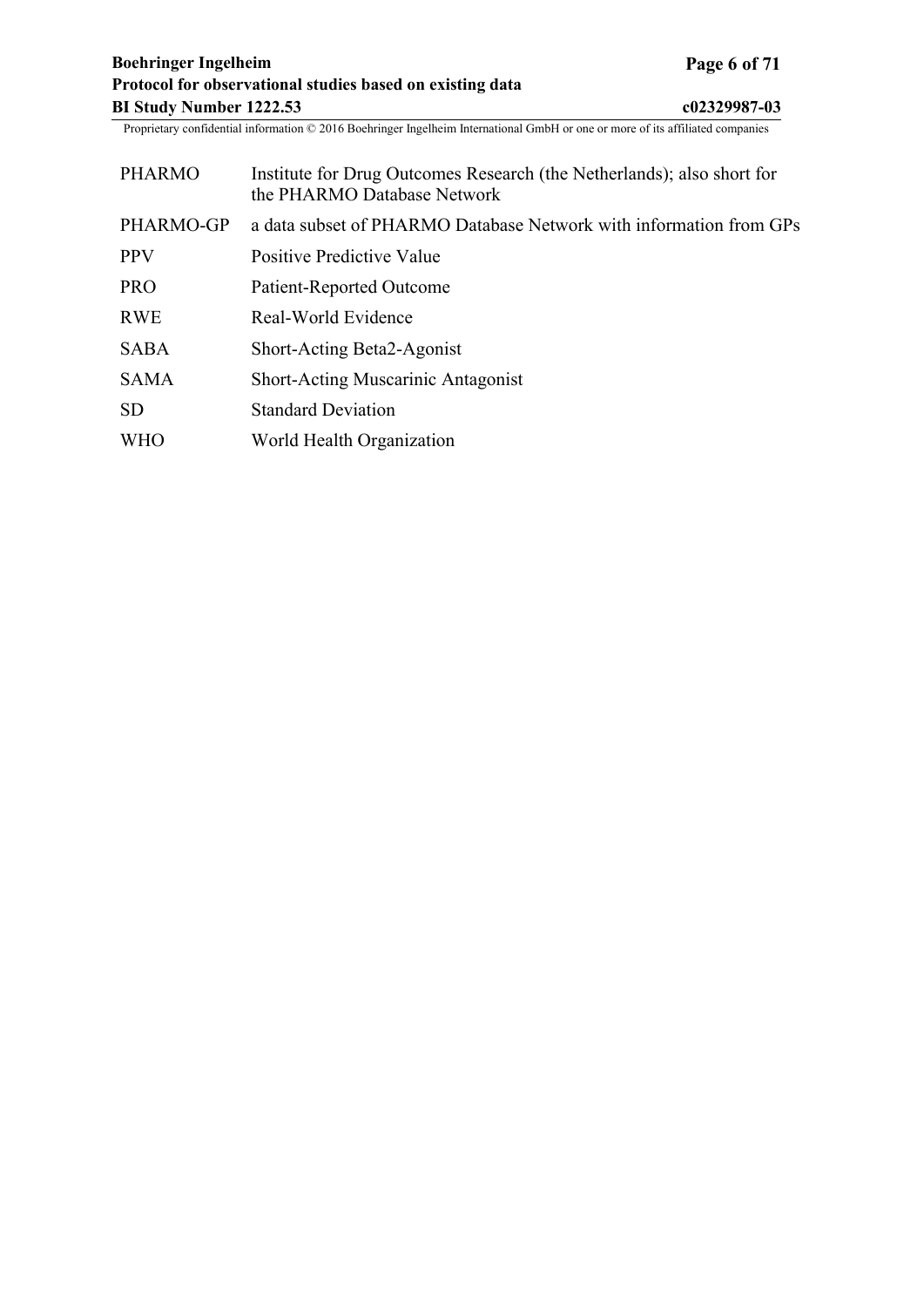| <b>PHARMO</b> | Institute for Drug Outcomes Research (the Netherlands); also short for<br>the PHARMO Database Network |
|---------------|-------------------------------------------------------------------------------------------------------|
| PHARMO-GP     | a data subset of PHARMO Database Network with information from GPs                                    |
| <b>PPV</b>    | Positive Predictive Value                                                                             |
| <b>PRO</b>    | Patient-Reported Outcome                                                                              |
| <b>RWE</b>    | Real-World Evidence                                                                                   |
| <b>SABA</b>   | Short-Acting Beta2-Agonist                                                                            |
| <b>SAMA</b>   | <b>Short-Acting Muscarinic Antagonist</b>                                                             |
| <b>SD</b>     | <b>Standard Deviation</b>                                                                             |
| <b>WHO</b>    | World Health Organization                                                                             |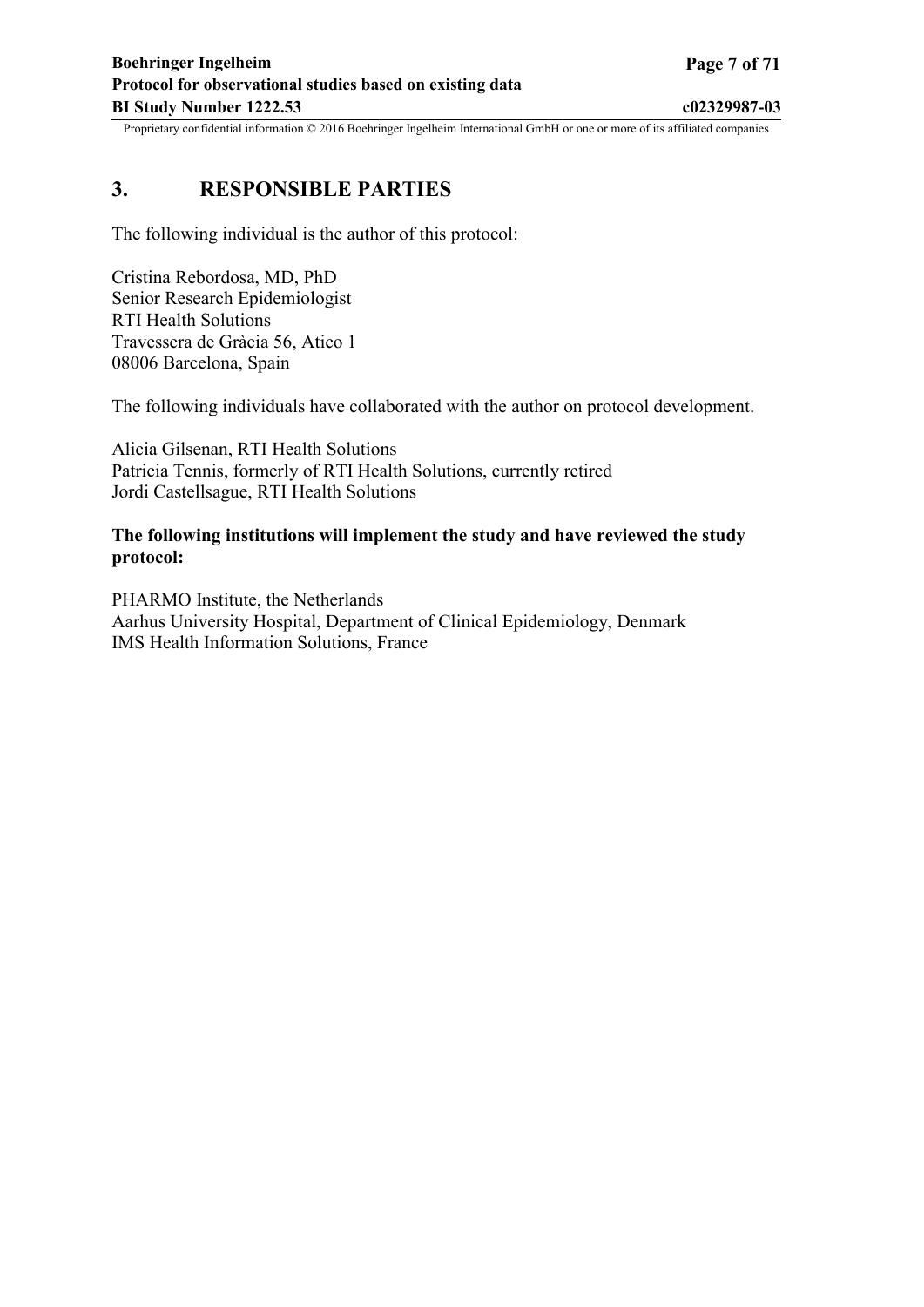## <span id="page-6-0"></span>**3. RESPONSIBLE PARTIES**

The following individual is the author of this protocol:

Cristina Rebordosa, MD, PhD Senior Research Epidemiologist RTI Health Solutions Travessera de Gràcia 56, Atico 1 08006 Barcelona, Spain

The following individuals have collaborated with the author on protocol development.

Alicia Gilsenan, RTI Health Solutions Patricia Tennis, formerly of RTI Health Solutions, currently retired Jordi Castellsague, RTI Health Solutions

## **The following institutions will implement the study and have reviewed the study protocol:**

PHARMO Institute, the Netherlands Aarhus University Hospital, Department of Clinical Epidemiology, Denmark IMS Health Information Solutions, France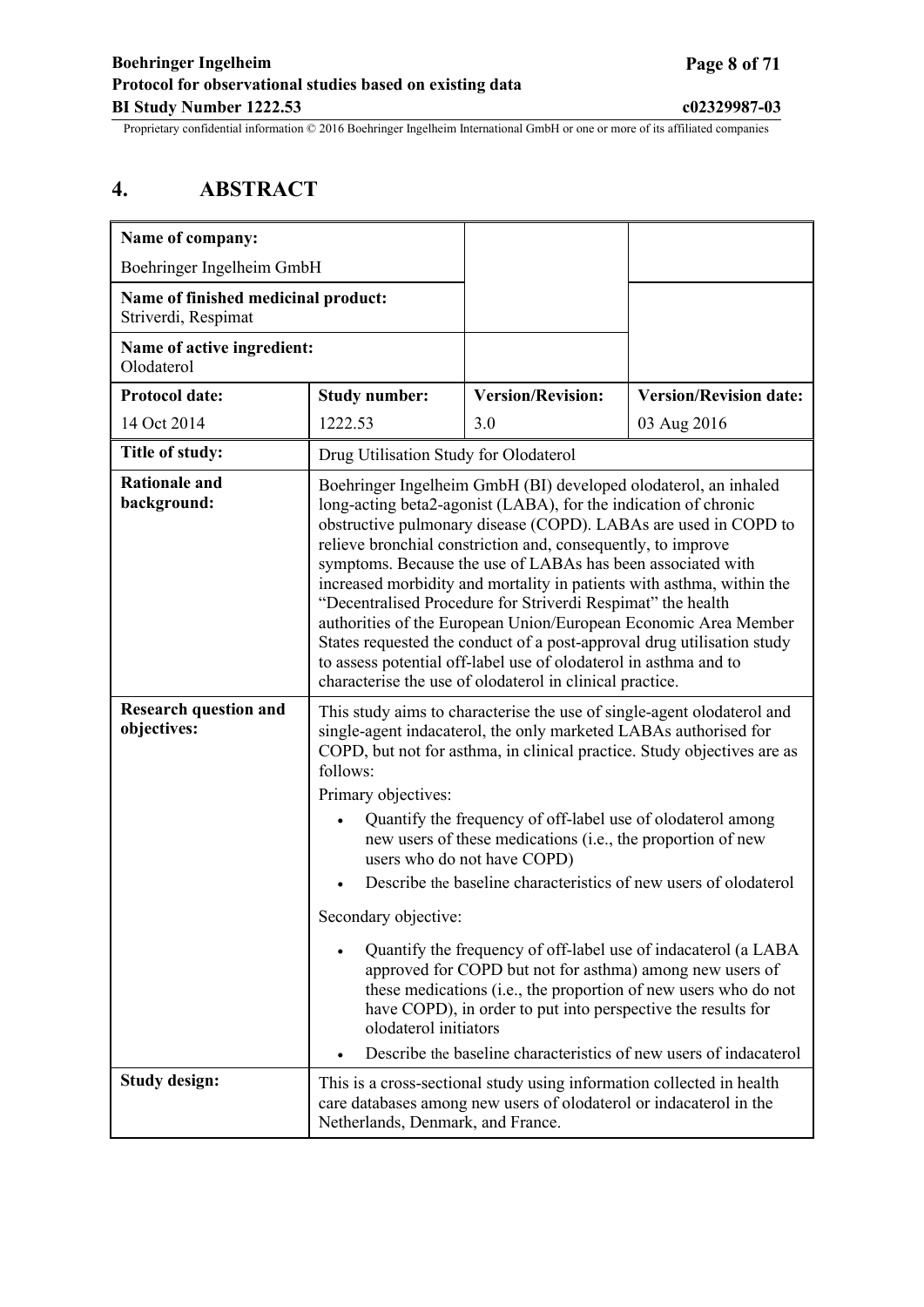# <span id="page-7-0"></span>**4. ABSTRACT**

| Name of company:                                           |                                                                                                                                                                                                                                                                                                                                                                                                                                                                                                                                                                                                                                                                                                                                                                                                                          |                          |                               |  |
|------------------------------------------------------------|--------------------------------------------------------------------------------------------------------------------------------------------------------------------------------------------------------------------------------------------------------------------------------------------------------------------------------------------------------------------------------------------------------------------------------------------------------------------------------------------------------------------------------------------------------------------------------------------------------------------------------------------------------------------------------------------------------------------------------------------------------------------------------------------------------------------------|--------------------------|-------------------------------|--|
| Boehringer Ingelheim GmbH                                  |                                                                                                                                                                                                                                                                                                                                                                                                                                                                                                                                                                                                                                                                                                                                                                                                                          |                          |                               |  |
| Name of finished medicinal product:<br>Striverdi, Respimat |                                                                                                                                                                                                                                                                                                                                                                                                                                                                                                                                                                                                                                                                                                                                                                                                                          |                          |                               |  |
| Name of active ingredient:<br>Olodaterol                   |                                                                                                                                                                                                                                                                                                                                                                                                                                                                                                                                                                                                                                                                                                                                                                                                                          |                          |                               |  |
| <b>Protocol date:</b>                                      | <b>Study number:</b>                                                                                                                                                                                                                                                                                                                                                                                                                                                                                                                                                                                                                                                                                                                                                                                                     | <b>Version/Revision:</b> | <b>Version/Revision date:</b> |  |
| 14 Oct 2014                                                | 1222.53                                                                                                                                                                                                                                                                                                                                                                                                                                                                                                                                                                                                                                                                                                                                                                                                                  | 3.0                      | 03 Aug 2016                   |  |
| Title of study:                                            | Drug Utilisation Study for Olodaterol                                                                                                                                                                                                                                                                                                                                                                                                                                                                                                                                                                                                                                                                                                                                                                                    |                          |                               |  |
| <b>Rationale and</b><br>background:                        | Boehringer Ingelheim GmbH (BI) developed olodaterol, an inhaled<br>long-acting beta2-agonist (LABA), for the indication of chronic<br>obstructive pulmonary disease (COPD). LABAs are used in COPD to<br>relieve bronchial constriction and, consequently, to improve<br>symptoms. Because the use of LABAs has been associated with<br>increased morbidity and mortality in patients with asthma, within the<br>"Decentralised Procedure for Striverdi Respimat" the health<br>authorities of the European Union/European Economic Area Member<br>States requested the conduct of a post-approval drug utilisation study<br>to assess potential off-label use of olodaterol in asthma and to<br>characterise the use of olodaterol in clinical practice.                                                                |                          |                               |  |
| <b>Research question and</b><br>objectives:                | This study aims to characterise the use of single-agent olodaterol and<br>single-agent indacaterol, the only marketed LABAs authorised for<br>COPD, but not for asthma, in clinical practice. Study objectives are as<br>follows:<br>Primary objectives:<br>Quantify the frequency of off-label use of olodaterol among<br>$\bullet$<br>new users of these medications (i.e., the proportion of new<br>users who do not have COPD)<br>Describe the baseline characteristics of new users of olodaterol<br>Secondary objective:<br>Quantify the frequency of off-label use of indacaterol (a LABA<br>approved for COPD but not for asthma) among new users of<br>these medications (i.e., the proportion of new users who do not<br>have COPD), in order to put into perspective the results for<br>olodaterol initiators |                          |                               |  |
| <b>Study design:</b>                                       | Describe the baseline characteristics of new users of indacaterol<br>$\bullet$<br>This is a cross-sectional study using information collected in health<br>care databases among new users of olodaterol or indacaterol in the<br>Netherlands, Denmark, and France.                                                                                                                                                                                                                                                                                                                                                                                                                                                                                                                                                       |                          |                               |  |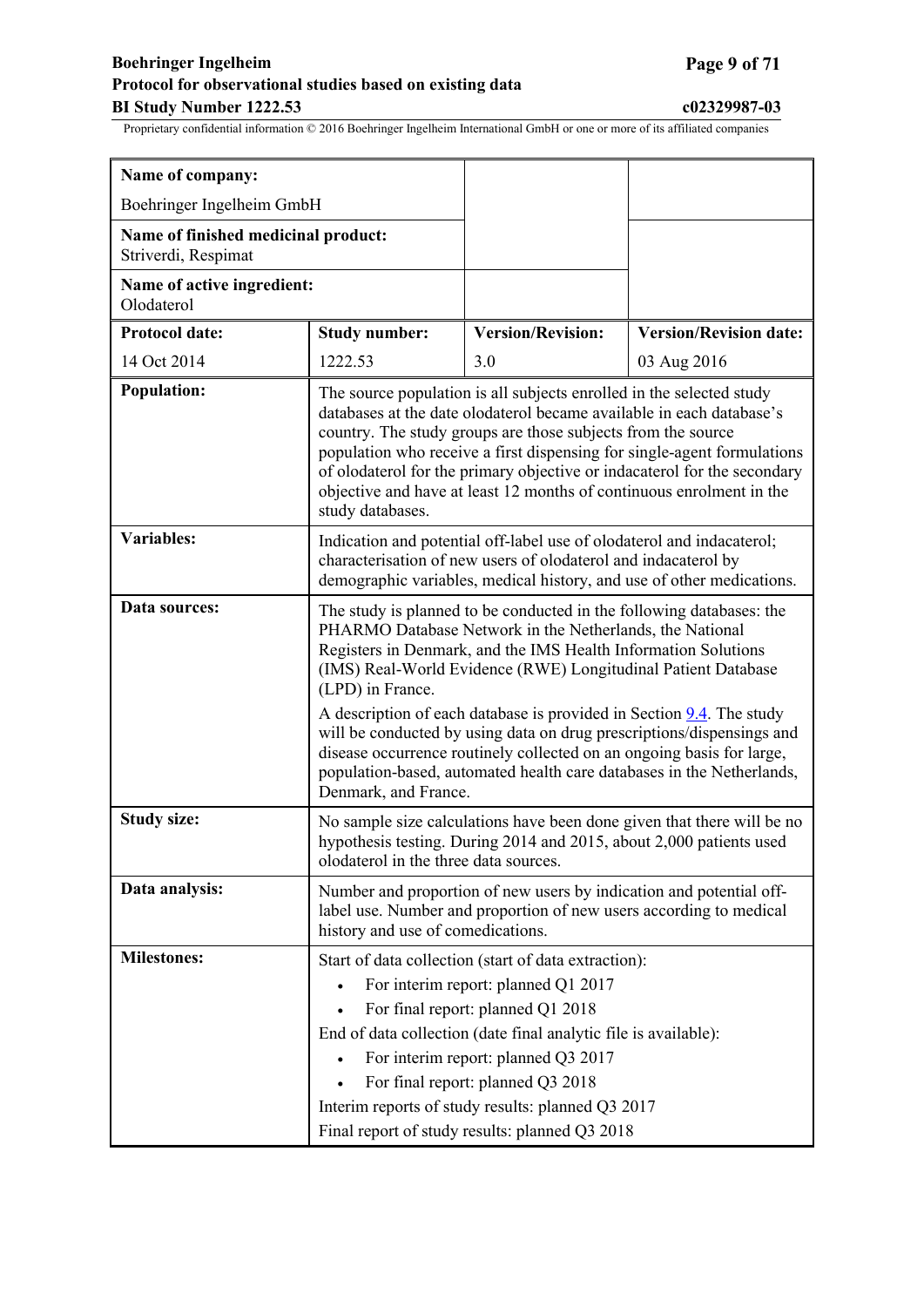## **Boehringer Ingelheim Page 9 of 71 Protocol for observational studies based on existing data BI Study Number 1222.53 c02329987-03**

| Name of company:                                           |                                                                                                                                                                                                                                                                                                                                                                                                                                                                 |                                                                                                                                                                                                                                                                                                    |                               |  |  |
|------------------------------------------------------------|-----------------------------------------------------------------------------------------------------------------------------------------------------------------------------------------------------------------------------------------------------------------------------------------------------------------------------------------------------------------------------------------------------------------------------------------------------------------|----------------------------------------------------------------------------------------------------------------------------------------------------------------------------------------------------------------------------------------------------------------------------------------------------|-------------------------------|--|--|
| Boehringer Ingelheim GmbH                                  |                                                                                                                                                                                                                                                                                                                                                                                                                                                                 |                                                                                                                                                                                                                                                                                                    |                               |  |  |
| Name of finished medicinal product:<br>Striverdi, Respimat |                                                                                                                                                                                                                                                                                                                                                                                                                                                                 |                                                                                                                                                                                                                                                                                                    |                               |  |  |
| Name of active ingredient:<br>Olodaterol                   |                                                                                                                                                                                                                                                                                                                                                                                                                                                                 |                                                                                                                                                                                                                                                                                                    |                               |  |  |
| <b>Protocol date:</b>                                      | <b>Study number:</b>                                                                                                                                                                                                                                                                                                                                                                                                                                            | <b>Version/Revision:</b>                                                                                                                                                                                                                                                                           | <b>Version/Revision date:</b> |  |  |
| 14 Oct 2014                                                | 1222.53                                                                                                                                                                                                                                                                                                                                                                                                                                                         | 3.0                                                                                                                                                                                                                                                                                                | 03 Aug 2016                   |  |  |
| <b>Population:</b>                                         | The source population is all subjects enrolled in the selected study<br>databases at the date olodaterol became available in each database's<br>country. The study groups are those subjects from the source<br>population who receive a first dispensing for single-agent formulations<br>of olodaterol for the primary objective or indacaterol for the secondary<br>objective and have at least 12 months of continuous enrolment in the<br>study databases. |                                                                                                                                                                                                                                                                                                    |                               |  |  |
| <b>Variables:</b>                                          | Indication and potential off-label use of olodaterol and indacaterol;<br>characterisation of new users of olodaterol and indacaterol by<br>demographic variables, medical history, and use of other medications.                                                                                                                                                                                                                                                |                                                                                                                                                                                                                                                                                                    |                               |  |  |
| Data sources:                                              | The study is planned to be conducted in the following databases: the<br>PHARMO Database Network in the Netherlands, the National<br>Registers in Denmark, and the IMS Health Information Solutions<br>(IMS) Real-World Evidence (RWE) Longitudinal Patient Database<br>(LPD) in France.                                                                                                                                                                         |                                                                                                                                                                                                                                                                                                    |                               |  |  |
|                                                            | Denmark, and France.                                                                                                                                                                                                                                                                                                                                                                                                                                            | A description of each database is provided in Section $9.4$ . The study<br>will be conducted by using data on drug prescriptions/dispensings and<br>disease occurrence routinely collected on an ongoing basis for large,<br>population-based, automated health care databases in the Netherlands, |                               |  |  |
| <b>Study size:</b>                                         | No sample size calculations have been done given that there will be no<br>hypothesis testing. During 2014 and 2015, about 2,000 patients used<br>olodaterol in the three data sources.                                                                                                                                                                                                                                                                          |                                                                                                                                                                                                                                                                                                    |                               |  |  |
| Data analysis:                                             | Number and proportion of new users by indication and potential off-<br>label use. Number and proportion of new users according to medical<br>history and use of comedications.                                                                                                                                                                                                                                                                                  |                                                                                                                                                                                                                                                                                                    |                               |  |  |
| <b>Milestones:</b>                                         | Start of data collection (start of data extraction):<br>For interim report: planned Q1 2017<br>$\bullet$<br>For final report: planned Q1 2018<br>End of data collection (date final analytic file is available):<br>For interim report: planned Q3 2017<br>$\bullet$<br>For final report: planned Q3 2018<br>Interim reports of study results: planned Q3 2017<br>Final report of study results: planned Q3 2018                                                |                                                                                                                                                                                                                                                                                                    |                               |  |  |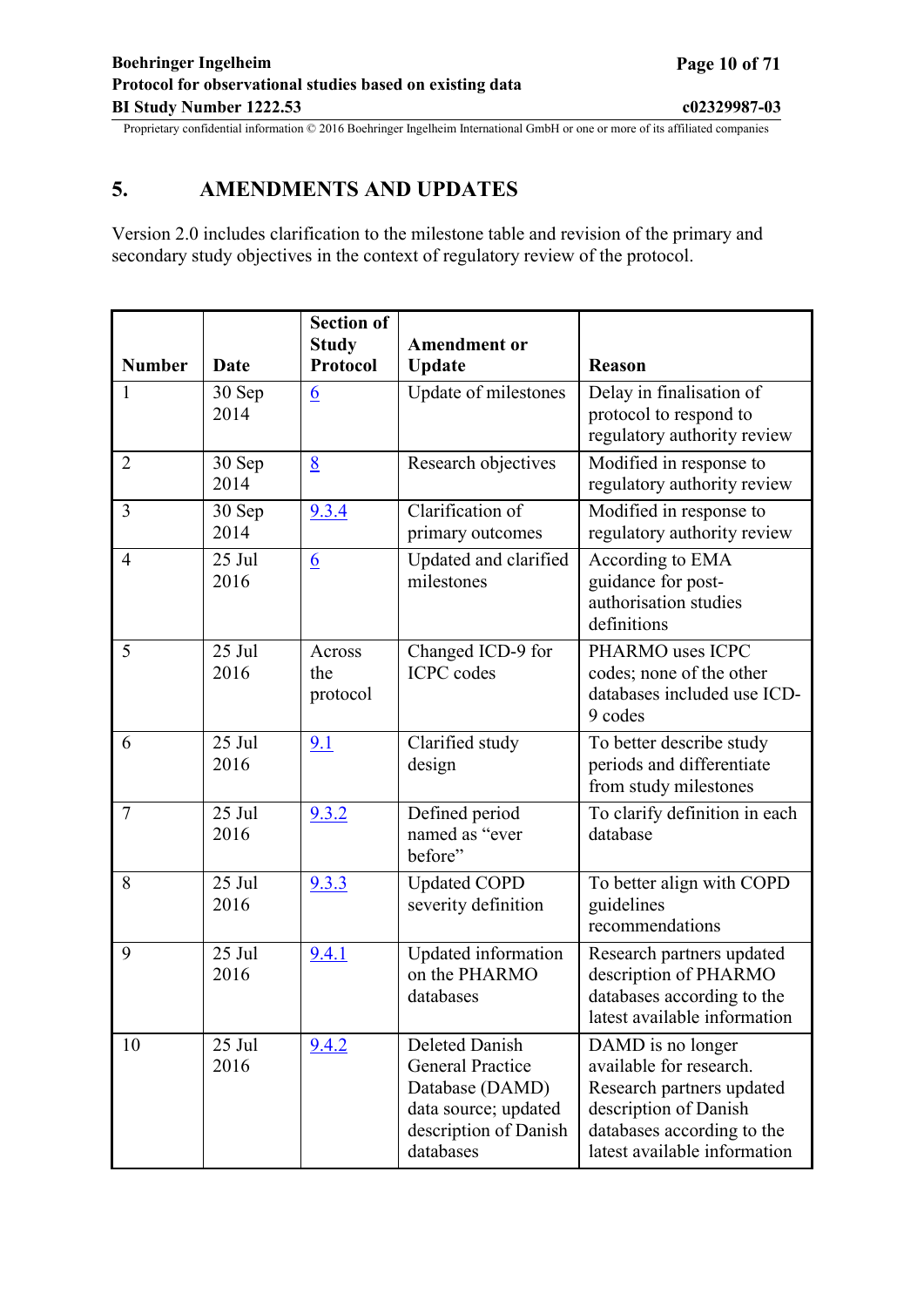# <span id="page-9-0"></span>**5. AMENDMENTS AND UPDATES**

Version 2.0 includes clarification to the milestone table and revision of the primary and secondary study objectives in the context of regulatory review of the protocol.

|                |                  | <b>Section of</b>               |                                                                                                                            |                                                                                                                                                                  |
|----------------|------------------|---------------------------------|----------------------------------------------------------------------------------------------------------------------------|------------------------------------------------------------------------------------------------------------------------------------------------------------------|
| <b>Number</b>  | Date             | <b>Study</b><br><b>Protocol</b> | <b>Amendment or</b><br><b>Update</b>                                                                                       | <b>Reason</b>                                                                                                                                                    |
| $\mathbf{1}$   | 30 Sep<br>2014   | $6\overline{6}$                 | Update of milestones                                                                                                       | Delay in finalisation of<br>protocol to respond to<br>regulatory authority review                                                                                |
| $\overline{2}$ | 30 Sep<br>2014   | 8                               | Research objectives                                                                                                        | Modified in response to<br>regulatory authority review                                                                                                           |
| $\overline{3}$ | 30 Sep<br>2014   | 9.3.4                           | Clarification of<br>primary outcomes                                                                                       | Modified in response to<br>regulatory authority review                                                                                                           |
| $\overline{4}$ | 25 Jul<br>2016   | $6\overline{6}$                 | Updated and clarified<br>milestones                                                                                        | According to EMA<br>guidance for post-<br>authorisation studies<br>definitions                                                                                   |
| 5              | 25 Jul<br>2016   | Across<br>the<br>protocol       | Changed ICD-9 for<br><b>ICPC</b> codes                                                                                     | PHARMO uses ICPC<br>codes; none of the other<br>databases included use ICD-<br>9 codes                                                                           |
| 6              | 25 Jul<br>2016   | 9.1                             | Clarified study<br>design                                                                                                  | To better describe study<br>periods and differentiate<br>from study milestones                                                                                   |
| $\overline{7}$ | 25 Jul<br>2016   | 9.3.2                           | Defined period<br>named as "ever<br>before"                                                                                | To clarify definition in each<br>database                                                                                                                        |
| 8              | $25$ Jul<br>2016 | 9.3.3                           | <b>Updated COPD</b><br>severity definition                                                                                 | To better align with COPD<br>guidelines<br>recommendations                                                                                                       |
| 9              | 25 Jul<br>2016   | 9.4.1                           | Updated information<br>on the PHARMO<br>databases                                                                          | Research partners updated<br>description of PHARMO<br>databases according to the<br>latest available information                                                 |
| 10             | 25 Jul<br>2016   | 9.4.2                           | Deleted Danish<br><b>General Practice</b><br>Database (DAMD)<br>data source; updated<br>description of Danish<br>databases | DAMD is no longer<br>available for research.<br>Research partners updated<br>description of Danish<br>databases according to the<br>latest available information |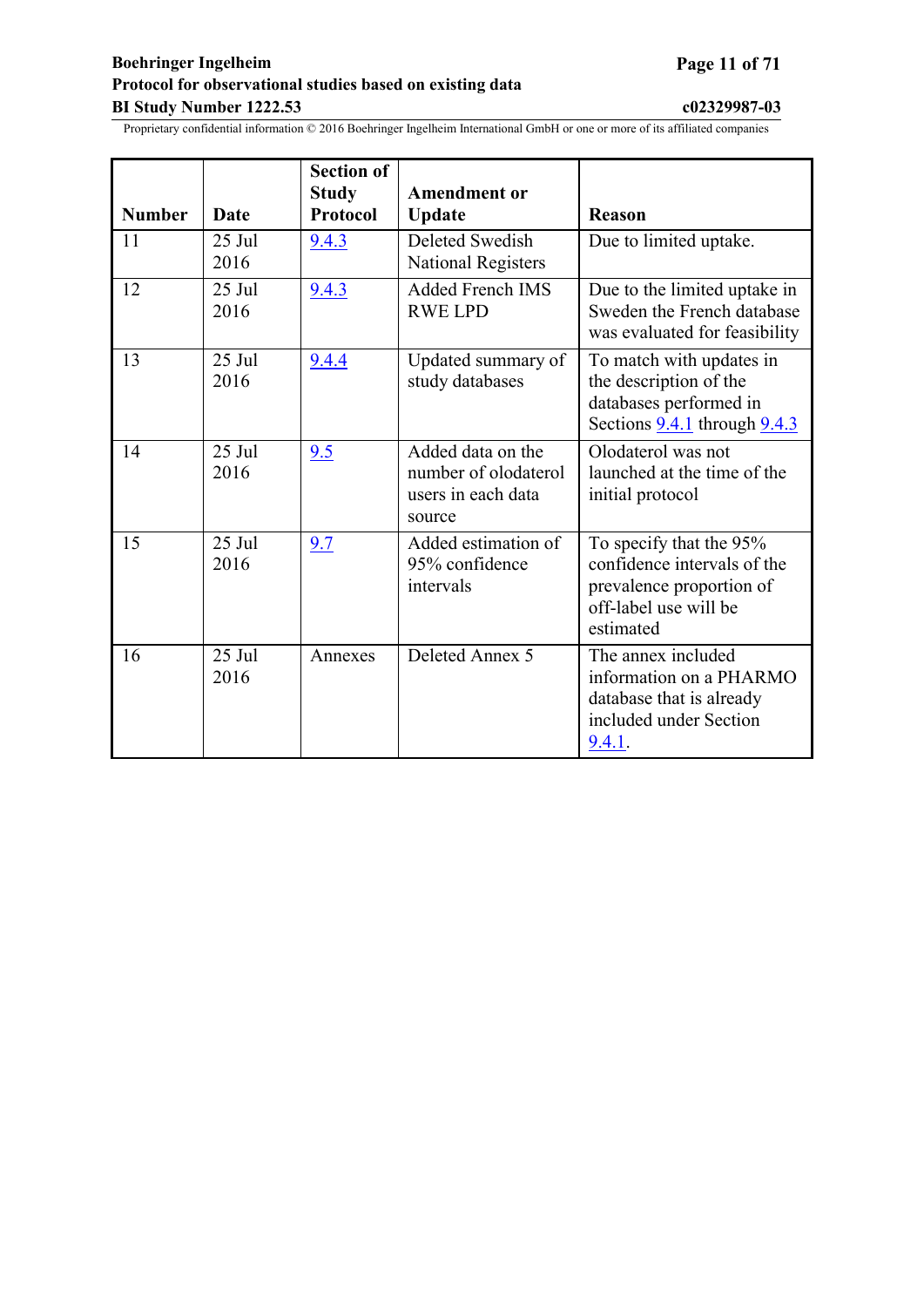## <span id="page-10-0"></span>**Boehringer Ingelheim Page 11 of 71 Protocol for observational studies based on existing data BI Study Number 1222.53 c02329987-03**

| <b>Number</b> | <b>Date</b>      | <b>Section of</b><br><b>Study</b><br><b>Protocol</b> | <b>Amendment or</b><br><b>Update</b>                                      | <b>Reason</b>                                                                                                            |
|---------------|------------------|------------------------------------------------------|---------------------------------------------------------------------------|--------------------------------------------------------------------------------------------------------------------------|
| 11            | 25 Jul<br>2016   | 9.4.3                                                | Deleted Swedish<br><b>National Registers</b>                              | Due to limited uptake.                                                                                                   |
| 12            | $25$ Jul<br>2016 | 9.4.3                                                | <b>Added French IMS</b><br><b>RWE LPD</b>                                 | Due to the limited uptake in<br>Sweden the French database<br>was evaluated for feasibility                              |
| 13            | $25$ Jul<br>2016 | 9.4.4                                                | Updated summary of<br>study databases                                     | To match with updates in<br>the description of the<br>databases performed in<br>Sections $9.4.1$ through $9.4.3$         |
| 14            | $25$ Jul<br>2016 | 9.5                                                  | Added data on the<br>number of olodaterol<br>users in each data<br>source | Olodaterol was not<br>launched at the time of the<br>initial protocol                                                    |
| 15            | $25$ Jul<br>2016 | 9.7                                                  | Added estimation of<br>95% confidence<br>intervals                        | To specify that the 95%<br>confidence intervals of the<br>prevalence proportion of<br>off-label use will be<br>estimated |
| 16            | 25 Jul<br>2016   | Annexes                                              | Deleted Annex 5                                                           | The annex included<br>information on a PHARMO<br>database that is already<br>included under Section<br>9.4.1.            |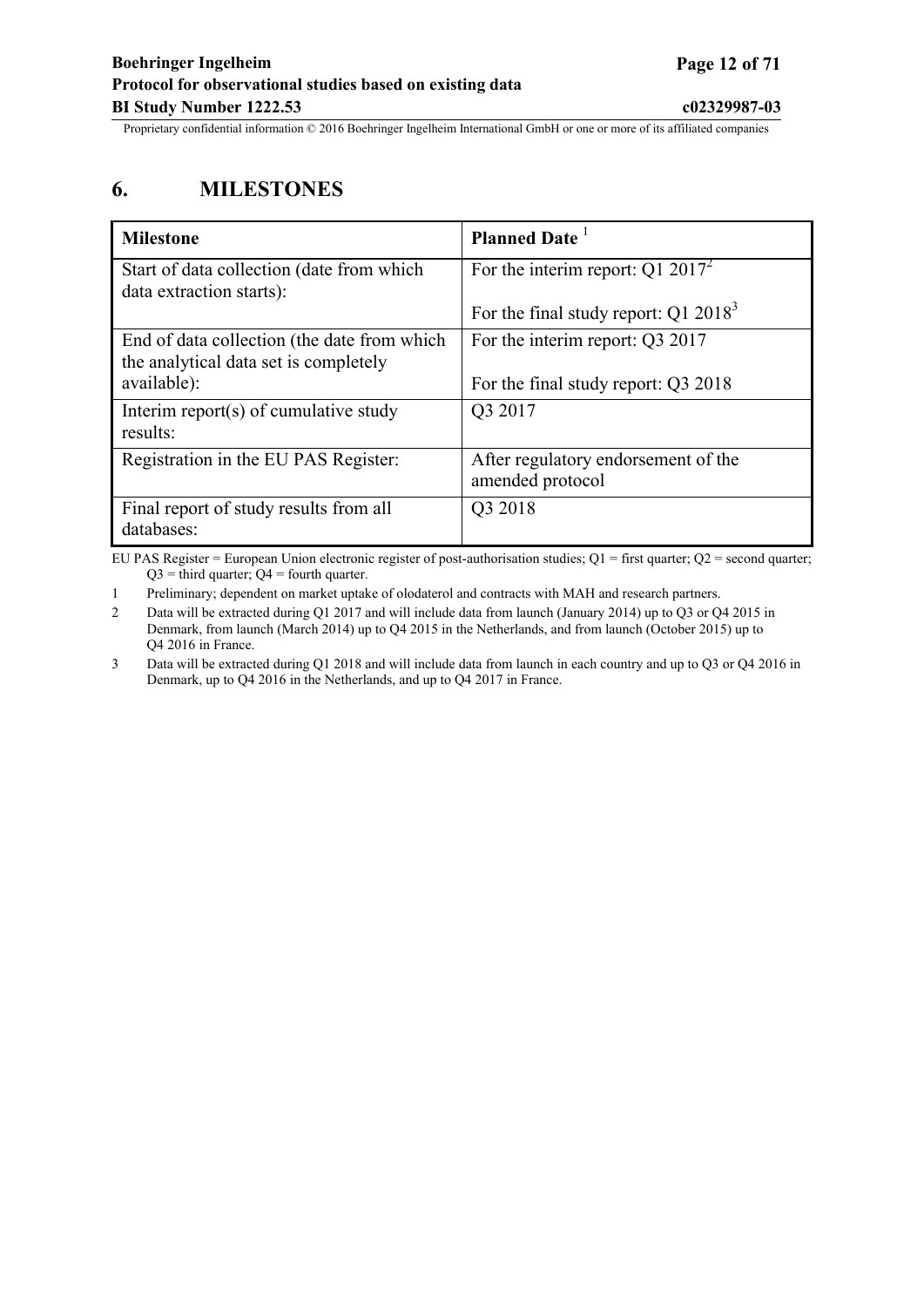# <span id="page-11-0"></span>**6. MILESTONES**

| <b>Milestone</b>                                                                     | <b>Planned Date</b>                                     |
|--------------------------------------------------------------------------------------|---------------------------------------------------------|
| Start of data collection (date from which<br>data extraction starts):                | For the interim report: $Q1 2017^2$                     |
|                                                                                      | For the final study report: $Q1 20183$                  |
| End of data collection (the date from which<br>the analytical data set is completely | For the interim report: Q3 2017                         |
| available):                                                                          | For the final study report: Q3 2018                     |
| Interim report(s) of cumulative study<br>results:                                    | Q3 2017                                                 |
| Registration in the EU PAS Register:                                                 | After regulatory endorsement of the<br>amended protocol |
| Final report of study results from all<br>databases:                                 | Q3 2018                                                 |

EU PAS Register = European Union electronic register of post-authorisation studies;  $Q1 =$  first quarter;  $Q2 =$  second quarter;  $Q3$  = third quarter;  $Q4$  = fourth quarter.

1 Preliminary; dependent on market uptake of olodaterol and contracts with MAH and research partners.

2 Data will be extracted during Q1 2017 and will include data from launch (January 2014) up to Q3 or Q4 2015 in Denmark, from launch (March 2014) up to Q4 2015 in the Netherlands, and from launch (October 2015) up to Q4 2016 in France.

3 Data will be extracted during Q1 2018 and will include data from launch in each country and up to Q3 or Q4 2016 in Denmark, up to Q4 2016 in the Netherlands, and up to Q4 2017 in France.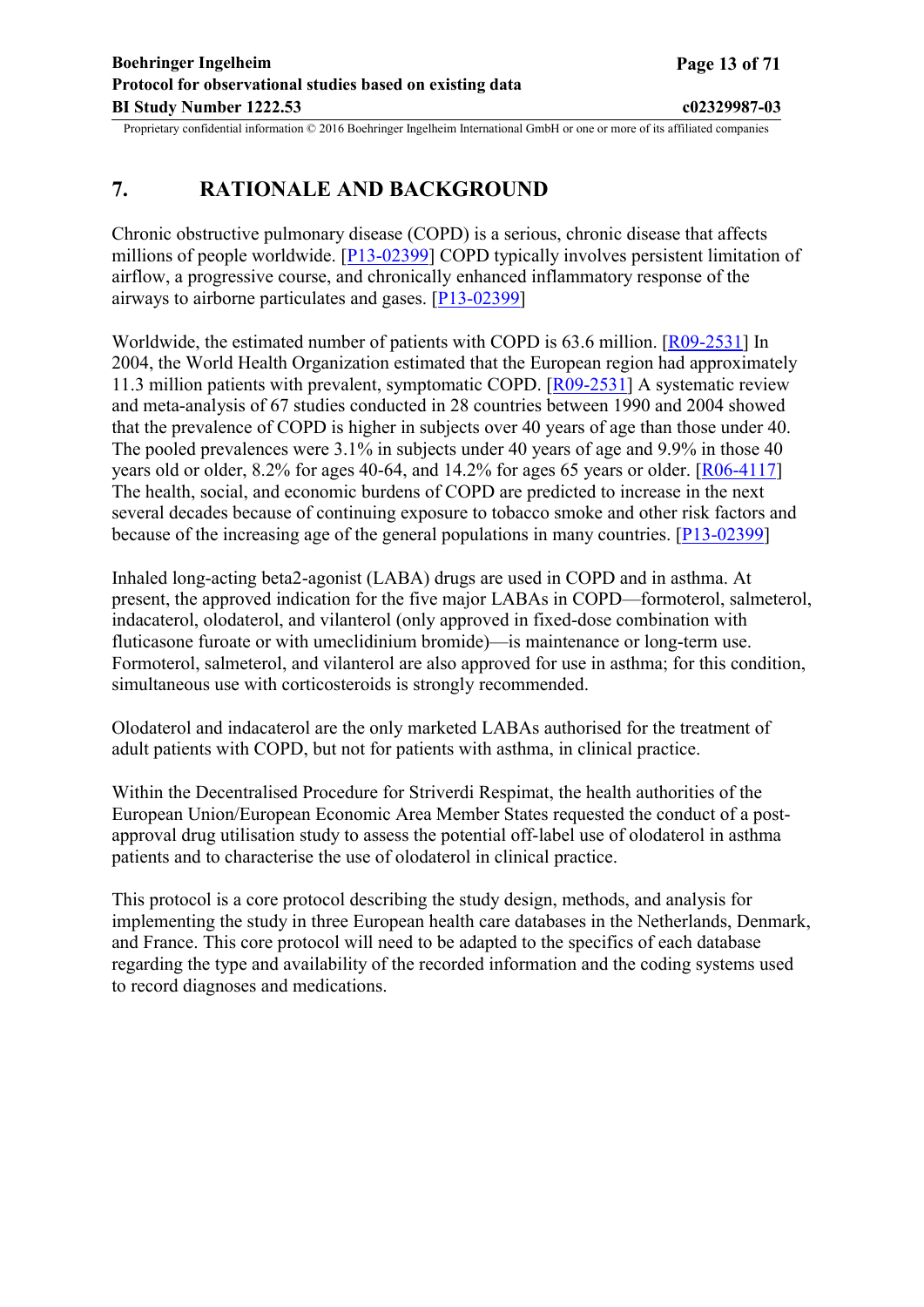# <span id="page-12-0"></span>**7. RATIONALE AND BACKGROUND**

Chronic obstructive pulmonary disease (COPD) is a serious, chronic disease that affects millions of people worldwide. [[P13-02399](#page-45-0)] COPD typically involves persistent limitation of airflow, a progressive course, and chronically enhanced inflammatory response of the airways to airborne particulates and gases. [\[P13-02399\]](#page-45-0)

Worldwide, the estimated number of patients with COPD is 63.6 million. [[R09-2531\]](#page-46-0) In 2004, the World Health Organization estimated that the European region had approximately 11.3 million patients with prevalent, symptomatic COPD. [\[R09-2531](#page-46-0)] A systematic review and meta-analysis of 67 studies conducted in 28 countries between 1990 and 2004 showed that the prevalence of COPD is higher in subjects over 40 years of age than those under 40. The pooled prevalences were 3.1% in subjects under 40 years of age and 9.9% in those 40 years old or older, 8.2% for ages 40-64, and 14.2% for ages 65 years or older. [\[R06-4117](#page-46-0)] The health, social, and economic burdens of COPD are predicted to increase in the next several decades because of continuing exposure to tobacco smoke and other risk factors and because of the increasing age of the general populations in many countries. [[P13-02399](#page-45-0)]

Inhaled long-acting beta2-agonist (LABA) drugs are used in COPD and in asthma. At present, the approved indication for the five major LABAs in COPD—formoterol, salmeterol, indacaterol, olodaterol, and vilanterol (only approved in fixed-dose combination with fluticasone furoate or with umeclidinium bromide)—is maintenance or long-term use. Formoterol, salmeterol, and vilanterol are also approved for use in asthma; for this condition, simultaneous use with corticosteroids is strongly recommended.

Olodaterol and indacaterol are the only marketed LABAs authorised for the treatment of adult patients with COPD, but not for patients with asthma, in clinical practice.

Within the Decentralised Procedure for Striverdi Respimat, the health authorities of the European Union/European Economic Area Member States requested the conduct of a postapproval drug utilisation study to assess the potential off-label use of olodaterol in asthma patients and to characterise the use of olodaterol in clinical practice.

This protocol is a core protocol describing the study design, methods, and analysis for implementing the study in three European health care databases in the Netherlands, Denmark, and France. This core protocol will need to be adapted to the specifics of each database regarding the type and availability of the recorded information and the coding systems used to record diagnoses and medications.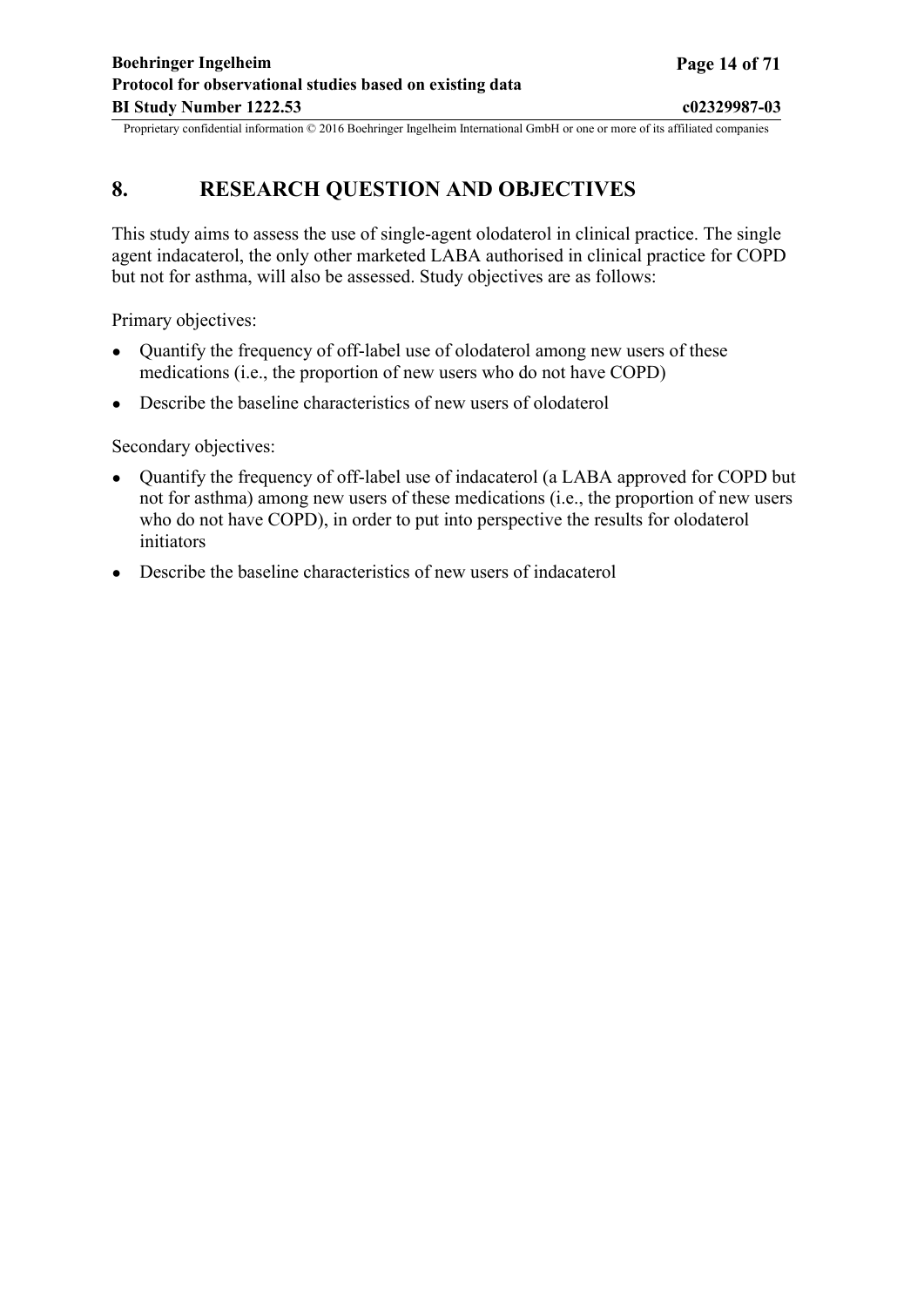# <span id="page-13-0"></span>**8. RESEARCH QUESTION AND OBJECTIVES**

This study aims to assess the use of single-agent olodaterol in clinical practice. The single agent indacaterol, the only other marketed LABA authorised in clinical practice for COPD but not for asthma, will also be assessed. Study objectives are as follows:

Primary objectives:

- Ouantify the frequency of off-label use of olodaterol among new users of these medications (i.e., the proportion of new users who do not have COPD)
- Describe the baseline characteristics of new users of olodaterol

Secondary objectives:

- Quantify the frequency of off-label use of indacaterol (a LABA approved for COPD but not for asthma) among new users of these medications (i.e., the proportion of new users who do not have COPD), in order to put into perspective the results for olodaterol initiators
- Describe the baseline characteristics of new users of indacaterol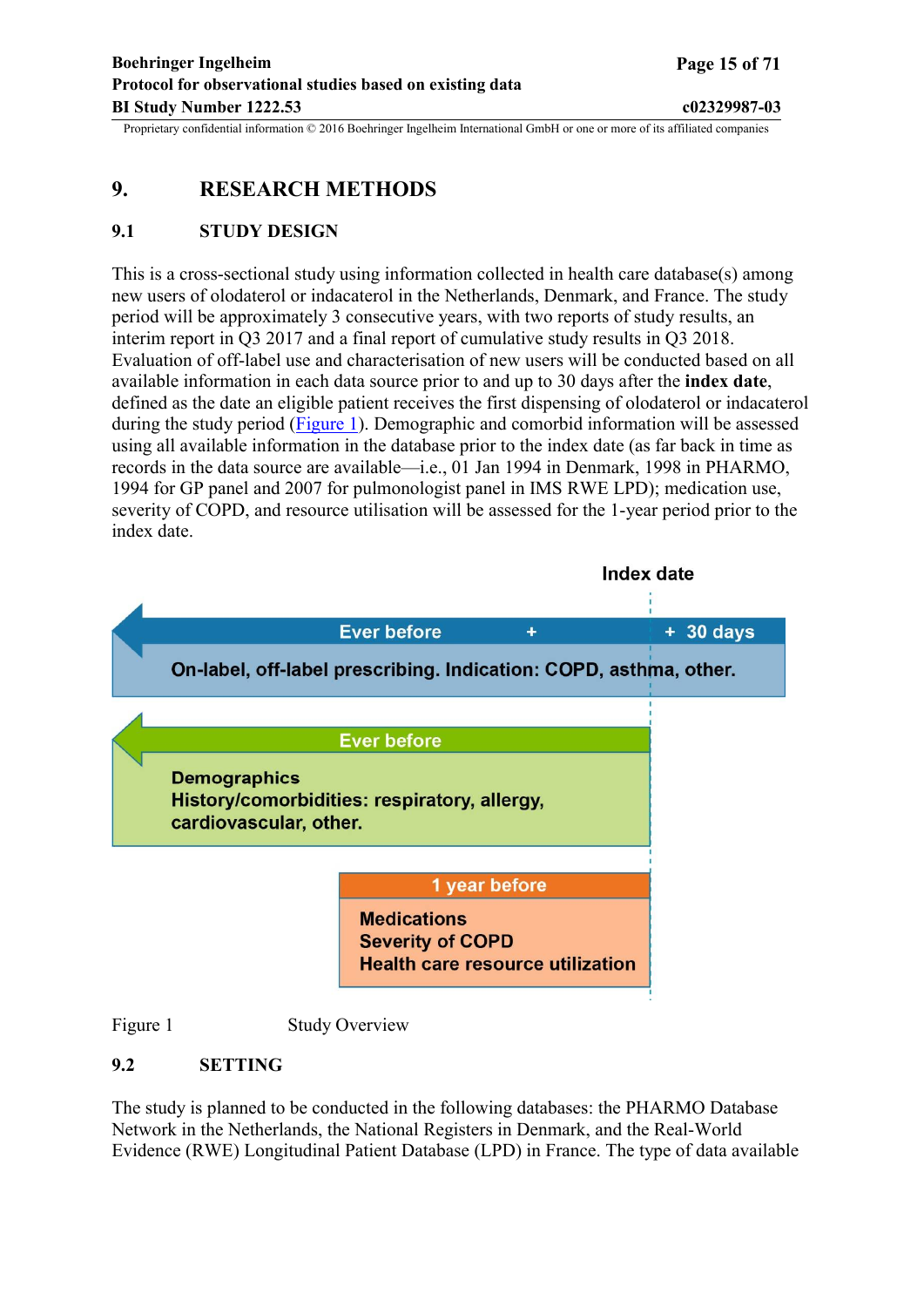## <span id="page-14-0"></span>**9. RESEARCH METHODS**

## **9.1 STUDY DESIGN**

This is a cross-sectional study using information collected in health care database(s) among new users of olodaterol or indacaterol in the Netherlands, Denmark, and France. The study period will be approximately 3 consecutive years, with two reports of study results, an interim report in Q3 2017 and a final report of cumulative study results in Q3 2018. Evaluation of off-label use and characterisation of new users will be conducted based on all available information in each data source prior to and up to 30 days after the **index date**, defined as the date an eligible patient receives the first dispensing of olodaterol or indacaterol during the study period ([Figure](#page-14-0) 1). Demographic and comorbid information will be assessed using all available information in the database prior to the index date (as far back in time as records in the data source are available—i.e., 01 Jan 1994 in Denmark, 1998 in PHARMO, 1994 for GP panel and 2007 for pulmonologist panel in IMS RWE LPD); medication use, severity of COPD, and resource utilisation will be assessed for the 1-year period prior to the index date.



Figure 1 Study Overview

## **9.2 SETTING**

The study is planned to be conducted in the following databases: the PHARMO Database Network in the Netherlands, the National Registers in Denmark, and the Real-World Evidence (RWE) Longitudinal Patient Database (LPD) in France. The type of data available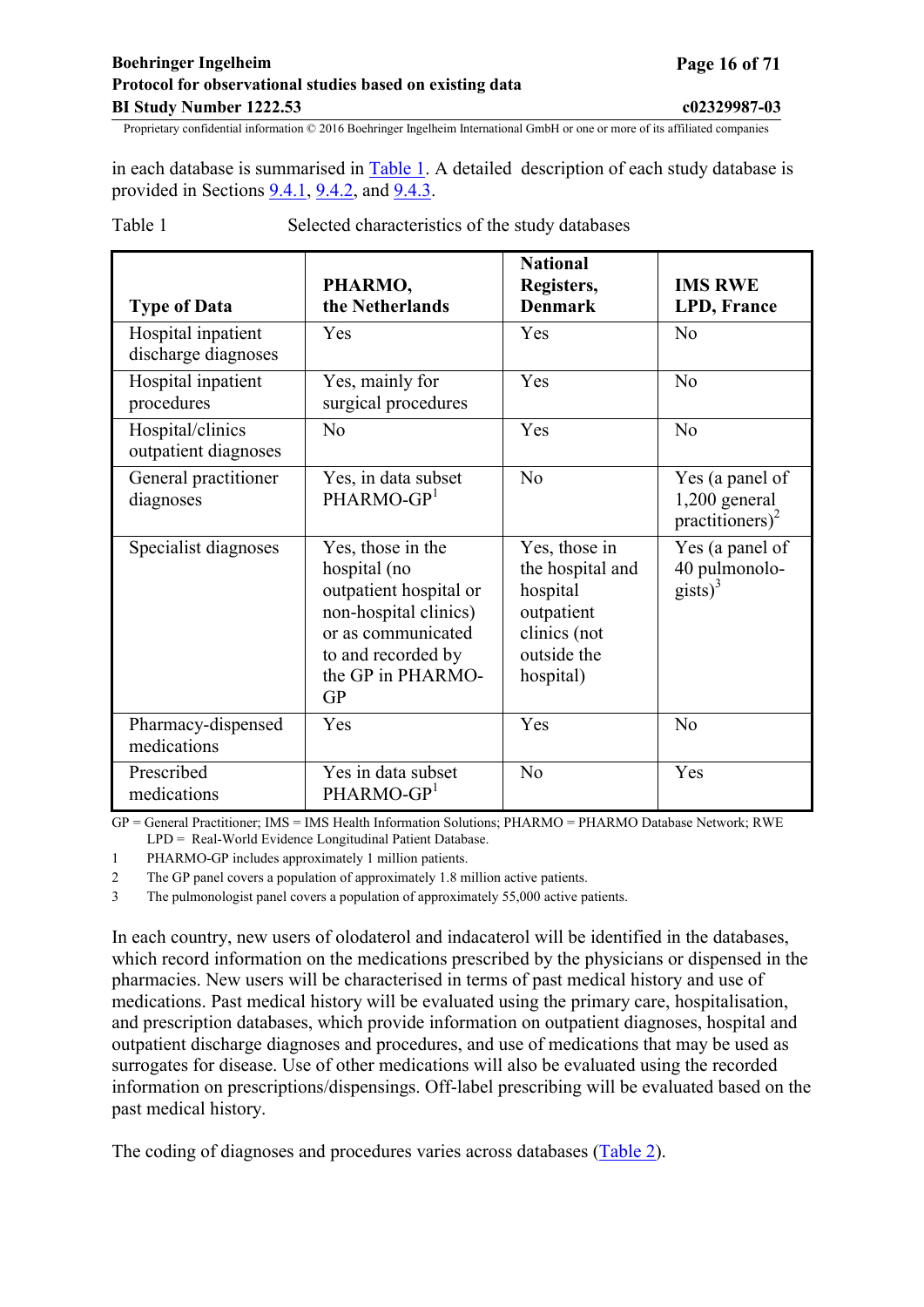## <span id="page-15-0"></span>**Boehringer Ingelheim Page 16 of 71 Protocol for observational studies based on existing data BI Study Number 1222.53 c02329987-03**

Proprietary confidential information © 2016 Boehringer Ingelheim International GmbH or one or more of its affiliated companies

in each database is summarised in [Table](#page-15-0) 1. A detailed description of each study database is provided in Sections [9.4.1,](#page-28-0) [9.4.2,](#page-30-0) and [9.4.3.](#page-30-0)

| <b>Type of Data</b>                       | PHARMO,<br>the Netherlands                                                                                                                                  | <b>National</b><br>Registers,<br><b>Denmark</b>                                                         | <b>IMS RWE</b><br>LPD, France                                     |
|-------------------------------------------|-------------------------------------------------------------------------------------------------------------------------------------------------------------|---------------------------------------------------------------------------------------------------------|-------------------------------------------------------------------|
| Hospital inpatient<br>discharge diagnoses | Yes                                                                                                                                                         | Yes                                                                                                     | N <sub>0</sub>                                                    |
| Hospital inpatient<br>procedures          | Yes, mainly for<br>surgical procedures                                                                                                                      | Yes                                                                                                     | N <sub>0</sub>                                                    |
| Hospital/clinics<br>outpatient diagnoses  | No                                                                                                                                                          | Yes                                                                                                     | N <sub>o</sub>                                                    |
| General practitioner<br>diagnoses         | Yes, in data subset<br>PHARMO-GP <sup>1</sup>                                                                                                               | N <sub>0</sub>                                                                                          | Yes (a panel of<br>$1,200$ general<br>practitioners) <sup>2</sup> |
| Specialist diagnoses                      | Yes, those in the<br>hospital (no<br>outpatient hospital or<br>non-hospital clinics)<br>or as communicated<br>to and recorded by<br>the GP in PHARMO-<br>GP | Yes, those in<br>the hospital and<br>hospital<br>outpatient<br>clinics (not<br>outside the<br>hospital) | Yes (a panel of<br>40 pulmonolo-<br>$\text{gists}\right)^3$       |
| Pharmacy-dispensed<br>medications         | Yes                                                                                                                                                         | Yes                                                                                                     | N <sub>0</sub>                                                    |
| Prescribed<br>medications                 | Yes in data subset<br>PHARMO-GP <sup>1</sup>                                                                                                                | N <sub>0</sub>                                                                                          | Yes                                                               |

Table 1 Selected characteristics of the study databases

GP = General Practitioner; IMS = IMS Health Information Solutions; PHARMO = PHARMO Database Network; RWE LPD = Real-World Evidence Longitudinal Patient Database.

1 PHARMO-GP includes approximately 1 million patients.

2 The GP panel covers a population of approximately 1.8 million active patients.

3 The pulmonologist panel covers a population of approximately 55,000 active patients.

In each country, new users of olodaterol and indacaterol will be identified in the databases, which record information on the medications prescribed by the physicians or dispensed in the pharmacies. New users will be characterised in terms of past medical history and use of medications. Past medical history will be evaluated using the primary care, hospitalisation, and prescription databases, which provide information on outpatient diagnoses, hospital and outpatient discharge diagnoses and procedures, and use of medications that may be used as surrogates for disease. Use of other medications will also be evaluated using the recorded information on prescriptions/dispensings. Off-label prescribing will be evaluated based on the past medical history.

The coding of diagnoses and procedures varies across databases [\(Table](#page-16-0) 2).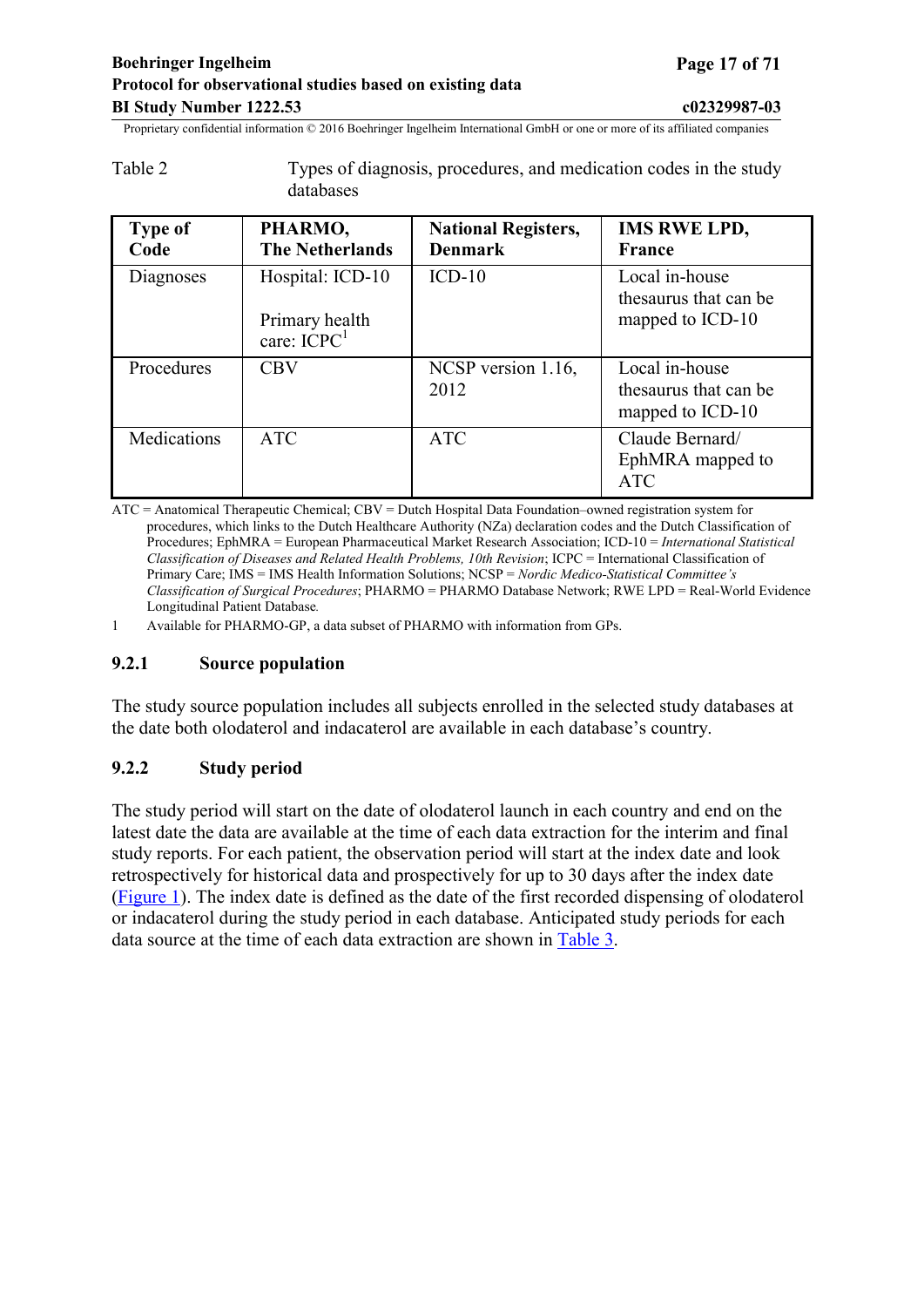<span id="page-16-0"></span>

| Table 2 | Types of diagnosis, procedures, and medication codes in the study |
|---------|-------------------------------------------------------------------|
|         | databases                                                         |

| <b>Type of</b><br>Code | PHARMO,<br><b>The Netherlands</b>                   | <b>National Registers,</b><br><b>Denmark</b> | <b>IMS RWE LPD,</b><br>France                               |
|------------------------|-----------------------------------------------------|----------------------------------------------|-------------------------------------------------------------|
| Diagnoses              | Hospital: ICD-10<br>Primary health<br>care: $ICPC1$ | $ICD-10$                                     | Local in-house<br>thesaurus that can be<br>mapped to ICD-10 |
| Procedures             | <b>CBV</b>                                          | NCSP version 1.16,<br>2012                   | Local in-house<br>thesaurus that can be<br>mapped to ICD-10 |
| Medications            | <b>ATC</b>                                          | <b>ATC</b>                                   | Claude Bernard/<br>EphMRA mapped to<br><b>ATC</b>           |

ATC = Anatomical Therapeutic Chemical; CBV = Dutch Hospital Data Foundation–owned registration system for procedures, which links to the Dutch Healthcare Authority (NZa) declaration codes and the Dutch Classification of Procedures; EphMRA = European Pharmaceutical Market Research Association; ICD-10 = *International Statistical Classification of Diseases and Related Health Problems, 10th Revision*; ICPC = International Classification of Primary Care; IMS = IMS Health Information Solutions; NCSP = *Nordic Medico-Statistical Committee's Classification of Surgical Procedures*; PHARMO = PHARMO Database Network; RWE LPD = Real-World Evidence Longitudinal Patient Database*.*

1 Available for PHARMO-GP, a data subset of PHARMO with information from GPs.

#### **9.2.1 Source population**

The study source population includes all subjects enrolled in the selected study databases at the date both olodaterol and indacaterol are available in each database's country.

## **9.2.2 Study period**

The study period will start on the date of olodaterol launch in each country and end on the latest date the data are available at the time of each data extraction for the interim and final study reports. For each patient, the observation period will start at the index date and look retrospectively for historical data and prospectively for up to 30 days after the index date ([Figure](#page-14-0) 1). The index date is defined as the date of the first recorded dispensing of olodaterol or indacaterol during the study period in each database. Anticipated study periods for each data source at the time of each data extraction are shown in [Table](#page-17-0) 3.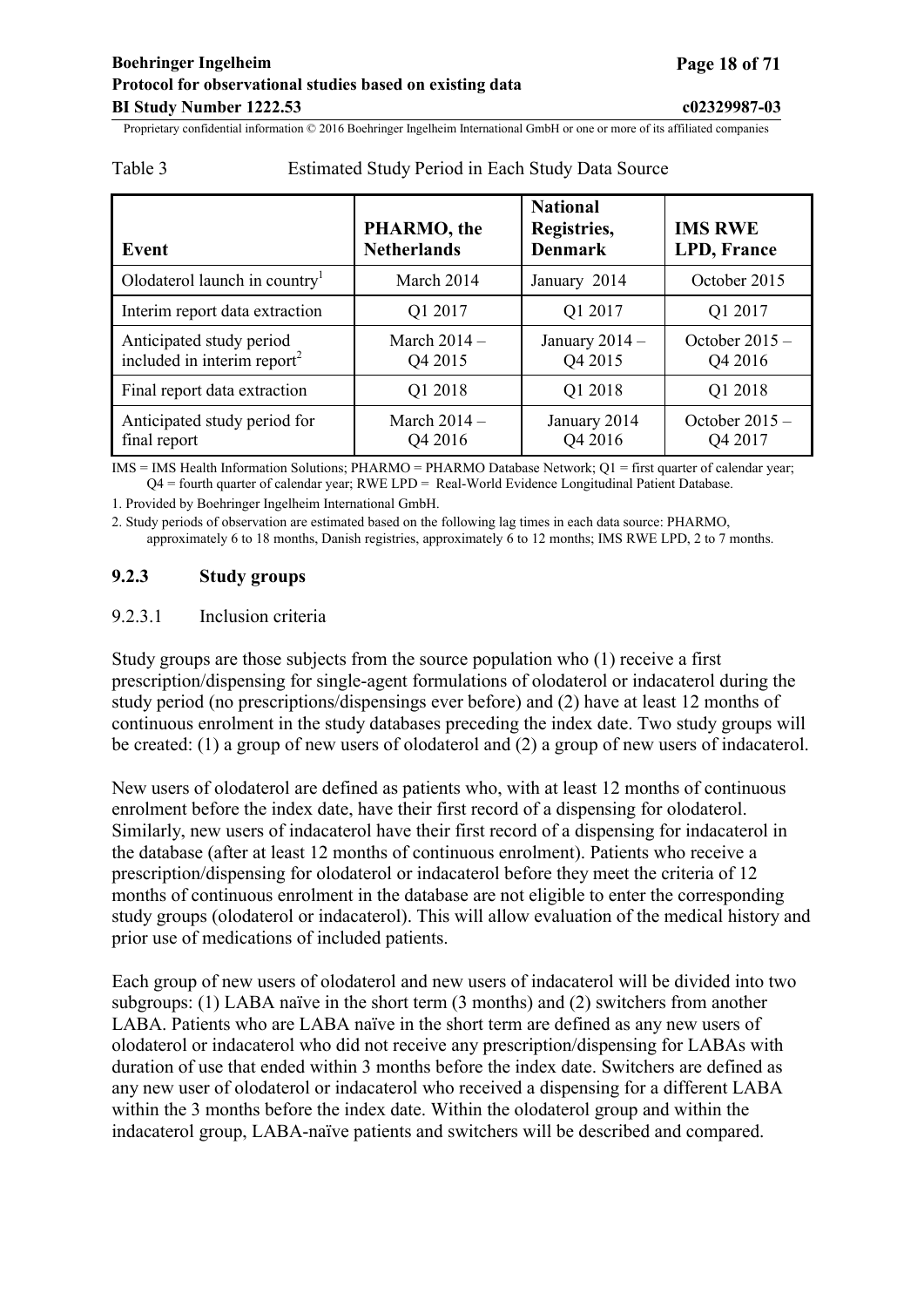| Event                                                               | PHARMO, the<br><b>Netherlands</b> | <b>National</b><br>Registries,<br><b>Denmark</b> | <b>IMS RWE</b><br><b>LPD, France</b> |
|---------------------------------------------------------------------|-----------------------------------|--------------------------------------------------|--------------------------------------|
| Olodaterol launch in country                                        | March 2014                        | January 2014                                     | October 2015                         |
| Interim report data extraction                                      | Q1 2017                           | Q1 2017                                          | Q1 2017                              |
| Anticipated study period<br>included in interim report <sup>2</sup> | March 2014 -<br>Q4 2015           | January $2014 -$<br>Q4 2015                      | October $2015 -$<br>Q4 2016          |
| Final report data extraction                                        | Q1 2018                           | Q1 2018                                          | Q1 2018                              |
| Anticipated study period for<br>final report                        | March $2014 -$<br>Q4 2016         | January 2014<br>Q4 2016                          | October $2015 -$<br>Q4 2017          |

## <span id="page-17-0"></span>Table 3 Estimated Study Period in Each Study Data Source

IMS = IMS Health Information Solutions; PHARMO = PHARMO Database Network; Q1 = first quarter of calendar year; Q4 = fourth quarter of calendar year; RWE LPD = Real-World Evidence Longitudinal Patient Database.

1. Provided by Boehringer Ingelheim International GmbH.

2. Study periods of observation are estimated based on the following lag times in each data source: PHARMO, approximately 6 to 18 months, Danish registries, approximately 6 to 12 months; IMS RWE LPD, 2 to 7 months.

## **9.2.3 Study groups**

## 9.2.3.1 Inclusion criteria

Study groups are those subjects from the source population who (1) receive a first prescription/dispensing for single-agent formulations of olodaterol or indacaterol during the study period (no prescriptions/dispensings ever before) and (2) have at least 12 months of continuous enrolment in the study databases preceding the index date. Two study groups will be created: (1) a group of new users of olodaterol and (2) a group of new users of indacaterol.

New users of olodaterol are defined as patients who, with at least 12 months of continuous enrolment before the index date, have their first record of a dispensing for olodaterol. Similarly, new users of indacaterol have their first record of a dispensing for indacaterol in the database (after at least 12 months of continuous enrolment). Patients who receive a prescription/dispensing for olodaterol or indacaterol before they meet the criteria of 12 months of continuous enrolment in the database are not eligible to enter the corresponding study groups (olodaterol or indacaterol). This will allow evaluation of the medical history and prior use of medications of included patients.

Each group of new users of olodaterol and new users of indacaterol will be divided into two subgroups: (1) LABA naïve in the short term (3 months) and (2) switchers from another LABA. Patients who are LABA naïve in the short term are defined as any new users of olodaterol or indacaterol who did not receive any prescription/dispensing for LABAs with duration of use that ended within 3 months before the index date. Switchers are defined as any new user of olodaterol or indacaterol who received a dispensing for a different LABA within the 3 months before the index date. Within the olodaterol group and within the indacaterol group, LABA-naïve patients and switchers will be described and compared.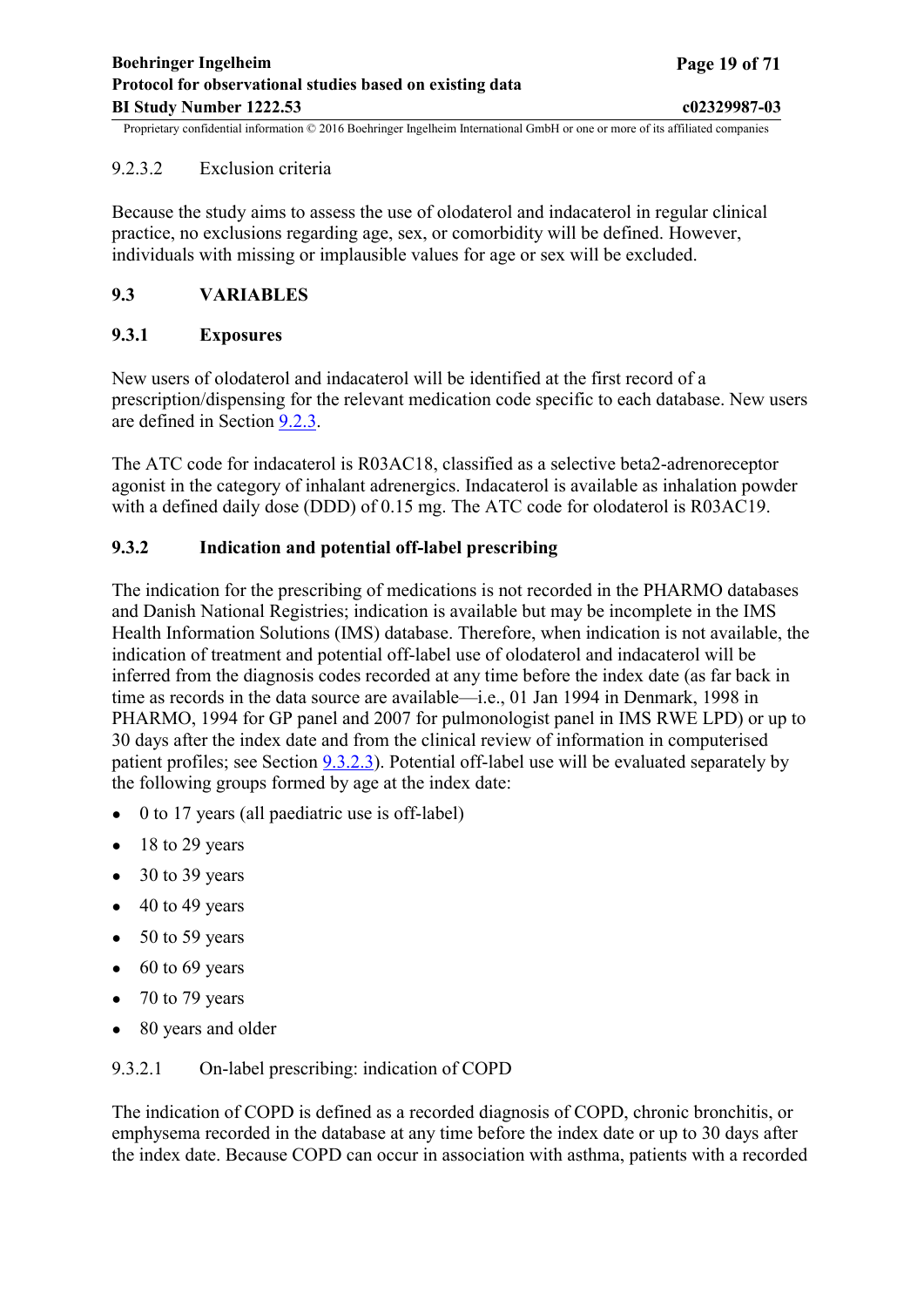## <span id="page-18-0"></span>9.2.3.2 Exclusion criteria

Because the study aims to assess the use of olodaterol and indacaterol in regular clinical practice, no exclusions regarding age, sex, or comorbidity will be defined. However, individuals with missing or implausible values for age or sex will be excluded.

## **9.3 VARIABLES**

## **9.3.1 Exposures**

New users of olodaterol and indacaterol will be identified at the first record of a prescription/dispensing for the relevant medication code specific to each database. New users are defined in Section [9.2.3](#page-17-0).

The ATC code for indacaterol is R03AC18, classified as a selective beta2-adrenoreceptor agonist in the category of inhalant adrenergics. Indacaterol is available as inhalation powder with a defined daily dose (DDD) of 0.15 mg. The ATC code for olodaterol is R03AC19.

## **9.3.2 Indication and potential off-label prescribing**

The indication for the prescribing of medications is not recorded in the PHARMO databases and Danish National Registries; indication is available but may be incomplete in the IMS Health Information Solutions (IMS) database. Therefore, when indication is not available, the indication of treatment and potential off-label use of olodaterol and indacaterol will be inferred from the diagnosis codes recorded at any time before the index date (as far back in time as records in the data source are available—i.e., 01 Jan 1994 in Denmark, 1998 in PHARMO, 1994 for GP panel and 2007 for pulmonologist panel in IMS RWE LPD) or up to 30 days after the index date and from the clinical review of information in computerised patient profiles; see Section [9.3.2.3\)](#page-20-0). Potential off-label use will be evaluated separately by the following groups formed by age at the index date:

- $\bullet$  0 to 17 years (all paediatric use is off-label)
- $\bullet$  18 to 29 years
- $\bullet$  30 to 39 years
- $\bullet$  40 to 49 years
- $\bullet$  50 to 59 years
- $\bullet$  60 to 69 years
- $\bullet$  70 to 79 years
- 80 years and older

## 9.3.2.1 On-label prescribing: indication of COPD

The indication of COPD is defined as a recorded diagnosis of COPD, chronic bronchitis, or emphysema recorded in the database at any time before the index date or up to 30 days after the index date. Because COPD can occur in association with asthma, patients with a recorded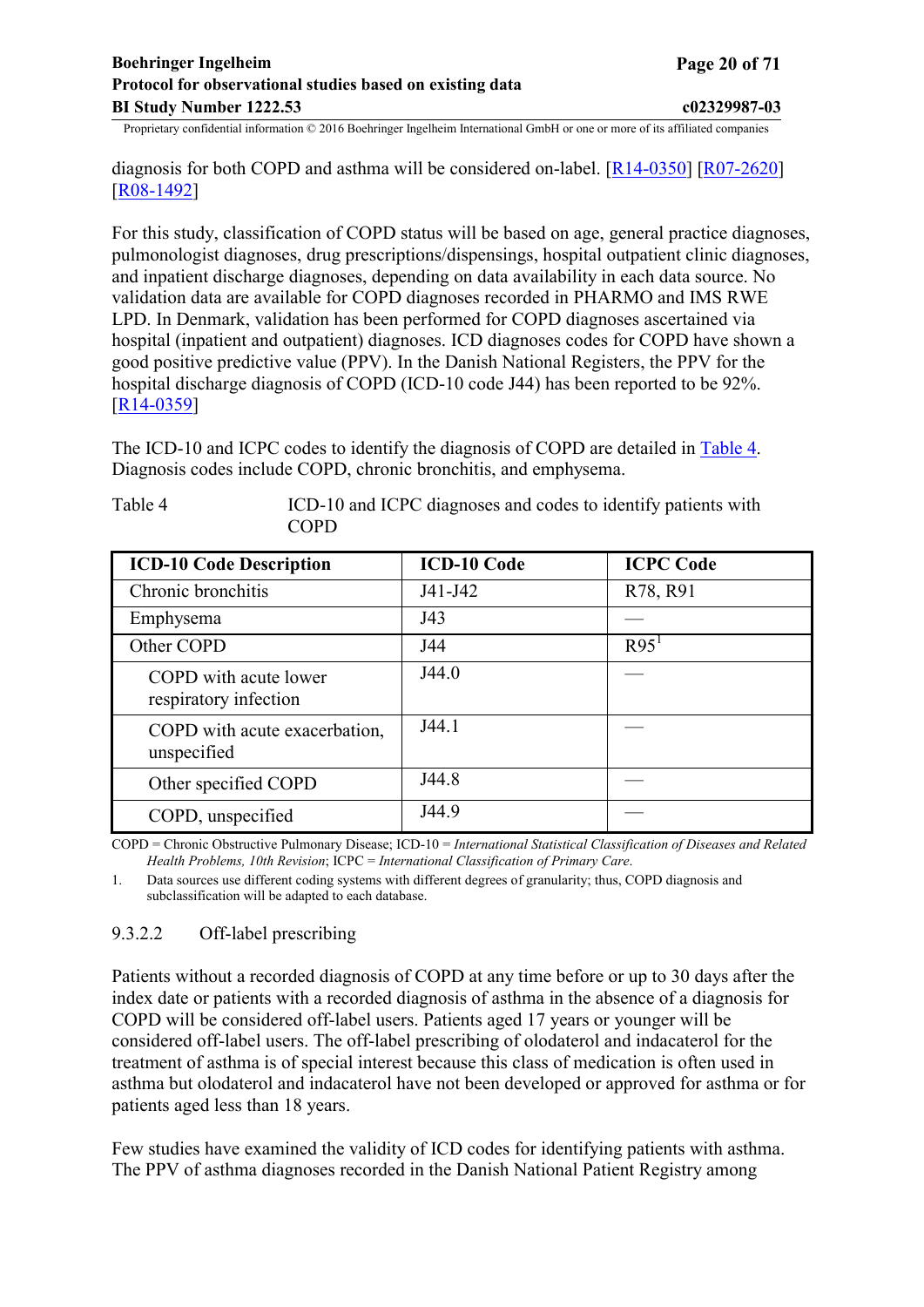<span id="page-19-0"></span>diagnosis for both COPD and asthma will be considered on-label. [\[R14-0350](#page-48-0)] [\[R07-2620](#page-46-0)] [[R08-1492](#page-46-0)]

For this study, classification of COPD status will be based on age, general practice diagnoses, pulmonologist diagnoses, drug prescriptions/dispensings, hospital outpatient clinic diagnoses, and inpatient discharge diagnoses, depending on data availability in each data source. No validation data are available for COPD diagnoses recorded in PHARMO and IMS RWE LPD. In Denmark, validation has been performed for COPD diagnoses ascertained via hospital (inpatient and outpatient) diagnoses. ICD diagnoses codes for COPD have shown a good positive predictive value (PPV). In the Danish National Registers, the PPV for the hospital discharge diagnosis of COPD (ICD-10 code J44) has been reported to be 92%. [[R14-0359](#page-49-0)]

The ICD-10 and ICPC codes to identify the diagnosis of COPD are detailed in [Table 4.](#page-19-0) Diagnosis codes include COPD, chronic bronchitis, and emphysema.

| <b>ICD-10 Code Description</b>                 | <b>ICD-10 Code</b> | <b>ICPC Code</b> |
|------------------------------------------------|--------------------|------------------|
| Chronic bronchitis                             | J41-J42            | R78, R91         |
| Emphysema                                      | J43                |                  |
| Other COPD                                     | J44                | R95 <sup>1</sup> |
| COPD with acute lower<br>respiratory infection | J44.0              |                  |
| COPD with acute exacerbation,<br>unspecified   | J44.1              |                  |
| Other specified COPD                           | J44.8              |                  |
| COPD, unspecified                              | J44.9              |                  |

Table 4 ICD-10 and ICPC diagnoses and codes to identify patients with COPD

COPD = Chronic Obstructive Pulmonary Disease; ICD-10 = *International Statistical Classification of Diseases and Related Health Problems, 10th Revision*; ICPC = *International Classification of Primary Care*.

1. Data sources use different coding systems with different degrees of granularity; thus, COPD diagnosis and subclassification will be adapted to each database.

## 9.3.2.2 Off-label prescribing

Patients without a recorded diagnosis of COPD at any time before or up to 30 days after the index date or patients with a recorded diagnosis of asthma in the absence of a diagnosis for COPD will be considered off-label users. Patients aged 17 years or younger will be considered off-label users. The off-label prescribing of olodaterol and indacaterol for the treatment of asthma is of special interest because this class of medication is often used in asthma but olodaterol and indacaterol have not been developed or approved for asthma or for patients aged less than 18 years.

Few studies have examined the validity of ICD codes for identifying patients with asthma. The PPV of asthma diagnoses recorded in the Danish National Patient Registry among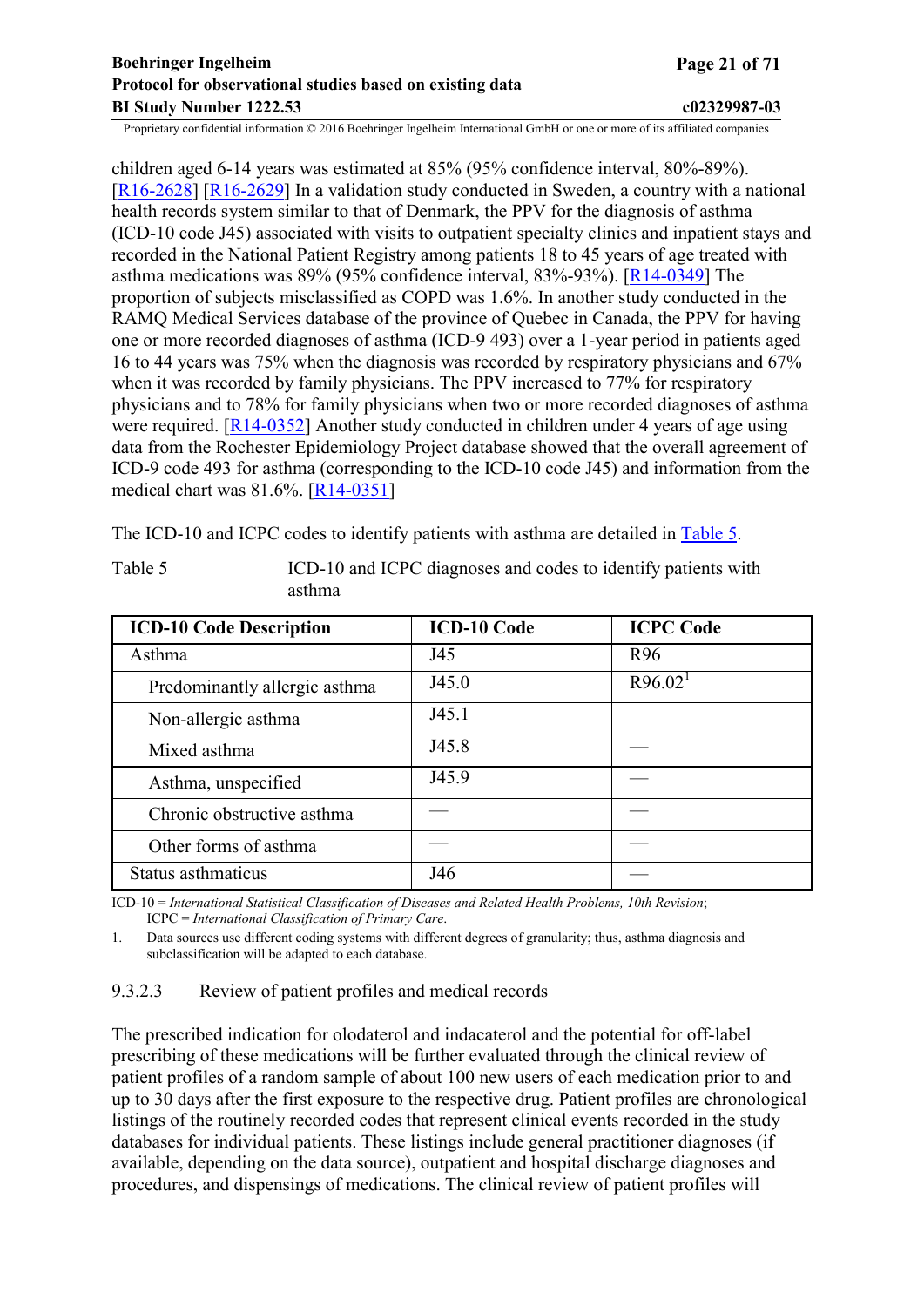<span id="page-20-0"></span>children aged 6-14 years was estimated at 85% (95% confidence interval, 80%-89%). [[R16-2628](#page-49-0)] [\[R16-2629](#page-49-0)] In a validation study conducted in Sweden, a country with a national health records system similar to that of Denmark, the PPV for the diagnosis of asthma (ICD-10 code J45) associated with visits to outpatient specialty clinics and inpatient stays and recorded in the National Patient Registry among patients 18 to 45 years of age treated with asthma medications was 89% (95% confidence interval, 83%-93%). [[R14-0349\]](#page-48-0) The proportion of subjects misclassified as COPD was 1.6%. In another study conducted in the RAMQ Medical Services database of the province of Quebec in Canada, the PPV for having one or more recorded diagnoses of asthma (ICD-9 493) over a 1-year period in patients aged 16 to 44 years was 75% when the diagnosis was recorded by respiratory physicians and 67% when it was recorded by family physicians. The PPV increased to 77% for respiratory physicians and to 78% for family physicians when two or more recorded diagnoses of asthma were required. [\[R14-0352](#page-48-0)] Another study conducted in children under 4 years of age using data from the Rochester Epidemiology Project database showed that the overall agreement of ICD-9 code 493 for asthma (corresponding to the ICD-10 code J45) and information from the medical chart was 81.6%. [[R14-0351\]](#page-48-0)

The ICD-10 and ICPC codes to identify patients with asthma are detailed in [Table 5](#page-20-0).

| <b>ICD-10 Code Description</b> | <b>ICD-10 Code</b> | <b>ICPC Code</b>      |
|--------------------------------|--------------------|-----------------------|
| Asthma                         | J45                | R <sub>96</sub>       |
| Predominantly allergic asthma  | J45.0              | $R96.02$ <sup>1</sup> |
| Non-allergic asthma            | J45.1              |                       |
| Mixed asthma                   | J45.8              |                       |
| Asthma, unspecified            | J45.9              |                       |
| Chronic obstructive asthma     |                    |                       |
| Other forms of asthma          |                    |                       |
| Status asthmaticus             | J46                |                       |

Table 5 ICD-10 and ICPC diagnoses and codes to identify patients with asthma

ICD-10 = *International Statistical Classification of Diseases and Related Health Problems, 10th Revision*; ICPC = *International Classification of Primary Care*.

1. Data sources use different coding systems with different degrees of granularity; thus, asthma diagnosis and subclassification will be adapted to each database.

9.3.2.3 Review of patient profiles and medical records

The prescribed indication for olodaterol and indacaterol and the potential for off-label prescribing of these medications will be further evaluated through the clinical review of patient profiles of a random sample of about 100 new users of each medication prior to and up to 30 days after the first exposure to the respective drug. Patient profiles are chronological listings of the routinely recorded codes that represent clinical events recorded in the study databases for individual patients. These listings include general practitioner diagnoses (if available, depending on the data source), outpatient and hospital discharge diagnoses and procedures, and dispensings of medications. The clinical review of patient profiles will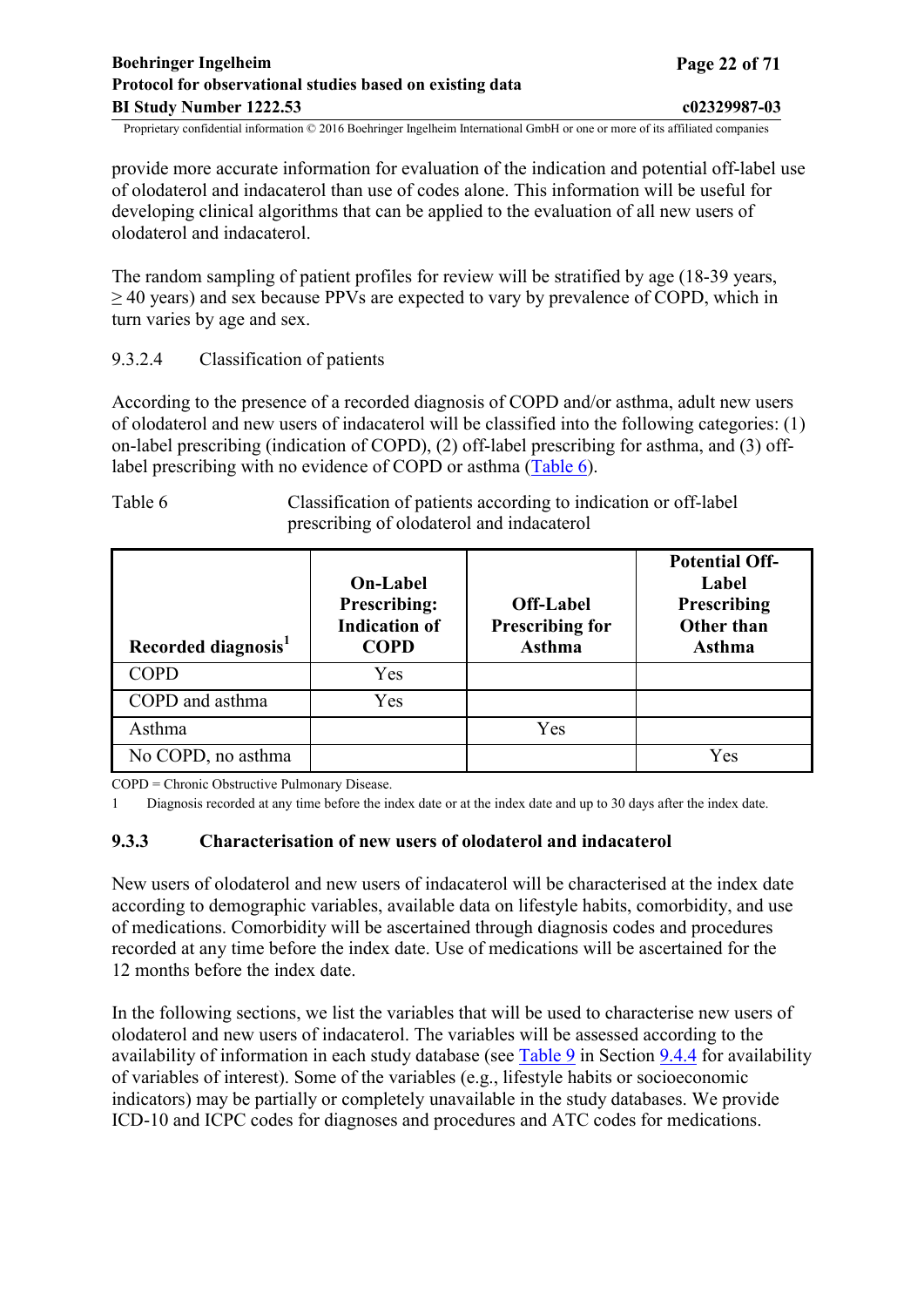<span id="page-21-0"></span>provide more accurate information for evaluation of the indication and potential off-label use of olodaterol and indacaterol than use of codes alone. This information will be useful for developing clinical algorithms that can be applied to the evaluation of all new users of olodaterol and indacaterol.

The random sampling of patient profiles for review will be stratified by age (18-39 years,  $\geq$  40 years) and sex because PPVs are expected to vary by prevalence of COPD, which in turn varies by age and sex.

## 9.3.2.4 Classification of patients

According to the presence of a recorded diagnosis of COPD and/or asthma, adult new users of olodaterol and new users of indacaterol will be classified into the following categories: (1) on-label prescribing (indication of COPD), (2) off-label prescribing for asthma, and (3) offlabel prescribing with no evidence of COPD or asthma [\(Table](#page-21-0) 6).

Table 6 Classification of patients according to indication or off-label prescribing of olodaterol and indacaterol

| Recorded diagnosis <sup>1</sup> | <b>On-Label</b><br><b>Prescribing:</b><br><b>Indication of</b><br><b>COPD</b> | <b>Off-Label</b><br><b>Prescribing for</b><br><b>Asthma</b> | <b>Potential Off-</b><br>Label<br>Prescribing<br><b>Other than</b><br><b>Asthma</b> |
|---------------------------------|-------------------------------------------------------------------------------|-------------------------------------------------------------|-------------------------------------------------------------------------------------|
| <b>COPD</b>                     | Yes                                                                           |                                                             |                                                                                     |
| COPD and asthma                 | Yes                                                                           |                                                             |                                                                                     |
| Asthma                          |                                                                               | Yes                                                         |                                                                                     |
| No COPD, no asthma              |                                                                               |                                                             | Yes                                                                                 |

COPD = Chronic Obstructive Pulmonary Disease.

1 Diagnosis recorded at any time before the index date or at the index date and up to 30 days after the index date.

#### **9.3.3 Characterisation of new users of olodaterol and indacaterol**

New users of olodaterol and new users of indacaterol will be characterised at the index date according to demographic variables, available data on lifestyle habits, comorbidity, and use of medications. Comorbidity will be ascertained through diagnosis codes and procedures recorded at any time before the index date. Use of medications will be ascertained for the 12 months before the index date.

In the following sections, we list the variables that will be used to characterise new users of olodaterol and new users of indacaterol. The variables will be assessed according to the availability of information in each study database (see [Table](#page-32-0) 9 in Section [9.4.4](#page-31-0) for availability of variables of interest). Some of the variables (e.g., lifestyle habits or socioeconomic indicators) may be partially or completely unavailable in the study databases. We provide ICD-10 and ICPC codes for diagnoses and procedures and ATC codes for medications.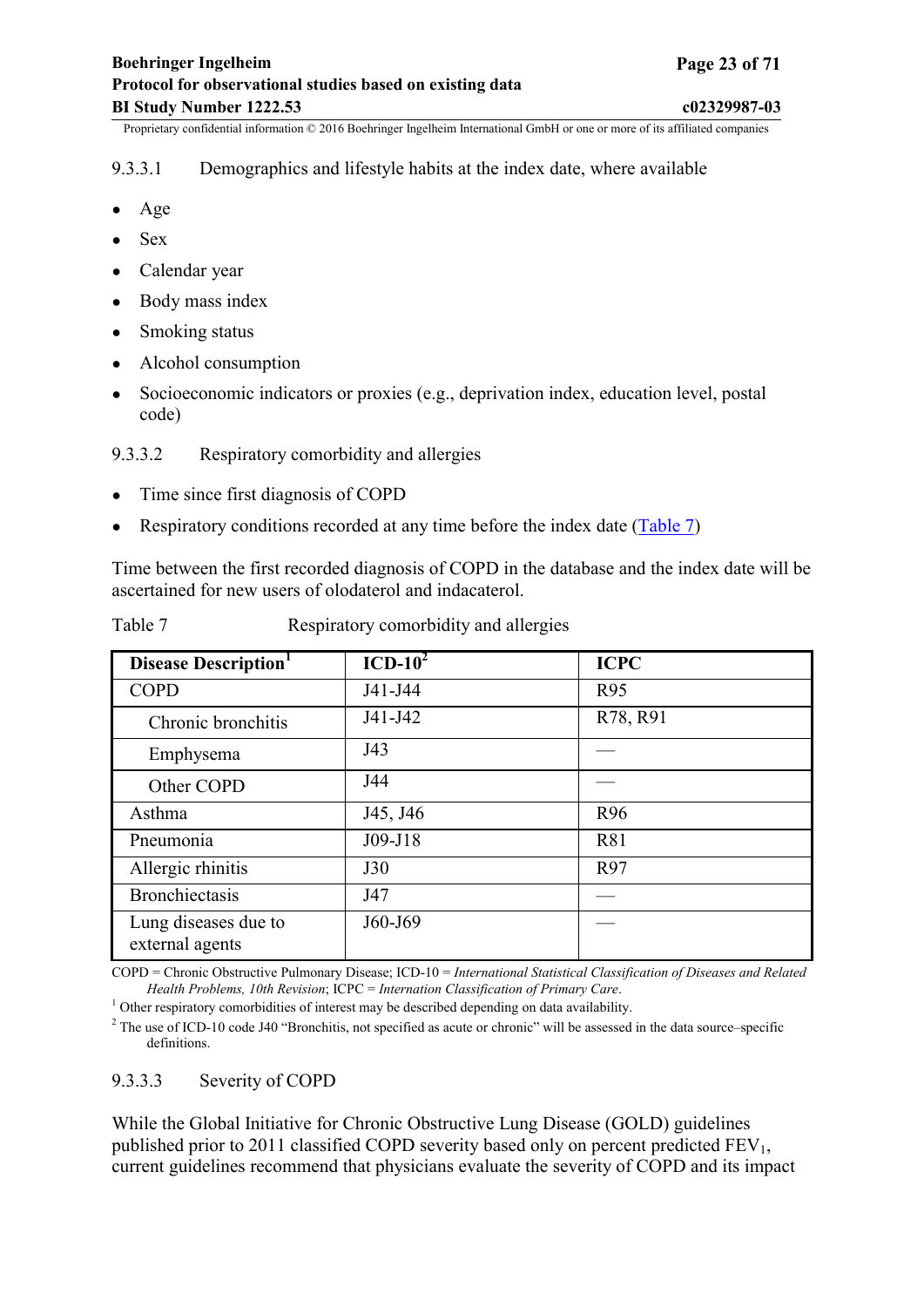## <span id="page-22-0"></span>9.3.3.1 Demographics and lifestyle habits at the index date, where available

- Age
- Sex
- Calendar year
- Body mass index
- Smoking status
- Alcohol consumption
- Socioeconomic indicators or proxies (e.g., deprivation index, education level, postal code)
- 9.3.3.2 Respiratory comorbidity and allergies
- Time since first diagnosis of COPD
- Respiratory conditions recorded at any time before the index date [\(Table 7](#page-22-0))

Time between the first recorded diagnosis of COPD in the database and the index date will be ascertained for new users of olodaterol and indacaterol.

Table 7 Respiratory comorbidity and allergies

| <b>Disease Description</b>              | $ICD-102$ | <b>ICPC</b>     |
|-----------------------------------------|-----------|-----------------|
| <b>COPD</b>                             | J41-J44   | <b>R95</b>      |
| Chronic bronchitis                      | J41-J42   | R78, R91        |
| Emphysema                               | J43       |                 |
| Other COPD                              | J44       |                 |
| Asthma                                  | J45, J46  | R <sub>96</sub> |
| Pneumonia                               | J09-J18   | R81             |
| Allergic rhinitis                       | J30       | R97             |
| <b>Bronchiectasis</b>                   | J47       |                 |
| Lung diseases due to<br>external agents | J60-J69   |                 |

COPD = Chronic Obstructive Pulmonary Disease; ICD-10 = *International Statistical Classification of Diseases and Related Health Problems, 10th Revision*; ICPC = *Internation Classification of Primary Care*.

<sup>1</sup> Other respiratory comorbidities of interest may be described depending on data availability.

<sup>2</sup> The use of ICD-10 code J40 "Bronchitis, not specified as acute or chronic" will be assessed in the data source–specific definitions.

## 9.3.3.3 Severity of COPD

While the Global Initiative for Chronic Obstructive Lung Disease (GOLD) guidelines published prior to 2011 classified COPD severity based only on percent predicted  $FEV<sub>1</sub>$ , current guidelines recommend that physicians evaluate the severity of COPD and its impact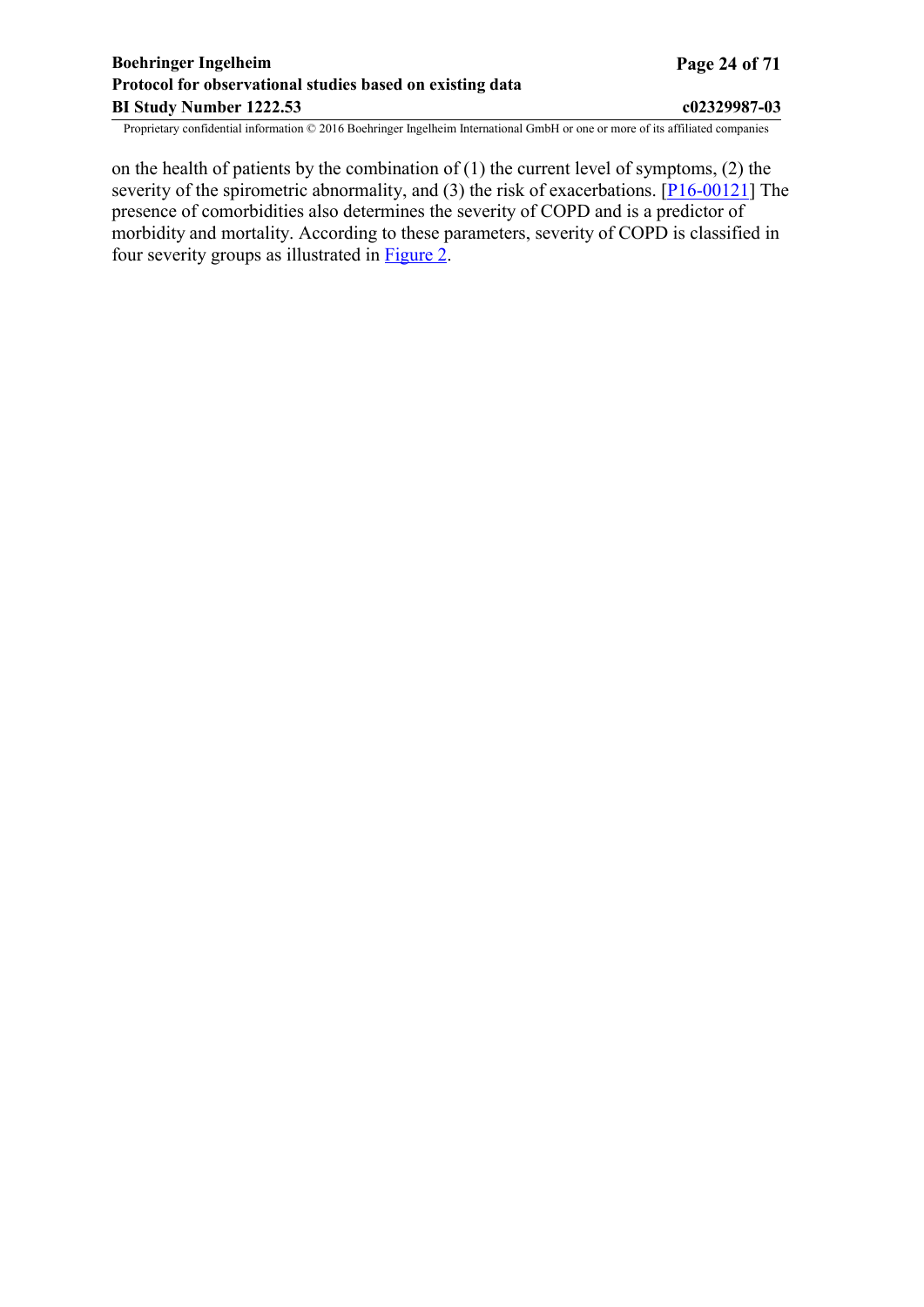## **Boehringer Ingelheim Page 24 of 71 Protocol for observational studies based on existing data BI Study Number 1222.53 c02329987-03**

Proprietary confidential information © 2016 Boehringer Ingelheim International GmbH or one or more of its affiliated companies

on the health of patients by the combination of (1) the current level of symptoms, (2) the severity of the spirometric abnormality, and (3) the risk of exacerbations. [\[P16-00121\]](#page-45-0) The presence of comorbidities also determines the severity of COPD and is a predictor of morbidity and mortality. According to these parameters, severity of COPD is classified in four severity groups as illustrated in [Figure](#page-24-0) 2.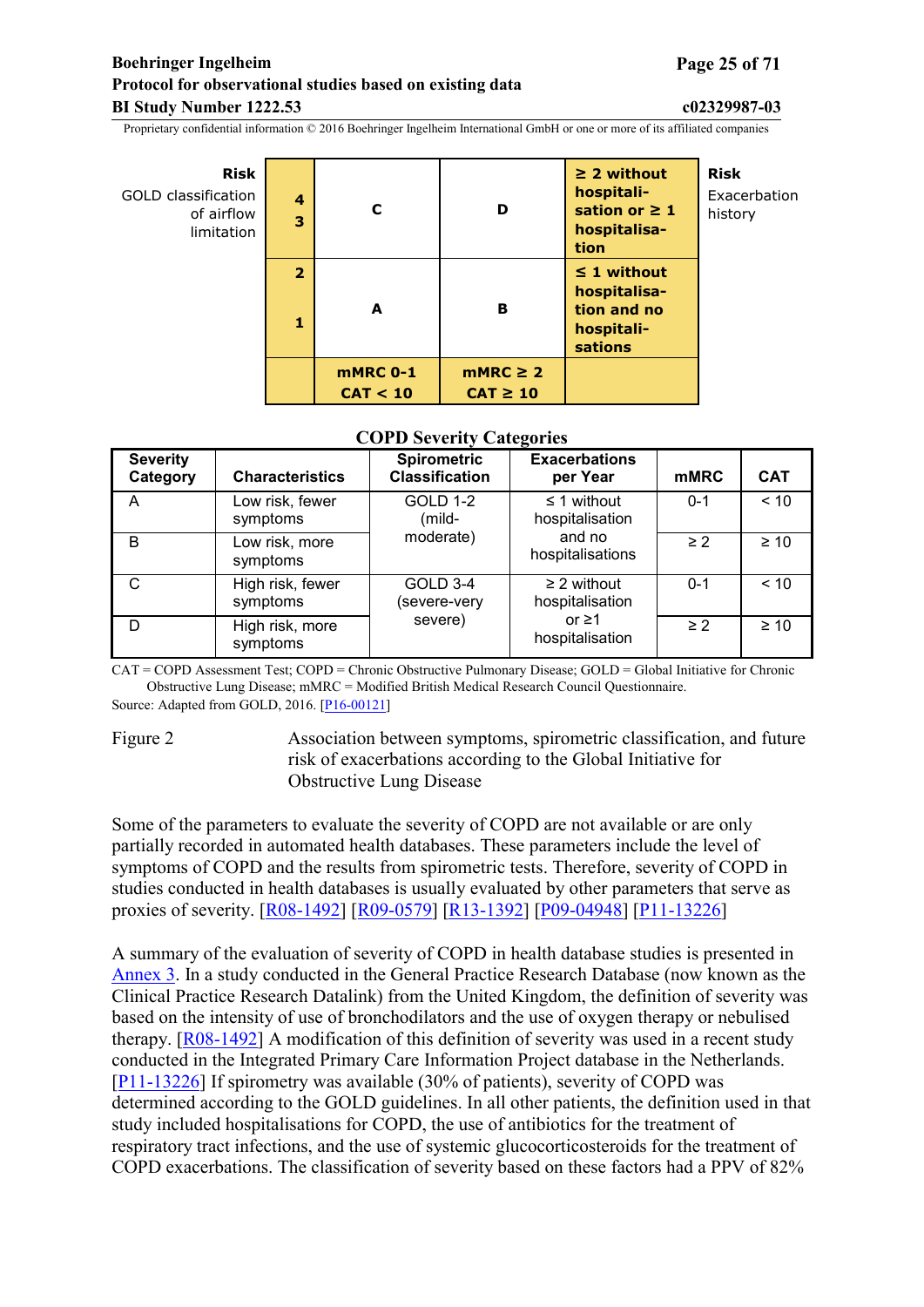#### <span id="page-24-0"></span>**Boehringer Ingelheim Page 25 of 71 Protocol for observational studies based on existing data BI Study Number 1222.53 c02329987-03**

Proprietary confidential information © 2016 Boehringer Ingelheim International GmbH or one or more of its affiliated companies

| Risk<br>GOLD classification<br>of airflow<br>limitation | $\boldsymbol{4}$<br>3 | C                           | D                              | $\geq$ 2 without<br>hospitali-<br>sation or $\geq 1$<br>hospitalisa-<br>tion    | <b>Risk</b><br>Exacerbation<br>history |
|---------------------------------------------------------|-----------------------|-----------------------------|--------------------------------|---------------------------------------------------------------------------------|----------------------------------------|
|                                                         | $\overline{2}$<br>1   | A                           | в                              | $\leq$ 1 without<br>hospitalisa-<br>tion and no<br>hospitali-<br><b>sations</b> |                                        |
|                                                         |                       | <b>mMRC 0-1</b><br>CAT < 10 | $mMRC \geq 2$<br>$CAT \geq 10$ |                                                                                 |                                        |

#### **COPD Severity Categories**

| <b>Severity</b><br>Category | <b>Characteristics</b>       | <b>Spirometric</b><br><b>Classification</b> | <b>Exacerbations</b><br>per Year    | <b>mMRC</b> | <b>CAT</b> |
|-----------------------------|------------------------------|---------------------------------------------|-------------------------------------|-------------|------------|
| A                           | Low risk, fewer<br>symptoms  | <b>GOLD 1-2</b><br>(mild-                   | $\leq$ 1 without<br>hospitalisation | $0 - 1$     | < 10       |
| B                           | Low risk, more<br>symptoms   | moderate)                                   | and no<br>hospitalisations          | $\geq$ 2    | $\geq 10$  |
| C                           | High risk, fewer<br>symptoms | GOLD 3-4<br>(severe-very                    | $\geq$ 2 without<br>hospitalisation | $0 - 1$     | ~10        |
| D                           | High risk, more<br>symptoms  | severe)                                     | or $\geq$ 1<br>hospitalisation      | $\geq$ 2    | $\geq 10$  |

CAT = COPD Assessment Test; COPD = Chronic Obstructive Pulmonary Disease; GOLD = Global Initiative for Chronic Obstructive Lung Disease; mMRC = Modified British Medical Research Council Questionnaire. Source: Adapted from GOLD, 2016. [\[P16-00121\]](#page-45-0)

Figure 2 Association between symptoms, spirometric classification, and future risk of exacerbations according to the Global Initiative for Obstructive Lung Disease

Some of the parameters to evaluate the severity of COPD are not available or are only partially recorded in automated health databases. These parameters include the level of symptoms of COPD and the results from spirometric tests. Therefore, severity of COPD in studies conducted in health databases is usually evaluated by other parameters that serve as proxies of severity. [\[R08-1492](#page-46-0)] [\[R09-0579](#page-46-0)] [\[R13-1392](#page-47-0)] [\[P09-04948](#page-45-0)] [[P11-13226\]](#page-45-0)

A summary of the evaluation of severity of COPD in health database studies is presented in [Annex](#page-61-0) 3. In a study conducted in the General Practice Research Database (now known as the Clinical Practice Research Datalink) from the United Kingdom, the definition of severity was based on the intensity of use of bronchodilators and the use of oxygen therapy or nebulised therapy. [[R08-1492\]](#page-46-0) A modification of this definition of severity was used in a recent study conducted in the Integrated Primary Care Information Project database in the Netherlands. [[P11-13226\]](#page-45-0) If spirometry was available (30% of patients), severity of COPD was determined according to the GOLD guidelines. In all other patients, the definition used in that study included hospitalisations for COPD, the use of antibiotics for the treatment of respiratory tract infections, and the use of systemic glucocorticosteroids for the treatment of COPD exacerbations. The classification of severity based on these factors had a PPV of 82%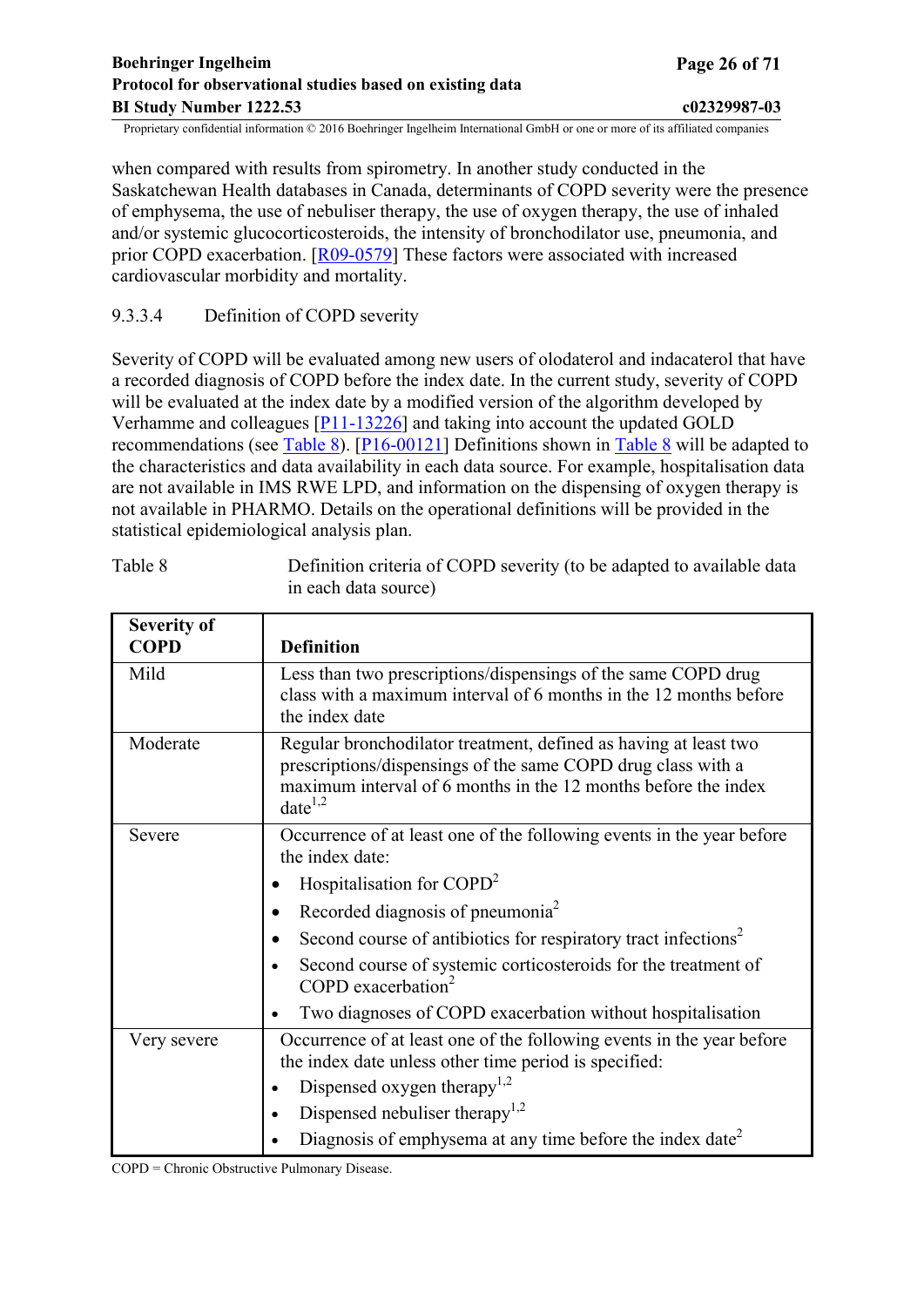<span id="page-25-0"></span>when compared with results from spirometry. In another study conducted in the Saskatchewan Health databases in Canada, determinants of COPD severity were the presence of emphysema, the use of nebuliser therapy, the use of oxygen therapy, the use of inhaled and/or systemic glucocorticosteroids, the intensity of bronchodilator use, pneumonia, and prior COPD exacerbation. [[R09-0579\]](#page-46-0) These factors were associated with increased cardiovascular morbidity and mortality.

## 9.3.3.4 Definition of COPD severity

Severity of COPD will be evaluated among new users of olodaterol and indacaterol that have a recorded diagnosis of COPD before the index date. In the current study, severity of COPD will be evaluated at the index date by a modified version of the algorithm developed by Verhamme and colleagues [\[P11-13226\]](#page-45-0) and taking into account the updated GOLD recommendations (see [Table](#page-25-0) 8). [[P16-00121\]](#page-45-0) Definitions shown in [Table](#page-25-0) 8 will be adapted to the characteristics and data availability in each data source. For example, hospitalisation data are not available in IMS RWE LPD, and information on the dispensing of oxygen therapy is not available in PHARMO. Details on the operational definitions will be provided in the statistical epidemiological analysis plan.

| <b>Severity of</b><br><b>COPD</b> | <b>Definition</b>                                                                                                                                                                                                  |
|-----------------------------------|--------------------------------------------------------------------------------------------------------------------------------------------------------------------------------------------------------------------|
| Mild                              | Less than two prescriptions/dispensings of the same COPD drug<br>class with a maximum interval of 6 months in the 12 months before<br>the index date                                                               |
| Moderate                          | Regular bronchodilator treatment, defined as having at least two<br>prescriptions/dispensings of the same COPD drug class with a<br>maximum interval of 6 months in the 12 months before the index<br>$date^{1,2}$ |
| Severe                            | Occurrence of at least one of the following events in the year before<br>the index date:                                                                                                                           |
|                                   | Hospitalisation for COPD <sup>2</sup>                                                                                                                                                                              |
|                                   | Recorded diagnosis of pneumonia <sup>2</sup>                                                                                                                                                                       |
|                                   | Second course of antibiotics for respiratory tract infections <sup>2</sup>                                                                                                                                         |
|                                   | Second course of systemic corticosteroids for the treatment of<br>COPD exacerbation <sup>2</sup>                                                                                                                   |
|                                   | Two diagnoses of COPD exacerbation without hospitalisation                                                                                                                                                         |
| Very severe                       | Occurrence of at least one of the following events in the year before<br>the index date unless other time period is specified:                                                                                     |
|                                   | Dispensed oxygen therapy <sup>1,2</sup>                                                                                                                                                                            |
|                                   | Dispensed nebuliser therapy <sup>1,2</sup>                                                                                                                                                                         |
|                                   | Diagnosis of emphysema at any time before the index date <sup>2</sup>                                                                                                                                              |

Table 8 Definition criteria of COPD severity (to be adapted to available data in each data source)

COPD = Chronic Obstructive Pulmonary Disease.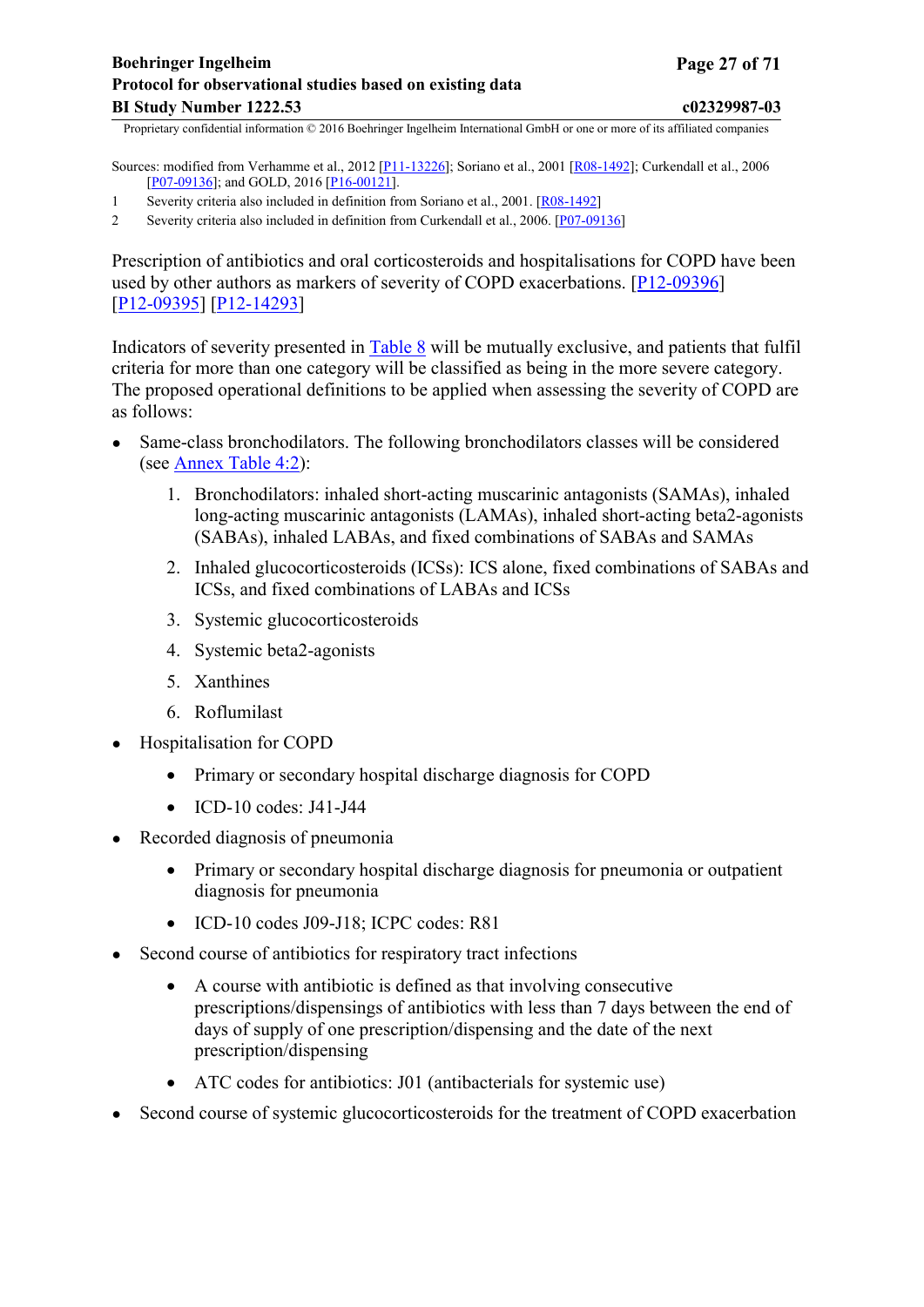Sources: modified from Verhamme et al., 2012 [\[P11-13226\]](#page-45-0); Soriano et al., 2001 [[R08-1492\]](#page-46-0); Curkendall et al., 2006 [[P07-09136](#page-45-0)]; and GOLD, 2016 [[P16-00121](#page-45-0)].

- 1 Severity criteria also included in definition from Soriano et al., 2001. [[R08-1492\]](#page-46-0)
- 2 Severity criteria also included in definition from Curkendall et al., 2006. [[P07-09136](#page-45-0)]

Prescription of antibiotics and oral corticosteroids and hospitalisations for COPD have been used by other authors as markers of severity of COPD exacerbations. [[P12-09396](#page-45-0)] [[P12-09395\]](#page-45-0) [[P12-14293](#page-45-0)]

Indicators of severity presented in [Table 8](#page-25-0) will be mutually exclusive, and patients that fulfil criteria for more than one category will be classified as being in the more severe category. The proposed operational definitions to be applied when assessing the severity of COPD are as follows:

- Same-class bronchodilators. The following bronchodilators classes will be considered (see [Annex](#page-67-0) Table 4:2):
	- 1. Bronchodilators: inhaled short-acting muscarinic antagonists (SAMAs), inhaled long-acting muscarinic antagonists (LAMAs), inhaled short-acting beta2-agonists (SABAs), inhaled LABAs, and fixed combinations of SABAs and SAMAs
	- 2. Inhaled glucocorticosteroids (ICSs): ICS alone, fixed combinations of SABAs and ICSs, and fixed combinations of LABAs and ICSs
	- 3. Systemic glucocorticosteroids
	- 4. Systemic beta2-agonists
	- 5. Xanthines
	- 6. Roflumilast
- Hospitalisation for COPD
	- Primary or secondary hospital discharge diagnosis for COPD
	- $\bullet$  ICD-10 codes: J41-J44
- Recorded diagnosis of pneumonia
	- Primary or secondary hospital discharge diagnosis for pneumonia or outpatient diagnosis for pneumonia
	- ICD-10 codes J09-J18; ICPC codes: R81
- Second course of antibiotics for respiratory tract infections
	- A course with antibiotic is defined as that involving consecutive prescriptions/dispensings of antibiotics with less than 7 days between the end of days of supply of one prescription/dispensing and the date of the next prescription/dispensing
	- ATC codes for antibiotics: J01 (antibacterials for systemic use)
- Second course of systemic glucocorticosteroids for the treatment of COPD exacerbation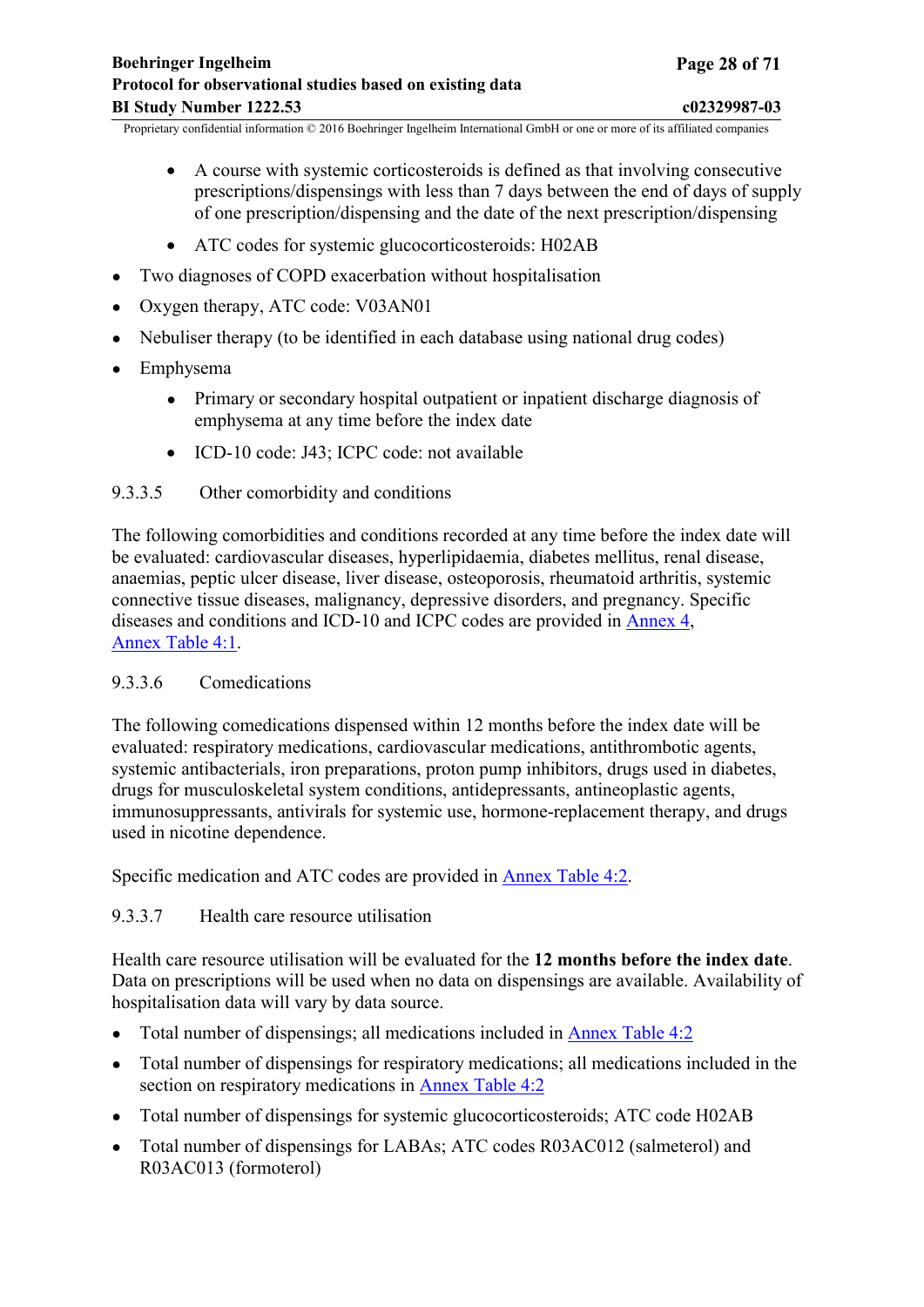- <span id="page-27-0"></span> A course with systemic corticosteroids is defined as that involving consecutive prescriptions/dispensings with less than 7 days between the end of days of supply of one prescription/dispensing and the date of the next prescription/dispensing
- ATC codes for systemic glucocorticosteroids: H02AB
- Two diagnoses of COPD exacerbation without hospitalisation
- Oxygen therapy, ATC code: V03AN01
- Nebuliser therapy (to be identified in each database using national drug codes)
- Emphysema
	- Primary or secondary hospital outpatient or inpatient discharge diagnosis of emphysema at any time before the index date
	- ICD-10 code: J43; ICPC code: not available

#### 9.3.3.5 Other comorbidity and conditions

The following comorbidities and conditions recorded at any time before the index date will be evaluated: cardiovascular diseases, hyperlipidaemia, diabetes mellitus, renal disease, anaemias, peptic ulcer disease, liver disease, osteoporosis, rheumatoid arthritis, systemic connective tissue diseases, malignancy, depressive disorders, and pregnancy. Specific diseases and conditions and ICD-10 and ICPC codes are provided in [Annex](#page-63-0) 4, [Annex](#page-63-0) Table 4:1.

#### 9.3.3.6 Comedications

The following comedications dispensed within 12 months before the index date will be evaluated: respiratory medications, cardiovascular medications, antithrombotic agents, systemic antibacterials, iron preparations, proton pump inhibitors, drugs used in diabetes, drugs for musculoskeletal system conditions, antidepressants, antineoplastic agents, immunosuppressants, antivirals for systemic use, hormone-replacement therapy, and drugs used in nicotine dependence.

Specific medication and ATC codes are provided in [Annex Table 4:2.](#page-67-0)

## 9.3.3.7 Health care resource utilisation

Health care resource utilisation will be evaluated for the **12 months before the index date**. Data on prescriptions will be used when no data on dispensings are available. Availability of hospitalisation data will vary by data source.

- Total number of dispensings; all medications included in [Annex](#page-67-0) Table 4:2
- Total number of dispensings for respiratory medications; all medications included in the section on respiratory medications in [Annex](#page-67-0) Table 4:2
- Total number of dispensings for systemic glucocorticosteroids; ATC code H02AB
- Total number of dispensings for LABAs; ATC codes R03AC012 (salmeterol) and R03AC013 (formoterol)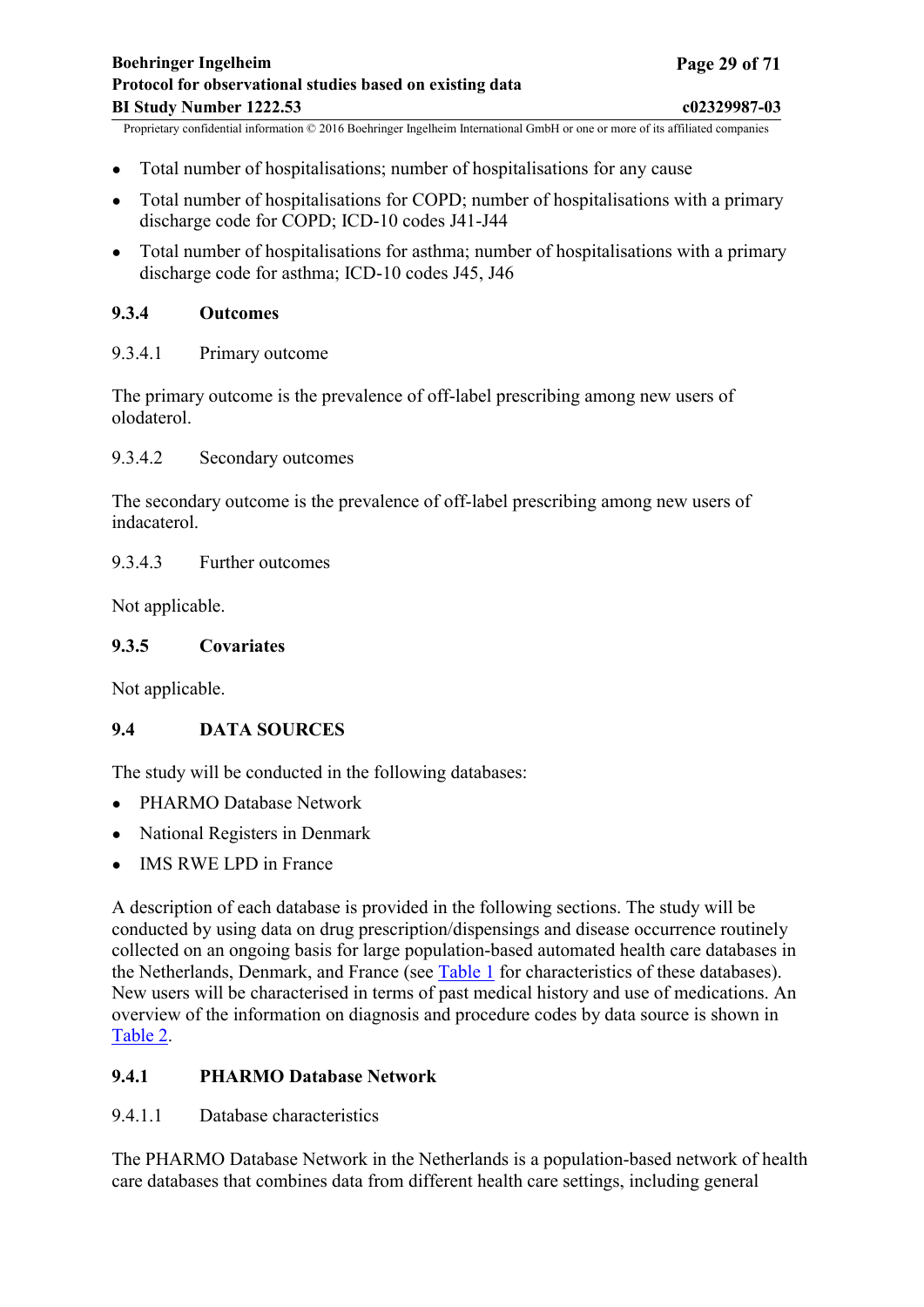- <span id="page-28-0"></span>• Total number of hospitalisations; number of hospitalisations for any cause
- Total number of hospitalisations for COPD; number of hospitalisations with a primary discharge code for COPD; ICD-10 codes J41-J44
- Total number of hospitalisations for asthma; number of hospitalisations with a primary discharge code for asthma; ICD-10 codes J45, J46

## **9.3.4 Outcomes**

9.3.4.1 Primary outcome

The primary outcome is the prevalence of off-label prescribing among new users of olodaterol.

9.3.4.2 Secondary outcomes

The secondary outcome is the prevalence of off-label prescribing among new users of indacaterol.

9.3.4.3 Further outcomes

Not applicable.

#### **9.3.5 Covariates**

Not applicable.

## **9.4 DATA SOURCES**

The study will be conducted in the following databases:

- PHARMO Database Network
- National Registers in Denmark
- IMS RWE LPD in France

A description of each database is provided in the following sections. The study will be conducted by using data on drug prescription/dispensings and disease occurrence routinely collected on an ongoing basis for large population-based automated health care databases in the Netherlands, Denmark, and France (see [Table](#page-15-0) 1 for characteristics of these databases). New users will be characterised in terms of past medical history and use of medications. An overview of the information on diagnosis and procedure codes by data source is shown in [Table](#page-16-0) 2.

## **9.4.1 PHARMO Database Network**

9.4.1.1 Database characteristics

The PHARMO Database Network in the Netherlands is a population-based network of health care databases that combines data from different health care settings, including general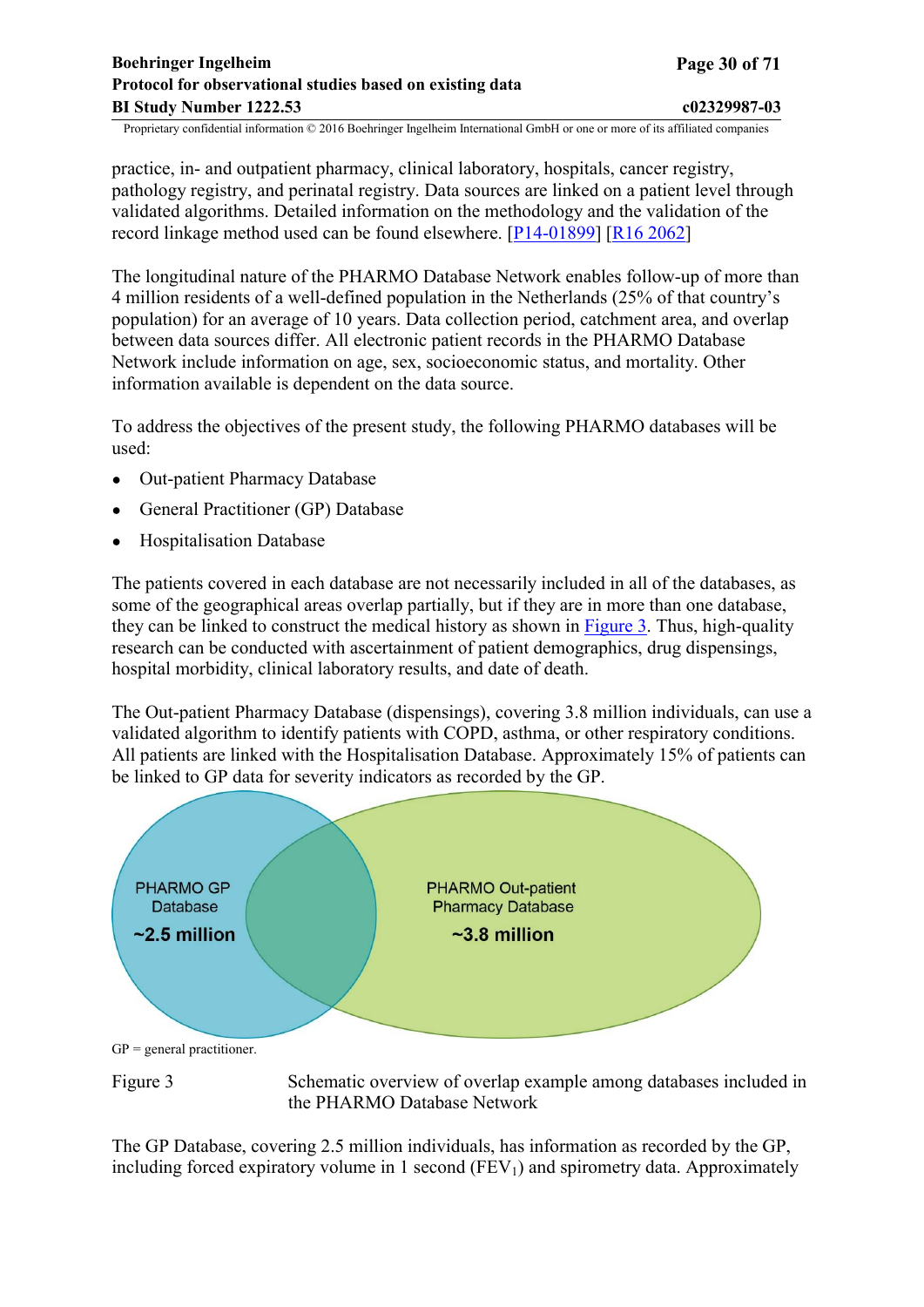<span id="page-29-0"></span>practice, in- and outpatient pharmacy, clinical laboratory, hospitals, cancer registry, pathology registry, and perinatal registry. Data sources are linked on a patient level through validated algorithms. Detailed information on the methodology and the validation of the record linkage method used can be found elsewhere. [[P14-01899\]](#page-45-0) [R16 [2062\]](#page-49-0)

The longitudinal nature of the PHARMO Database Network enables follow-up of more than 4 million residents of a well-defined population in the Netherlands (25% of that country's population) for an average of 10 years. Data collection period, catchment area, and overlap between data sources differ. All electronic patient records in the PHARMO Database Network include information on age, sex, socioeconomic status, and mortality. Other information available is dependent on the data source.

To address the objectives of the present study, the following PHARMO databases will be used:

- Out-patient Pharmacy Database
- General Practitioner (GP) Database
- Hospitalisation Database

The patients covered in each database are not necessarily included in all of the databases, as some of the geographical areas overlap partially, but if they are in more than one database. they can be linked to construct the medical history as shown in [Figure](#page-29-0) 3. Thus, high-quality research can be conducted with ascertainment of patient demographics, drug dispensings, hospital morbidity, clinical laboratory results, and date of death.

The Out-patient Pharmacy Database (dispensings), covering 3.8 million individuals, can use a validated algorithm to identify patients with COPD, asthma, or other respiratory conditions. All patients are linked with the Hospitalisation Database. Approximately 15% of patients can be linked to GP data for severity indicators as recorded by the GP.



 $GP = general$  practitioner.

Figure 3 Schematic overview of overlap example among databases included in the PHARMO Database Network

The GP Database, covering 2.5 million individuals, has information as recorded by the GP, including forced expiratory volume in 1 second  $(FEV_1)$  and spirometry data. Approximately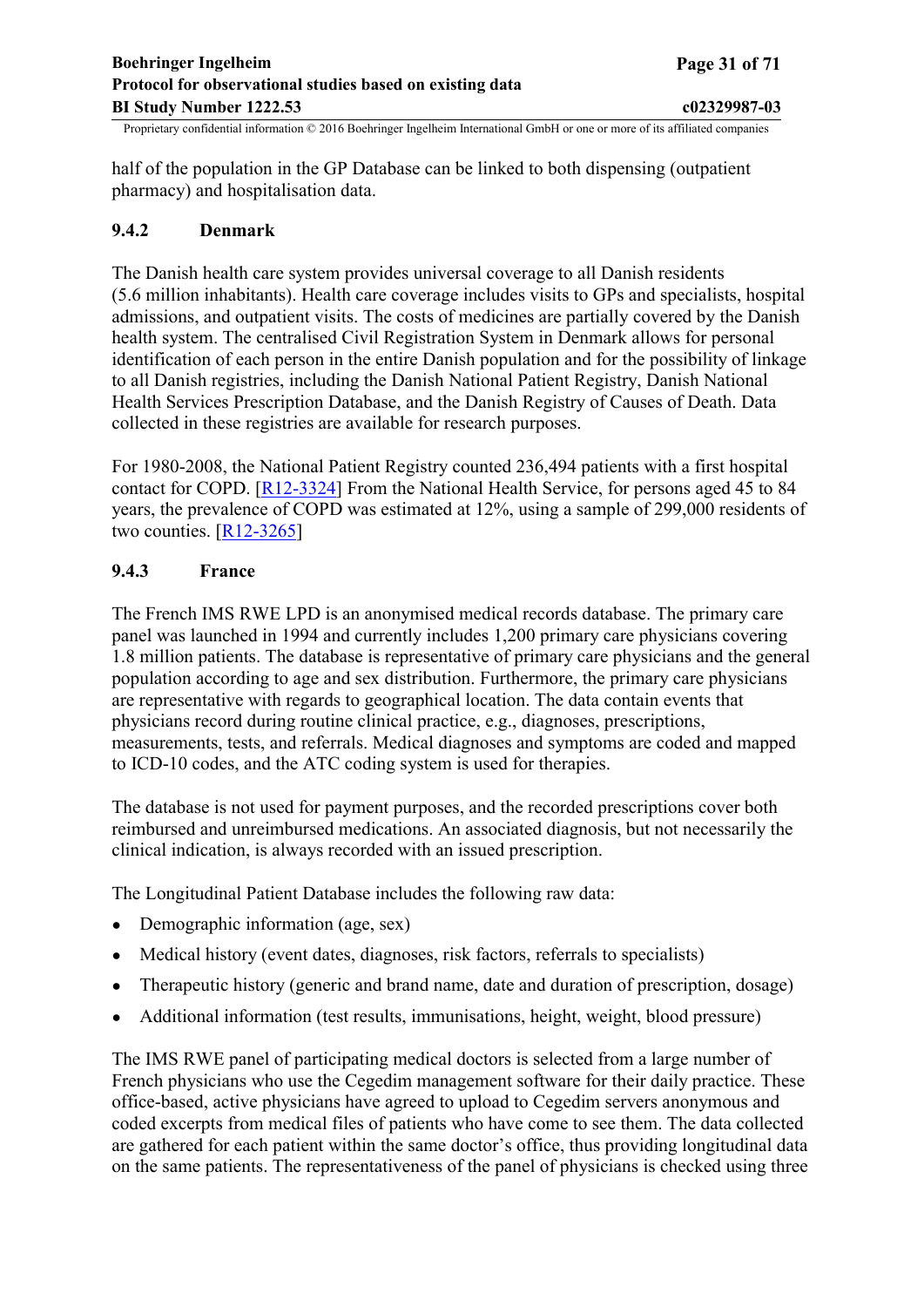<span id="page-30-0"></span>half of the population in the GP Database can be linked to both dispensing (outpatient pharmacy) and hospitalisation data.

## **9.4.2 Denmark**

The Danish health care system provides universal coverage to all Danish residents (5.6 million inhabitants). Health care coverage includes visits to GPs and specialists, hospital admissions, and outpatient visits. The costs of medicines are partially covered by the Danish health system. The centralised Civil Registration System in Denmark allows for personal identification of each person in the entire Danish population and for the possibility of linkage to all Danish registries, including the Danish National Patient Registry, Danish National Health Services Prescription Database, and the Danish Registry of Causes of Death. Data collected in these registries are available for research purposes.

For 1980-2008, the National Patient Registry counted 236,494 patients with a first hospital contact for COPD. [[R12-3324\]](#page-47-0) From the National Health Service, for persons aged 45 to 84 years, the prevalence of COPD was estimated at 12%, using a sample of 299,000 residents of two counties.  $[R12-3265]$  $[R12-3265]$  $[R12-3265]$ 

## **9.4.3 France**

The French IMS RWE LPD is an anonymised medical records database. The primary care panel was launched in 1994 and currently includes 1,200 primary care physicians covering 1.8 million patients. The database is representative of primary care physicians and the general population according to age and sex distribution. Furthermore, the primary care physicians are representative with regards to geographical location. The data contain events that physicians record during routine clinical practice, e.g., diagnoses, prescriptions, measurements, tests, and referrals. Medical diagnoses and symptoms are coded and mapped to ICD-10 codes, and the ATC coding system is used for therapies.

The database is not used for payment purposes, and the recorded prescriptions cover both reimbursed and unreimbursed medications. An associated diagnosis, but not necessarily the clinical indication, is always recorded with an issued prescription.

The Longitudinal Patient Database includes the following raw data:

- Demographic information (age, sex)
- Medical history (event dates, diagnoses, risk factors, referrals to specialists)
- Therapeutic history (generic and brand name, date and duration of prescription, dosage)
- Additional information (test results, immunisations, height, weight, blood pressure)

The IMS RWE panel of participating medical doctors is selected from a large number of French physicians who use the Cegedim management software for their daily practice. These office-based, active physicians have agreed to upload to Cegedim servers anonymous and coded excerpts from medical files of patients who have come to see them. The data collected are gathered for each patient within the same doctor's office, thus providing longitudinal data on the same patients. The representativeness of the panel of physicians is checked using three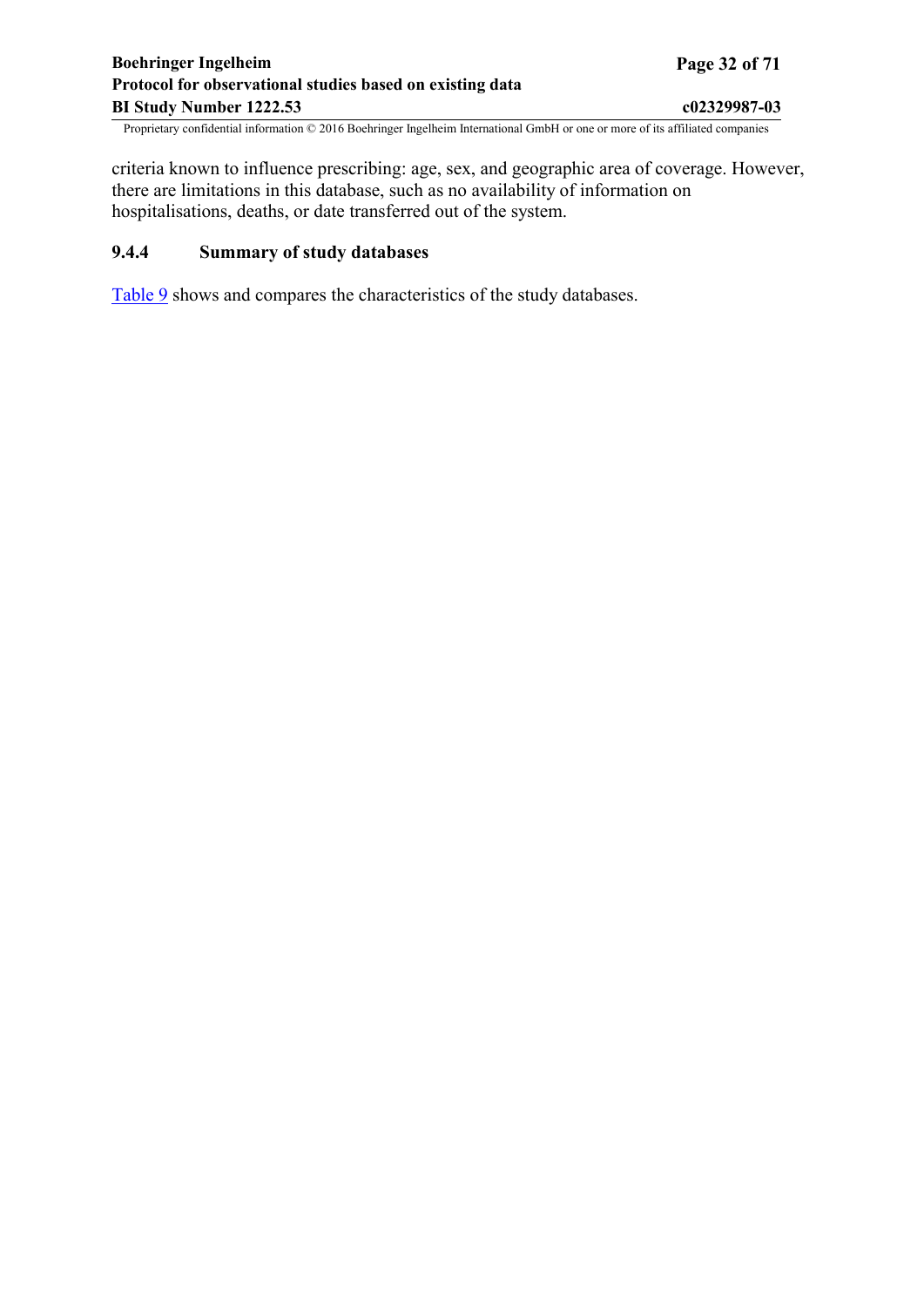<span id="page-31-0"></span>criteria known to influence prescribing: age, sex, and geographic area of coverage. However, there are limitations in this database, such as no availability of information on hospitalisations, deaths, or date transferred out of the system.

## **9.4.4 Summary of study databases**

[Table](#page-32-0) 9 shows and compares the characteristics of the study databases.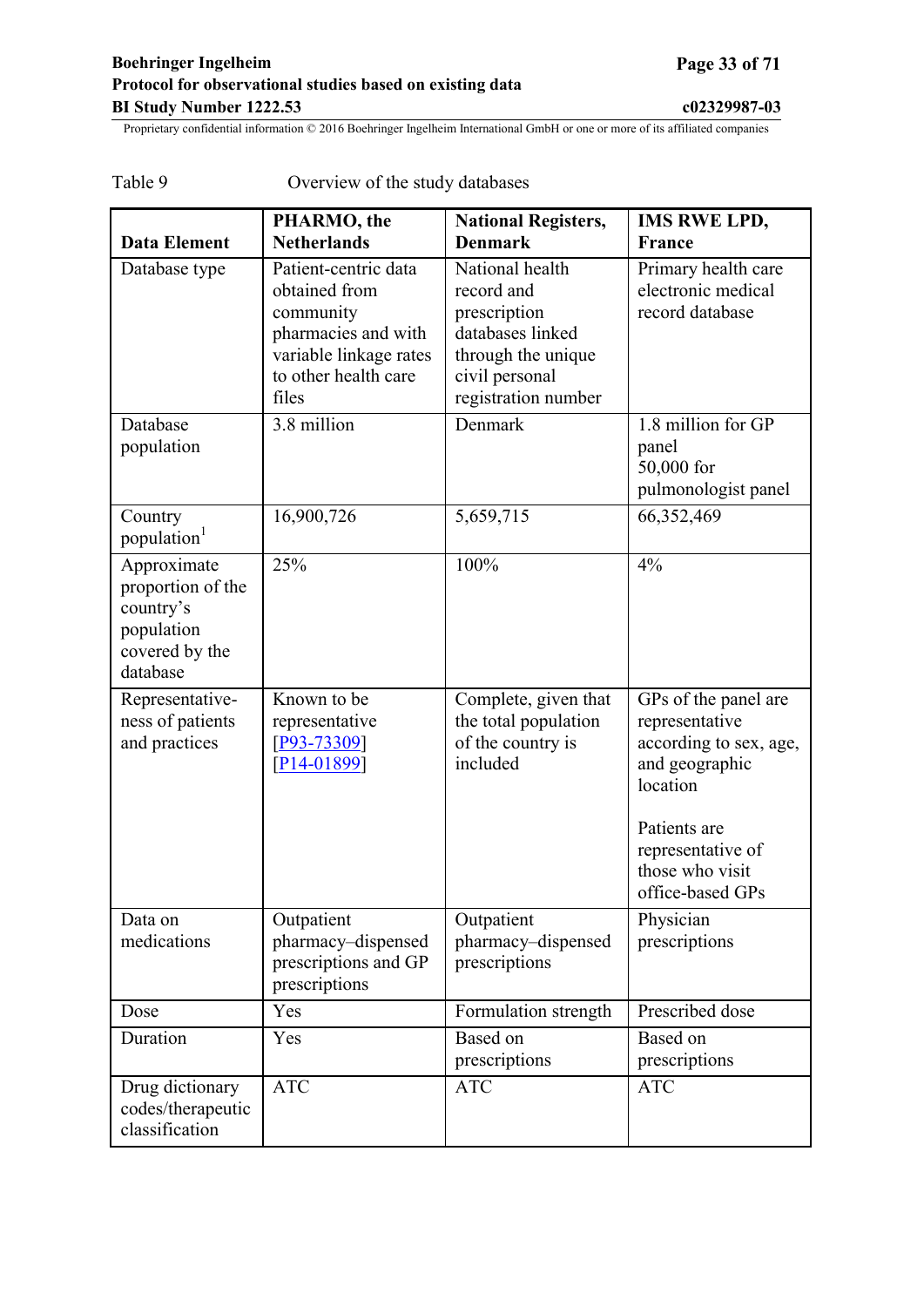|                                                                                           | PHARMO, the                                                                                                                          | <b>National Registers,</b>                                                                                                       | <b>IMS RWE LPD,</b>                                                                                                                                    |
|-------------------------------------------------------------------------------------------|--------------------------------------------------------------------------------------------------------------------------------------|----------------------------------------------------------------------------------------------------------------------------------|--------------------------------------------------------------------------------------------------------------------------------------------------------|
| <b>Data Element</b>                                                                       | <b>Netherlands</b>                                                                                                                   | <b>Denmark</b>                                                                                                                   | <b>France</b>                                                                                                                                          |
| Database type                                                                             | Patient-centric data<br>obtained from<br>community<br>pharmacies and with<br>variable linkage rates<br>to other health care<br>files | National health<br>record and<br>prescription<br>databases linked<br>through the unique<br>civil personal<br>registration number | Primary health care<br>electronic medical<br>record database                                                                                           |
| Database<br>population                                                                    | 3.8 million                                                                                                                          | Denmark                                                                                                                          | 1.8 million for GP<br>panel<br>50,000 for<br>pulmonologist panel                                                                                       |
| Country<br>population <sup>1</sup>                                                        | 16,900,726                                                                                                                           | 5,659,715                                                                                                                        | 66,352,469                                                                                                                                             |
| Approximate<br>proportion of the<br>country's<br>population<br>covered by the<br>database | 25%                                                                                                                                  | $100\%$                                                                                                                          | 4%                                                                                                                                                     |
| Representative-<br>ness of patients<br>and practices                                      | Known to be<br>representative<br>$[P93 - 73309]$<br>$[P14-01899]$                                                                    | Complete, given that<br>the total population<br>of the country is<br>included                                                    | GPs of the panel are<br>representative<br>according to sex, age,<br>and geographic<br>location<br>Patients are<br>representative of<br>those who visit |
| Data on<br>medications                                                                    | Outpatient<br>pharmacy-dispensed<br>prescriptions and GP<br>prescriptions                                                            | Outpatient<br>pharmacy-dispensed<br>prescriptions                                                                                | office-based GPs<br>Physician<br>prescriptions                                                                                                         |
| Dose                                                                                      | Yes                                                                                                                                  | Formulation strength                                                                                                             | Prescribed dose                                                                                                                                        |
| Duration                                                                                  | Yes                                                                                                                                  | Based on<br>prescriptions                                                                                                        | Based on<br>prescriptions                                                                                                                              |
| Drug dictionary<br>codes/therapeutic<br>classification                                    | <b>ATC</b>                                                                                                                           | <b>ATC</b>                                                                                                                       | <b>ATC</b>                                                                                                                                             |

## <span id="page-32-0"></span>Table 9 Overview of the study databases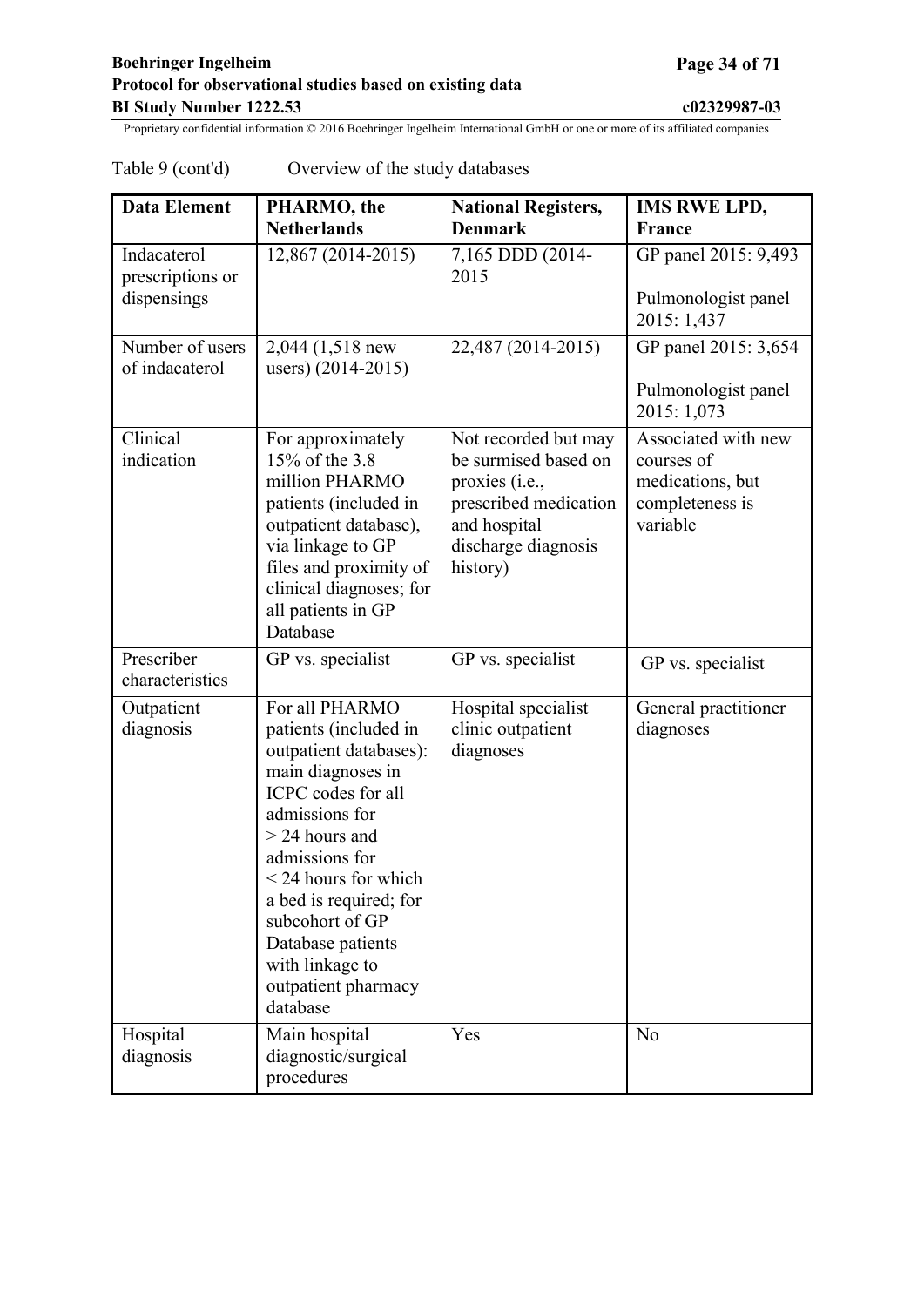## Table 9 (cont'd) Overview of the study databases

| <b>Data Element</b>                            | PHARMO, the<br><b>Netherlands</b>                                                                                                                                                                                                                                                                                         | <b>National Registers,</b><br><b>Denmark</b>                                                                                               | <b>IMS RWE LPD,</b><br><b>France</b>                                                 |
|------------------------------------------------|---------------------------------------------------------------------------------------------------------------------------------------------------------------------------------------------------------------------------------------------------------------------------------------------------------------------------|--------------------------------------------------------------------------------------------------------------------------------------------|--------------------------------------------------------------------------------------|
| Indacaterol<br>prescriptions or<br>dispensings | 12,867 (2014-2015)                                                                                                                                                                                                                                                                                                        | 7,165 DDD (2014-<br>2015                                                                                                                   | GP panel 2015: 9,493<br>Pulmonologist panel<br>2015: 1,437                           |
| Number of users<br>of indacaterol              | 2,044 (1,518 new<br>users) (2014-2015)                                                                                                                                                                                                                                                                                    | 22,487 (2014-2015)                                                                                                                         | GP panel 2015: 3,654<br>Pulmonologist panel<br>2015: 1,073                           |
| Clinical<br>indication                         | For approximately<br>15% of the 3.8<br>million PHARMO<br>patients (included in<br>outpatient database),<br>via linkage to GP<br>files and proximity of<br>clinical diagnoses; for<br>all patients in GP<br>Database                                                                                                       | Not recorded but may<br>be surmised based on<br>proxies (i.e.,<br>prescribed medication<br>and hospital<br>discharge diagnosis<br>history) | Associated with new<br>courses of<br>medications, but<br>completeness is<br>variable |
| Prescriber<br>characteristics                  | GP vs. specialist                                                                                                                                                                                                                                                                                                         | GP vs. specialist                                                                                                                          | GP vs. specialist                                                                    |
| Outpatient<br>diagnosis                        | For all PHARMO<br>patients (included in<br>outpatient databases):<br>main diagnoses in<br>ICPC codes for all<br>admissions for<br>$>$ 24 hours and<br>admissions for<br>$\leq$ 24 hours for which<br>a bed is required; for<br>subcohort of GP<br>Database patients<br>with linkage to<br>outpatient pharmacy<br>database | Hospital specialist<br>clinic outpatient<br>diagnoses                                                                                      | General practitioner<br>diagnoses                                                    |
| Hospital<br>diagnosis                          | Main hospital<br>diagnostic/surgical<br>procedures                                                                                                                                                                                                                                                                        | Yes                                                                                                                                        | N <sub>o</sub>                                                                       |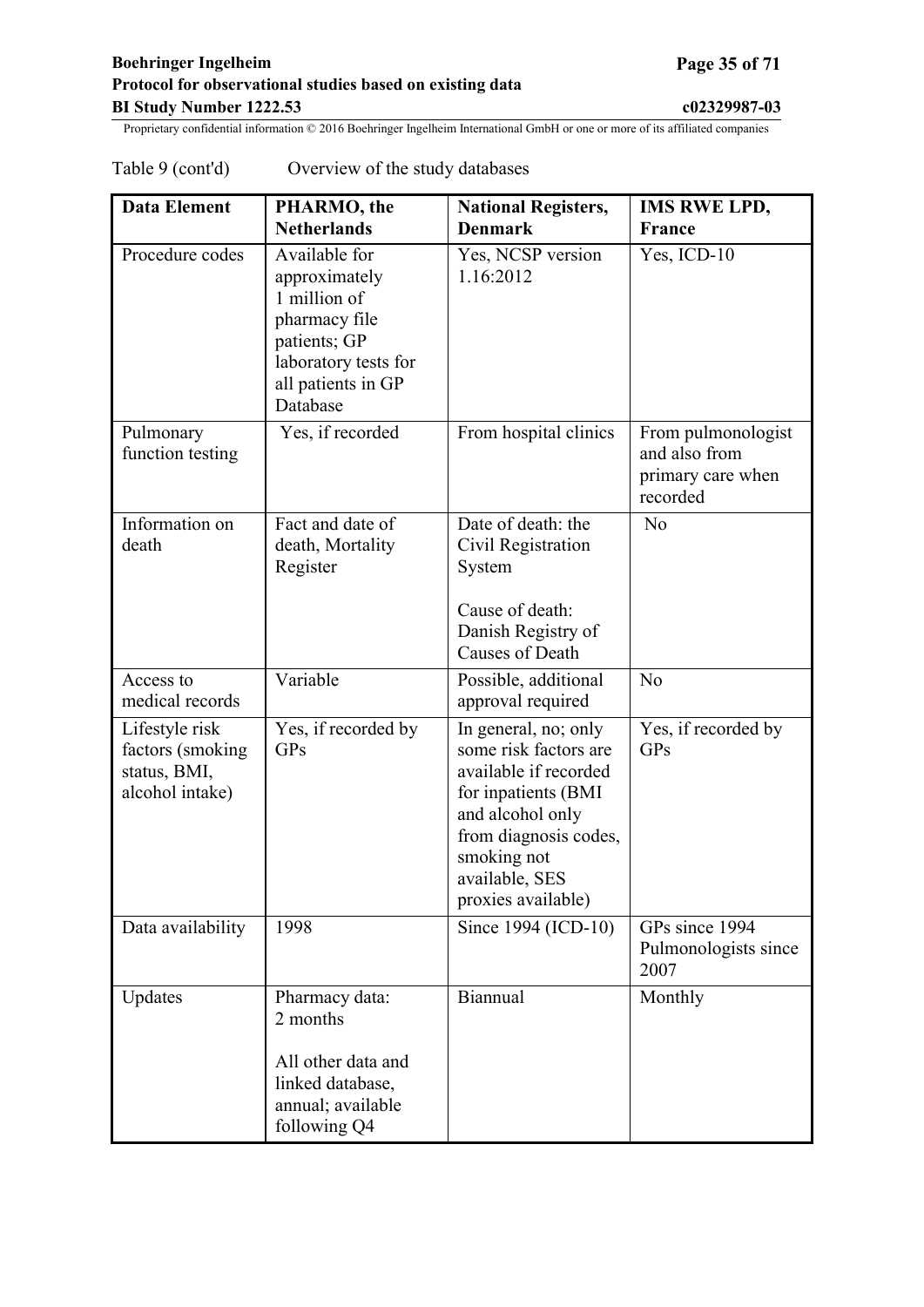|  | Table 9 (cont'd) | Overview of the study databases |
|--|------------------|---------------------------------|
|--|------------------|---------------------------------|

| <b>Data Element</b>                                                    | PHARMO, the<br><b>Netherlands</b>                                                                                                         | <b>National Registers,</b><br><b>Denmark</b>                                                                                                                                                      | <b>IMS RWE LPD,</b><br><b>France</b>                                 |
|------------------------------------------------------------------------|-------------------------------------------------------------------------------------------------------------------------------------------|---------------------------------------------------------------------------------------------------------------------------------------------------------------------------------------------------|----------------------------------------------------------------------|
| Procedure codes                                                        | Available for<br>approximately<br>1 million of<br>pharmacy file<br>patients; GP<br>laboratory tests for<br>all patients in GP<br>Database | Yes, NCSP version<br>1.16:2012                                                                                                                                                                    | Yes, ICD-10                                                          |
| Pulmonary<br>function testing                                          | Yes, if recorded                                                                                                                          | From hospital clinics                                                                                                                                                                             | From pulmonologist<br>and also from<br>primary care when<br>recorded |
| Information on<br>death                                                | Fact and date of<br>death, Mortality<br>Register                                                                                          | Date of death: the<br>Civil Registration<br>System<br>Cause of death:<br>Danish Registry of<br>Causes of Death                                                                                    | N <sub>o</sub>                                                       |
| Access to<br>medical records                                           | Variable                                                                                                                                  | Possible, additional<br>approval required                                                                                                                                                         | No                                                                   |
| Lifestyle risk<br>factors (smoking)<br>status, BMI,<br>alcohol intake) | Yes, if recorded by<br><b>GPs</b>                                                                                                         | In general, no; only<br>some risk factors are<br>available if recorded<br>for inpatients (BMI<br>and alcohol only<br>from diagnosis codes,<br>smoking not<br>available, SES<br>proxies available) | Yes, if recorded by<br><b>GPs</b>                                    |
| Data availability                                                      | 1998                                                                                                                                      | Since 1994 (ICD-10)                                                                                                                                                                               | $\overline{GP}$ s since 1994<br>Pulmonologists since<br>2007         |
| Updates                                                                | Pharmacy data:<br>2 months<br>All other data and<br>linked database,<br>annual; available<br>following Q4                                 | Biannual                                                                                                                                                                                          | Monthly                                                              |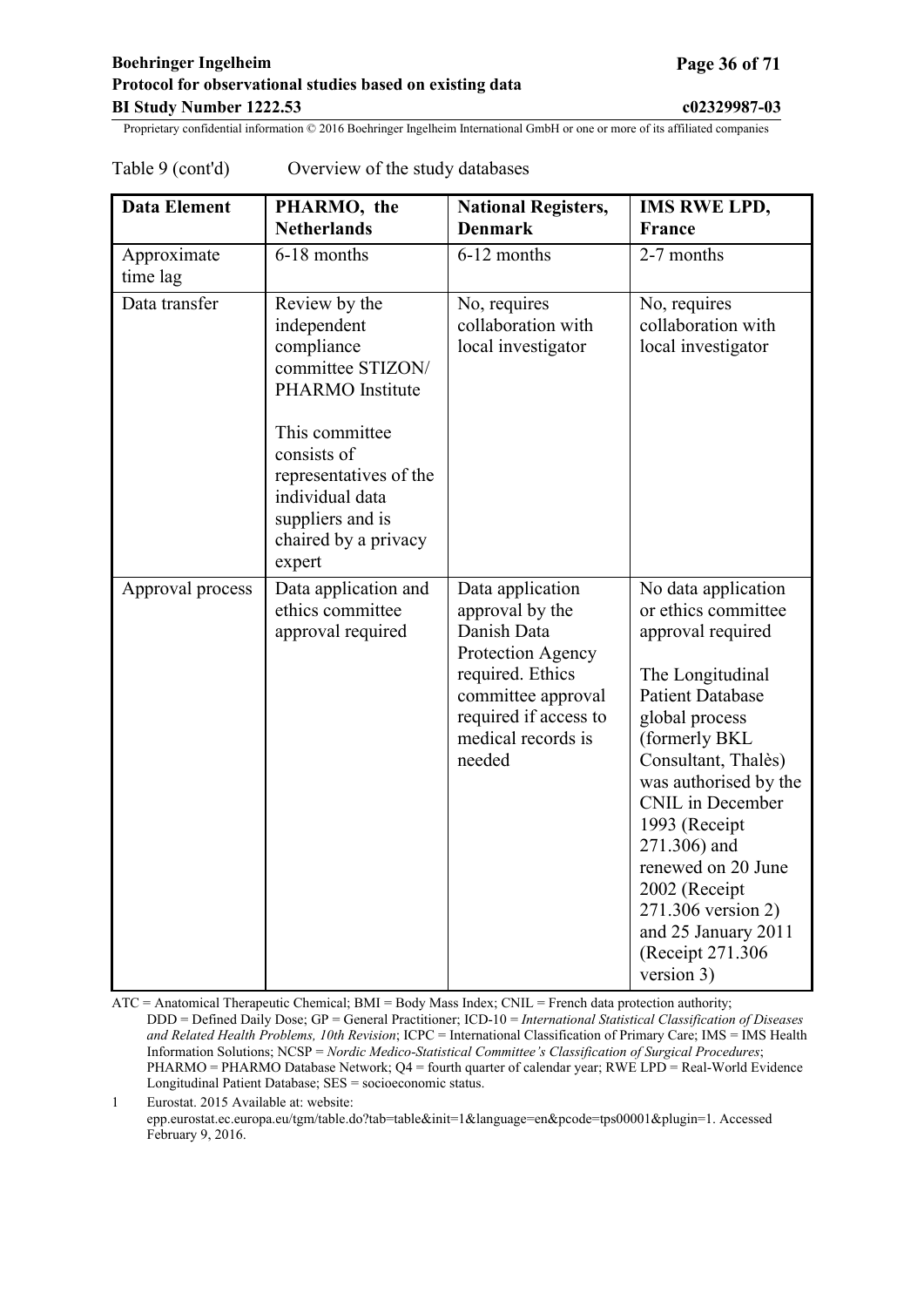| <b>Data Element</b>     | PHARMO, the<br><b>Netherlands</b>                                                                                                                                                                                              | <b>National Registers,</b><br><b>Denmark</b>                                                                                                                               | <b>IMS RWE LPD,</b><br>France                                                                                                                                                                                                                                                                                                                                                  |
|-------------------------|--------------------------------------------------------------------------------------------------------------------------------------------------------------------------------------------------------------------------------|----------------------------------------------------------------------------------------------------------------------------------------------------------------------------|--------------------------------------------------------------------------------------------------------------------------------------------------------------------------------------------------------------------------------------------------------------------------------------------------------------------------------------------------------------------------------|
| Approximate<br>time lag | 6-18 months                                                                                                                                                                                                                    | 6-12 months                                                                                                                                                                | 2-7 months                                                                                                                                                                                                                                                                                                                                                                     |
| Data transfer           | Review by the<br>independent<br>compliance<br>committee STIZON/<br><b>PHARMO</b> Institute<br>This committee<br>consists of<br>representatives of the<br>individual data<br>suppliers and is<br>chaired by a privacy<br>expert | No, requires<br>collaboration with<br>local investigator                                                                                                                   | No, requires<br>collaboration with<br>local investigator                                                                                                                                                                                                                                                                                                                       |
| Approval process        | Data application and<br>ethics committee<br>approval required                                                                                                                                                                  | Data application<br>approval by the<br>Danish Data<br>Protection Agency<br>required. Ethics<br>committee approval<br>required if access to<br>medical records is<br>needed | No data application<br>or ethics committee<br>approval required<br>The Longitudinal<br><b>Patient Database</b><br>global process<br>(formerly BKL)<br>Consultant, Thalès)<br>was authorised by the<br>CNIL in December<br>1993 (Receipt<br>271.306) and<br>renewed on 20 June<br>2002 (Receipt<br>271.306 version 2)<br>and 25 January 2011<br>(Receipt 271.306)<br>version 3) |

<span id="page-35-0"></span>Table 9 (cont'd) Overview of the study databases

ATC = Anatomical Therapeutic Chemical; BMI = Body Mass Index; CNIL = French data protection authority; DDD = Defined Daily Dose; GP = General Practitioner; ICD-10 = *International Statistical Classification of Diseases and Related Health Problems, 10th Revision*; ICPC = International Classification of Primary Care; IMS = IMS Health Information Solutions; NCSP = *Nordic Medico-Statistical Committee's Classification of Surgical Procedures*; PHARMO = PHARMO Database Network; Q4 = fourth quarter of calendar year; RWE LPD = Real-World Evidence Longitudinal Patient Database; SES = socioeconomic status.

1 Eurostat. 2015 Available at: website: epp.eurostat.ec.europa.eu/tgm/table.do?tab=table&init=1&language=en&pcode=tps00001&plugin=1. Accessed February 9, 2016.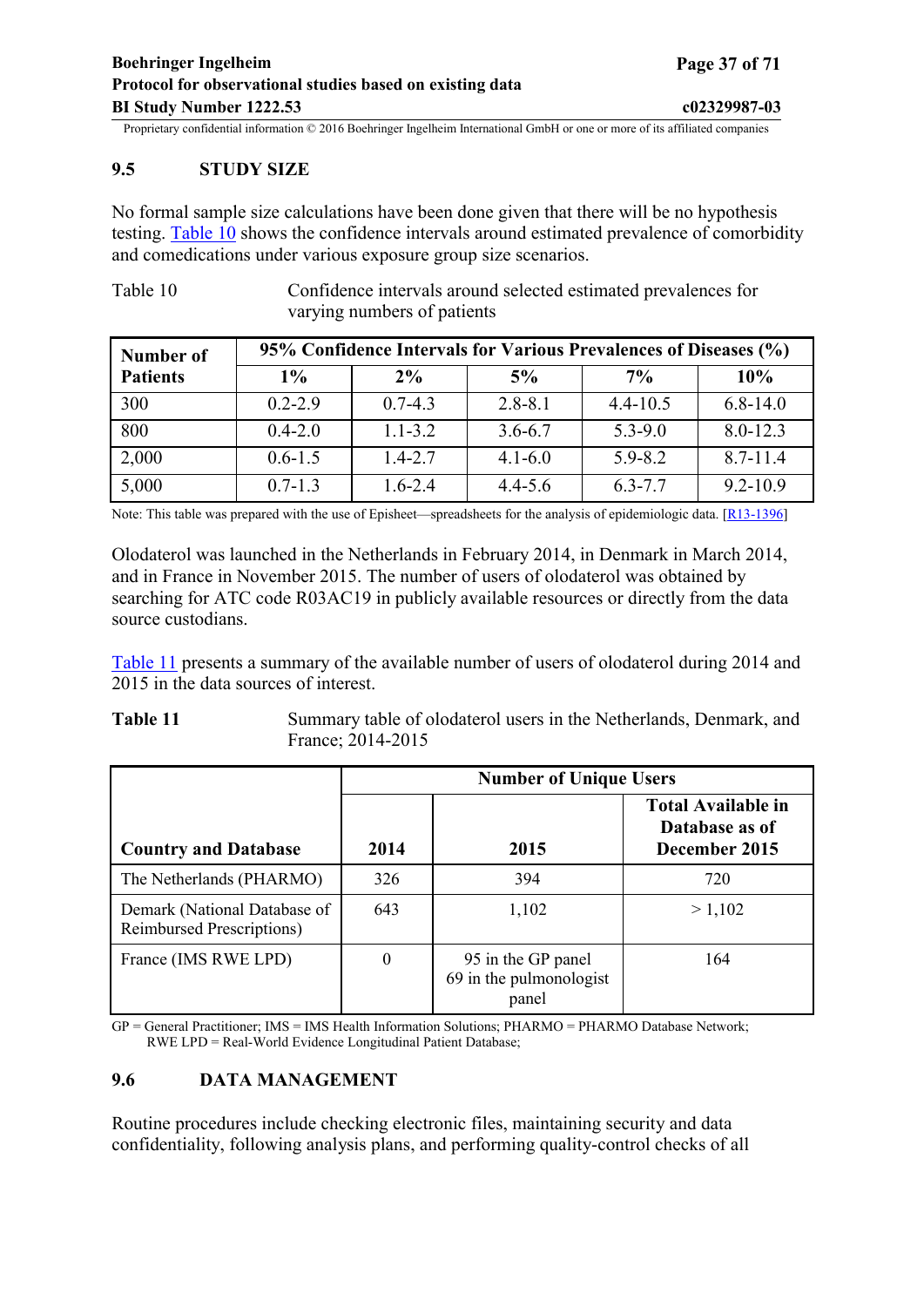#### <span id="page-36-0"></span>**9.5 STUDY SIZE**

No formal sample size calculations have been done given that there will be no hypothesis testing. [Table](#page-36-0) 10 shows the confidence intervals around estimated prevalence of comorbidity and comedications under various exposure group size scenarios.

Table 10 Confidence intervals around selected estimated prevalences for varying numbers of patients

| Number of       | 95% Confidence Intervals for Various Prevalences of Diseases (%) |             |             |              |              |  |
|-----------------|------------------------------------------------------------------|-------------|-------------|--------------|--------------|--|
| <b>Patients</b> | $1\%$                                                            | $2\%$       | 5%          | $7\%$        | 10%          |  |
| 300             | $0.2 - 2.9$                                                      | $0.7 - 4.3$ | $2.8 - 8.1$ | $4.4 - 10.5$ | $6.8 - 14.0$ |  |
| 800             | $0.4 - 2.0$                                                      | $1.1 - 3.2$ | $3.6 - 6.7$ | $5.3 - 9.0$  | $8.0 - 12.3$ |  |
| 2,000           | $0.6 - 1.5$                                                      | $1.4 - 2.7$ | $4.1 - 6.0$ | $5.9 - 8.2$  | $8.7 - 11.4$ |  |
| 5,000           | $0.7 - 1.3$                                                      | $1.6 - 2.4$ | $4.4 - 5.6$ | $6.3 - 7.7$  | $9.2 - 10.9$ |  |

Note: This table was prepared with the use of Episheet—spreadsheets for the analysis of epidemiologic data. [[R13-1396\]](#page-47-0)

Olodaterol was launched in the Netherlands in February 2014, in Denmark in March 2014, and in France in November 2015. The number of users of olodaterol was obtained by searching for ATC code R03AC19 in publicly available resources or directly from the data source custodians.

[Table 11](#page-36-0) presents a summary of the available number of users of olodaterol during 2014 and 2015 in the data sources of interest.

#### **Table 11** Summary table of olodaterol users in the Netherlands, Denmark, and France; 2014-2015

|                                                                   | <b>Number of Unique Users</b> |                                                        |                                                              |  |  |
|-------------------------------------------------------------------|-------------------------------|--------------------------------------------------------|--------------------------------------------------------------|--|--|
| <b>Country and Database</b>                                       | 2014                          | 2015                                                   | <b>Total Available in</b><br>Database as of<br>December 2015 |  |  |
| The Netherlands (PHARMO)                                          | 326                           | 394                                                    | 720                                                          |  |  |
| Demark (National Database of<br><b>Reimbursed Prescriptions</b> ) | 643                           | 1,102                                                  | > 1,102                                                      |  |  |
| France (IMS RWE LPD)                                              | 0                             | 95 in the GP panel<br>69 in the pulmonologist<br>panel | 164                                                          |  |  |

GP = General Practitioner; IMS = IMS Health Information Solutions; PHARMO = PHARMO Database Network; RWE LPD = Real-World Evidence Longitudinal Patient Database;

#### **9.6 DATA MANAGEMENT**

Routine procedures include checking electronic files, maintaining security and data confidentiality, following analysis plans, and performing quality-control checks of all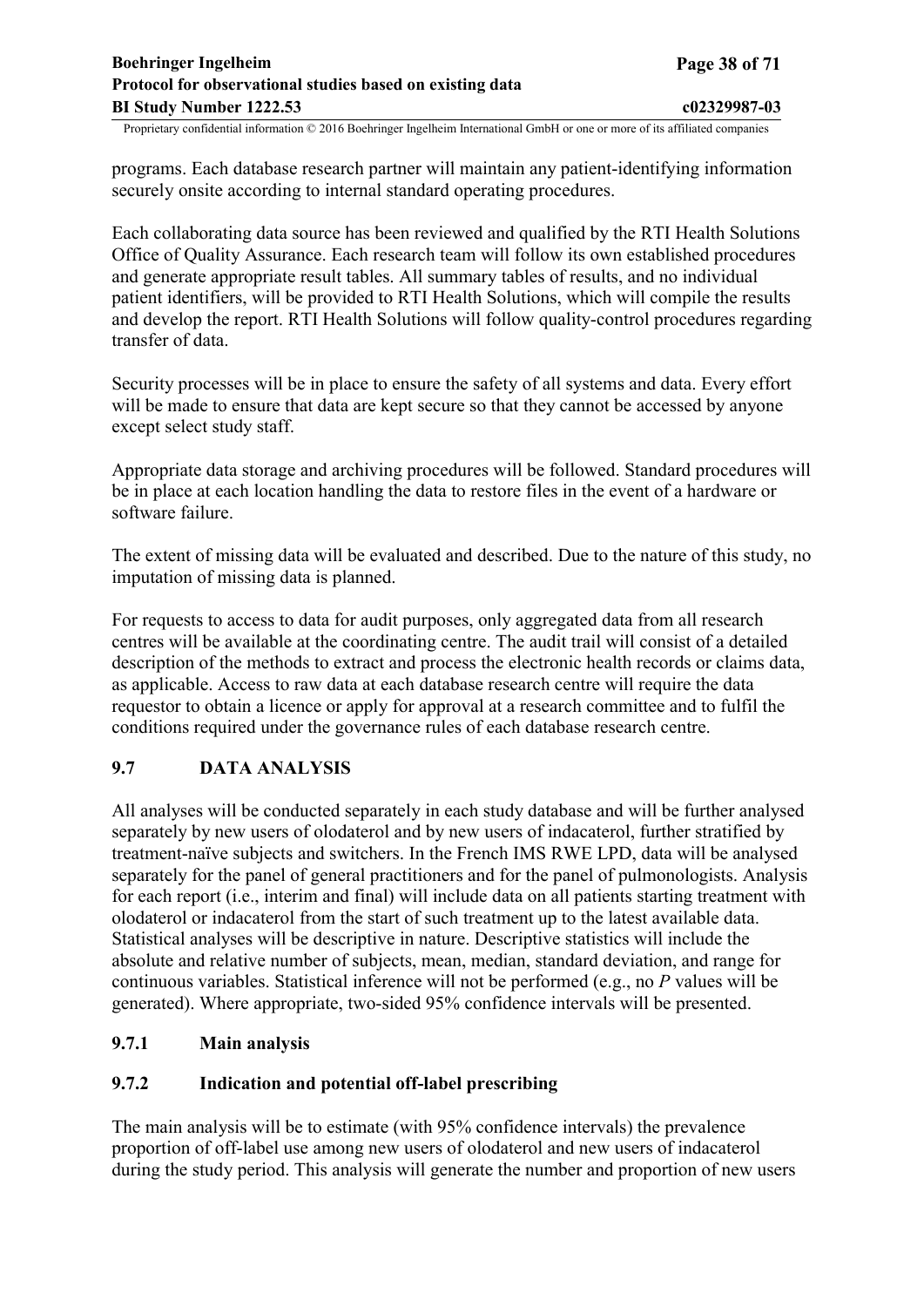<span id="page-37-0"></span>programs. Each database research partner will maintain any patient-identifying information securely onsite according to internal standard operating procedures.

Each collaborating data source has been reviewed and qualified by the RTI Health Solutions Office of Quality Assurance. Each research team will follow its own established procedures and generate appropriate result tables. All summary tables of results, and no individual patient identifiers, will be provided to RTI Health Solutions, which will compile the results and develop the report. RTI Health Solutions will follow quality-control procedures regarding transfer of data.

Security processes will be in place to ensure the safety of all systems and data. Every effort will be made to ensure that data are kept secure so that they cannot be accessed by anyone except select study staff.

Appropriate data storage and archiving procedures will be followed. Standard procedures will be in place at each location handling the data to restore files in the event of a hardware or software failure.

The extent of missing data will be evaluated and described. Due to the nature of this study, no imputation of missing data is planned.

For requests to access to data for audit purposes, only aggregated data from all research centres will be available at the coordinating centre. The audit trail will consist of a detailed description of the methods to extract and process the electronic health records or claims data, as applicable. Access to raw data at each database research centre will require the data requestor to obtain a licence or apply for approval at a research committee and to fulfil the conditions required under the governance rules of each database research centre.

## **9.7 DATA ANALYSIS**

All analyses will be conducted separately in each study database and will be further analysed separately by new users of olodaterol and by new users of indacaterol, further stratified by treatment-naïve subjects and switchers. In the French IMS RWE LPD, data will be analysed separately for the panel of general practitioners and for the panel of pulmonologists. Analysis for each report (i.e., interim and final) will include data on all patients starting treatment with olodaterol or indacaterol from the start of such treatment up to the latest available data. Statistical analyses will be descriptive in nature. Descriptive statistics will include the absolute and relative number of subjects, mean, median, standard deviation, and range for continuous variables. Statistical inference will not be performed (e.g., no *P* values will be generated). Where appropriate, two-sided 95% confidence intervals will be presented.

## **9.7.1 Main analysis**

## **9.7.2 Indication and potential off-label prescribing**

The main analysis will be to estimate (with 95% confidence intervals) the prevalence proportion of off-label use among new users of olodaterol and new users of indacaterol during the study period. This analysis will generate the number and proportion of new users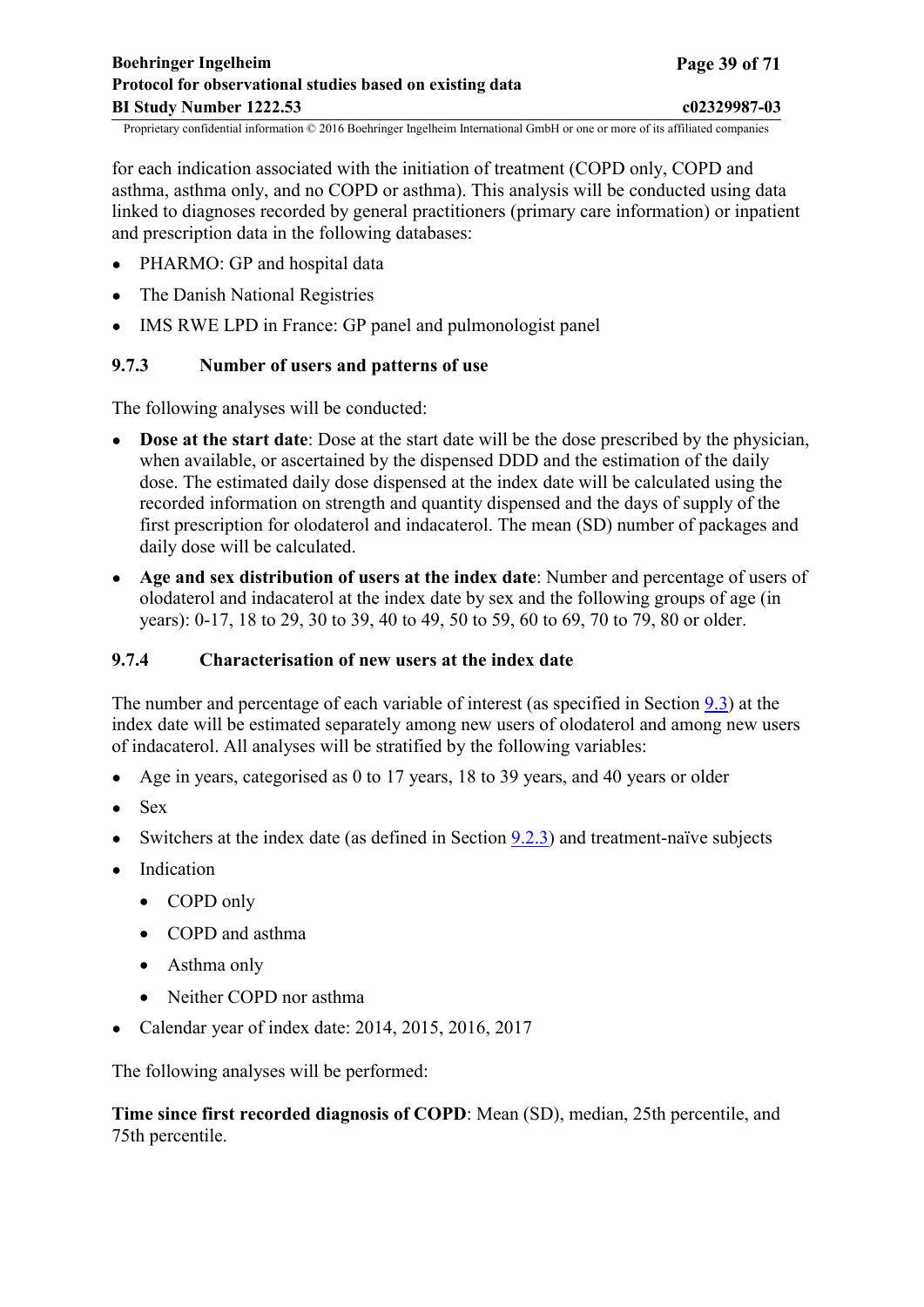<span id="page-38-0"></span>for each indication associated with the initiation of treatment (COPD only, COPD and asthma, asthma only, and no COPD or asthma). This analysis will be conducted using data linked to diagnoses recorded by general practitioners (primary care information) or inpatient and prescription data in the following databases:

- PHARMO: GP and hospital data
- The Danish National Registries
- IMS RWE LPD in France: GP panel and pulmonologist panel

## **9.7.3 Number of users and patterns of use**

The following analyses will be conducted:

- **Dose at the start date**: Dose at the start date will be the dose prescribed by the physician, when available, or ascertained by the dispensed DDD and the estimation of the daily dose. The estimated daily dose dispensed at the index date will be calculated using the recorded information on strength and quantity dispensed and the days of supply of the first prescription for olodaterol and indacaterol. The mean (SD) number of packages and daily dose will be calculated.
- **Age and sex distribution of users at the index date**: Number and percentage of users of olodaterol and indacaterol at the index date by sex and the following groups of age (in years): 0-17, 18 to 29, 30 to 39, 40 to 49, 50 to 59, 60 to 69, 70 to 79, 80 or older.

## **9.7.4 Characterisation of new users at the index date**

The number and percentage of each variable of interest (as specified in Section [9.3](#page-18-0)) at the index date will be estimated separately among new users of olodaterol and among new users of indacaterol. All analyses will be stratified by the following variables:

- Age in years, categorised as 0 to 17 years, 18 to 39 years, and 40 years or older
- Sex
- Switchers at the index date (as defined in Section  $9.2.3$ ) and treatment-naïve subjects
- Indication
	- COPD only
	- COPD and asthma
	- Asthma only
	- Neither COPD nor asthma
- Calendar year of index date: 2014, 2015, 2016, 2017

The following analyses will be performed:

**Time since first recorded diagnosis of COPD**: Mean (SD), median, 25th percentile, and 75th percentile.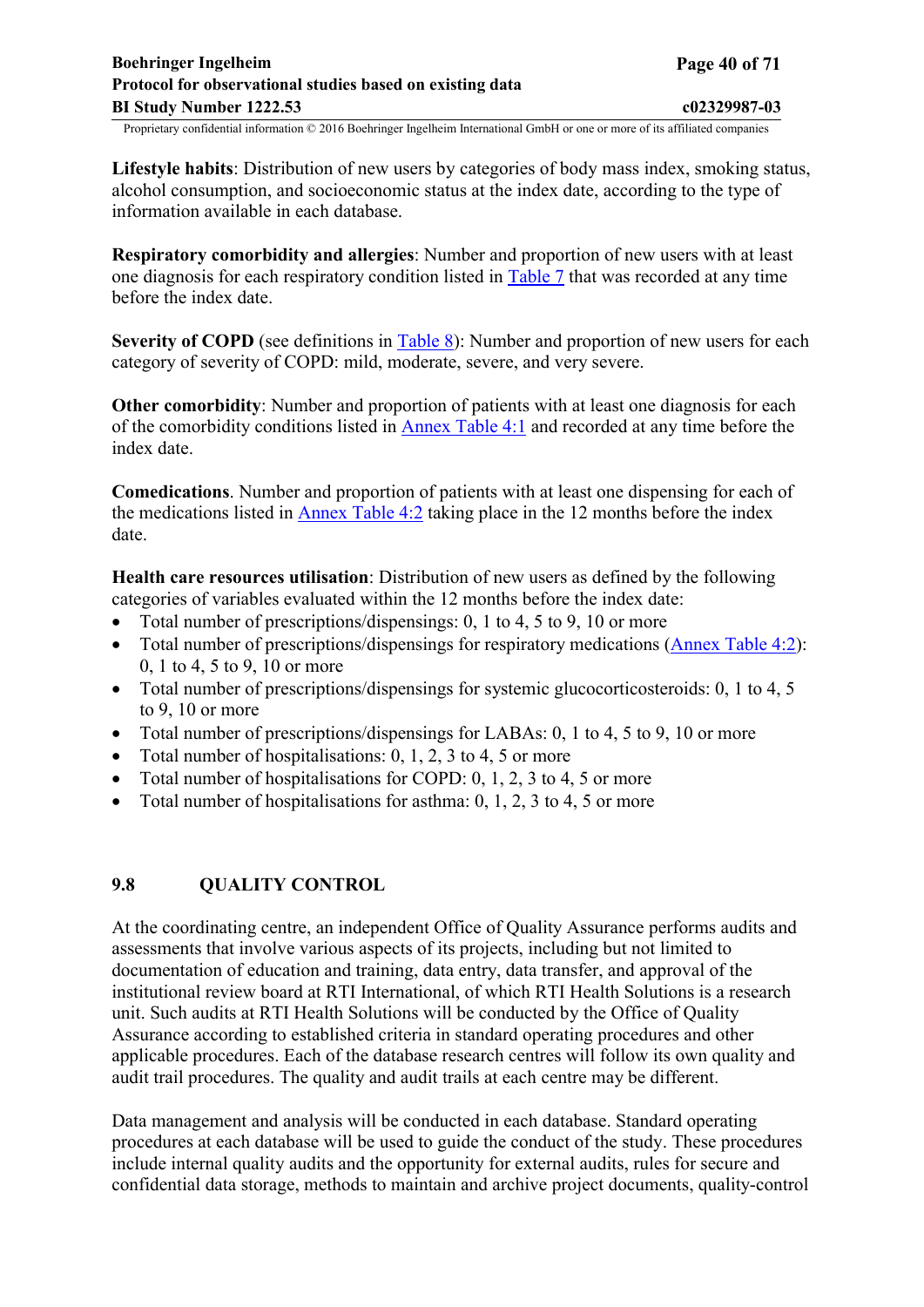<span id="page-39-0"></span>**Lifestyle habits**: Distribution of new users by categories of body mass index, smoking status, alcohol consumption, and socioeconomic status at the index date, according to the type of information available in each database.

**Respiratory comorbidity and allergies**: Number and proportion of new users with at least one diagnosis for each respiratory condition listed in [Table](#page-22-0) 7 that was recorded at any time before the index date.

**Severity of COPD** (see definitions in [Table 8](#page-25-0)): Number and proportion of new users for each category of severity of COPD: mild, moderate, severe, and very severe.

**Other comorbidity**: Number and proportion of patients with at least one diagnosis for each of the comorbidity conditions listed in [Annex](#page-63-0) Table 4:1 and recorded at any time before the index date.

**Comedications**. Number and proportion of patients with at least one dispensing for each of the medications listed in [Annex](#page-67-0) Table 4:2 taking place in the 12 months before the index date.

**Health care resources utilisation**: Distribution of new users as defined by the following categories of variables evaluated within the 12 months before the index date:

- Total number of prescriptions/dispensings: 0, 1 to 4, 5 to 9, 10 or more
- Total number of prescriptions/dispensings for respiratory medications [\(Annex](#page-67-0) Table 4:2): 0, 1 to 4, 5 to 9, 10 or more
- Total number of prescriptions/dispensings for systemic glucocorticosteroids: 0, 1 to 4, 5 to 9, 10 or more
- Total number of prescriptions/dispensings for LABAs: 0, 1 to 4, 5 to 9, 10 or more
- Total number of hospitalisations:  $0, 1, 2, 3$  to  $4, 5$  or more
- Total number of hospitalisations for COPD:  $0, 1, 2, 3$  to  $4, 5$  or more
- Total number of hospitalisations for asthma:  $0, 1, 2, 3$  to  $4, 5$  or more

## **9.8 QUALITY CONTROL**

At the coordinating centre, an independent Office of Quality Assurance performs audits and assessments that involve various aspects of its projects, including but not limited to documentation of education and training, data entry, data transfer, and approval of the institutional review board at RTI International, of which RTI Health Solutions is a research unit. Such audits at RTI Health Solutions will be conducted by the Office of Quality Assurance according to established criteria in standard operating procedures and other applicable procedures. Each of the database research centres will follow its own quality and audit trail procedures. The quality and audit trails at each centre may be different.

Data management and analysis will be conducted in each database. Standard operating procedures at each database will be used to guide the conduct of the study. These procedures include internal quality audits and the opportunity for external audits, rules for secure and confidential data storage, methods to maintain and archive project documents, quality-control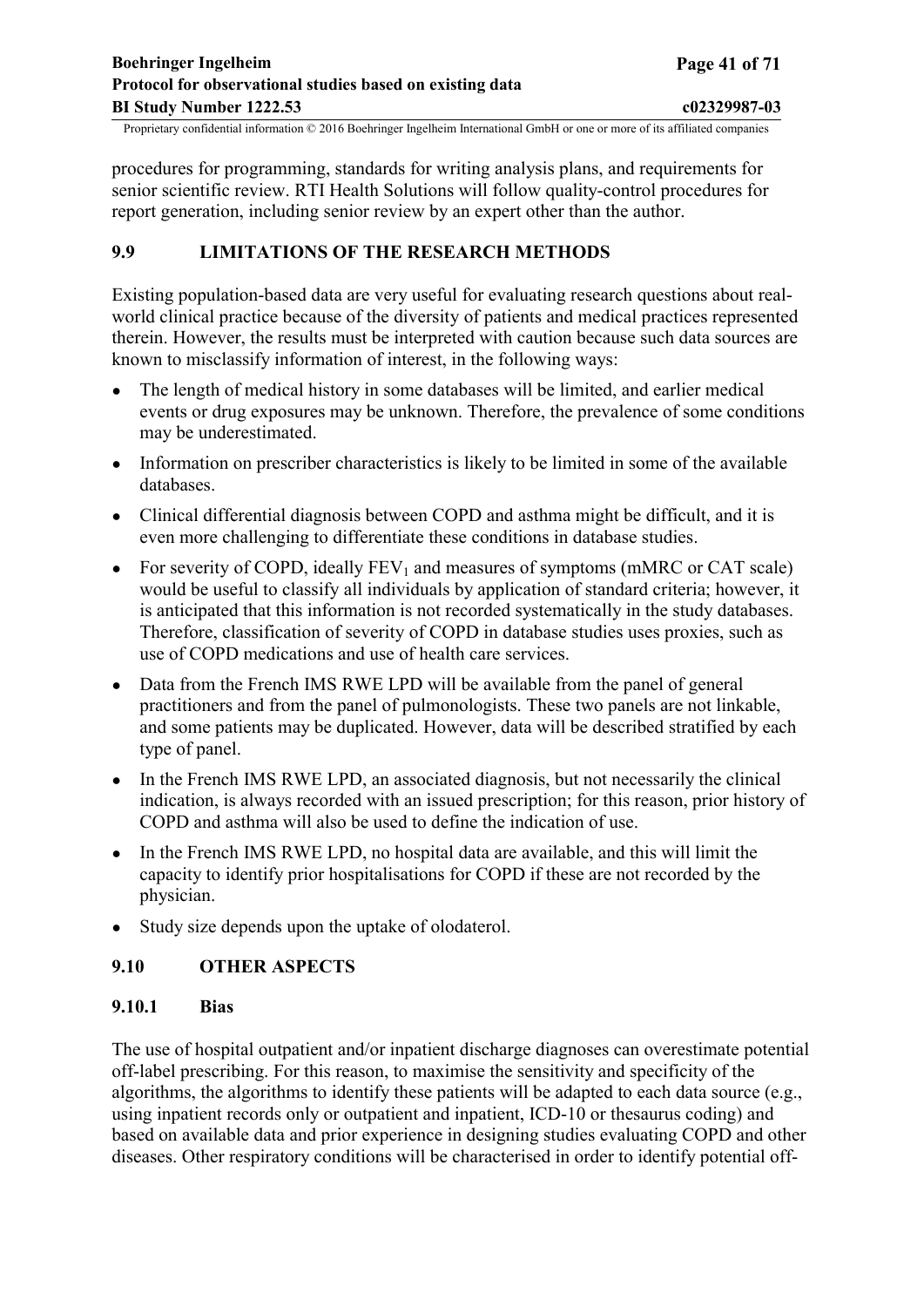<span id="page-40-0"></span>procedures for programming, standards for writing analysis plans, and requirements for senior scientific review. RTI Health Solutions will follow quality-control procedures for report generation, including senior review by an expert other than the author.

## **9.9 LIMITATIONS OF THE RESEARCH METHODS**

Existing population-based data are very useful for evaluating research questions about realworld clinical practice because of the diversity of patients and medical practices represented therein. However, the results must be interpreted with caution because such data sources are known to misclassify information of interest, in the following ways:

- The length of medical history in some databases will be limited, and earlier medical events or drug exposures may be unknown. Therefore, the prevalence of some conditions may be underestimated.
- Information on prescriber characteristics is likely to be limited in some of the available databases.
- Clinical differential diagnosis between COPD and asthma might be difficult, and it is even more challenging to differentiate these conditions in database studies.
- For severity of COPD, ideally  $FEV_1$  and measures of symptoms (mMRC or CAT scale) would be useful to classify all individuals by application of standard criteria; however, it is anticipated that this information is not recorded systematically in the study databases. Therefore, classification of severity of COPD in database studies uses proxies, such as use of COPD medications and use of health care services.
- Data from the French IMS RWE LPD will be available from the panel of general practitioners and from the panel of pulmonologists. These two panels are not linkable, and some patients may be duplicated. However, data will be described stratified by each type of panel.
- In the French IMS RWE LPD, an associated diagnosis, but not necessarily the clinical indication, is always recorded with an issued prescription; for this reason, prior history of COPD and asthma will also be used to define the indication of use.
- In the French IMS RWE LPD, no hospital data are available, and this will limit the capacity to identify prior hospitalisations for COPD if these are not recorded by the physician.
- Study size depends upon the uptake of olodaterol.

## **9.10 OTHER ASPECTS**

## **9.10.1 Bias**

The use of hospital outpatient and/or inpatient discharge diagnoses can overestimate potential off-label prescribing. For this reason, to maximise the sensitivity and specificity of the algorithms, the algorithms to identify these patients will be adapted to each data source (e.g., using inpatient records only or outpatient and inpatient, ICD-10 or thesaurus coding) and based on available data and prior experience in designing studies evaluating COPD and other diseases. Other respiratory conditions will be characterised in order to identify potential off-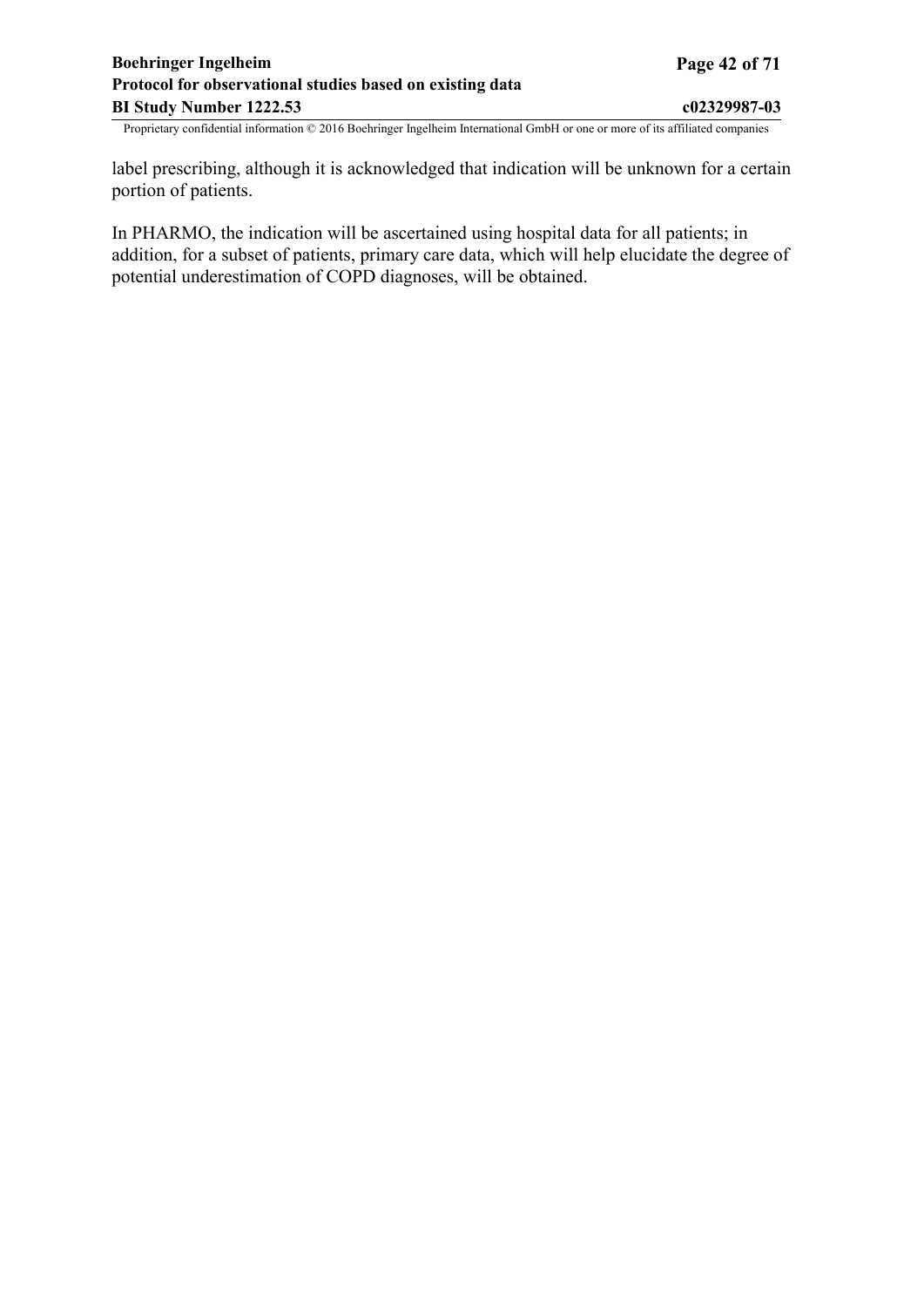## <span id="page-41-0"></span>**Boehringer Ingelheim Page 42 of 71 Protocol for observational studies based on existing data BI Study Number 1222.53 c02329987-03**

Proprietary confidential information © 2016 Boehringer Ingelheim International GmbH or one or more of its affiliated companies

label prescribing, although it is acknowledged that indication will be unknown for a certain portion of patients.

In PHARMO, the indication will be ascertained using hospital data for all patients; in addition, for a subset of patients, primary care data, which will help elucidate the degree of potential underestimation of COPD diagnoses, will be obtained.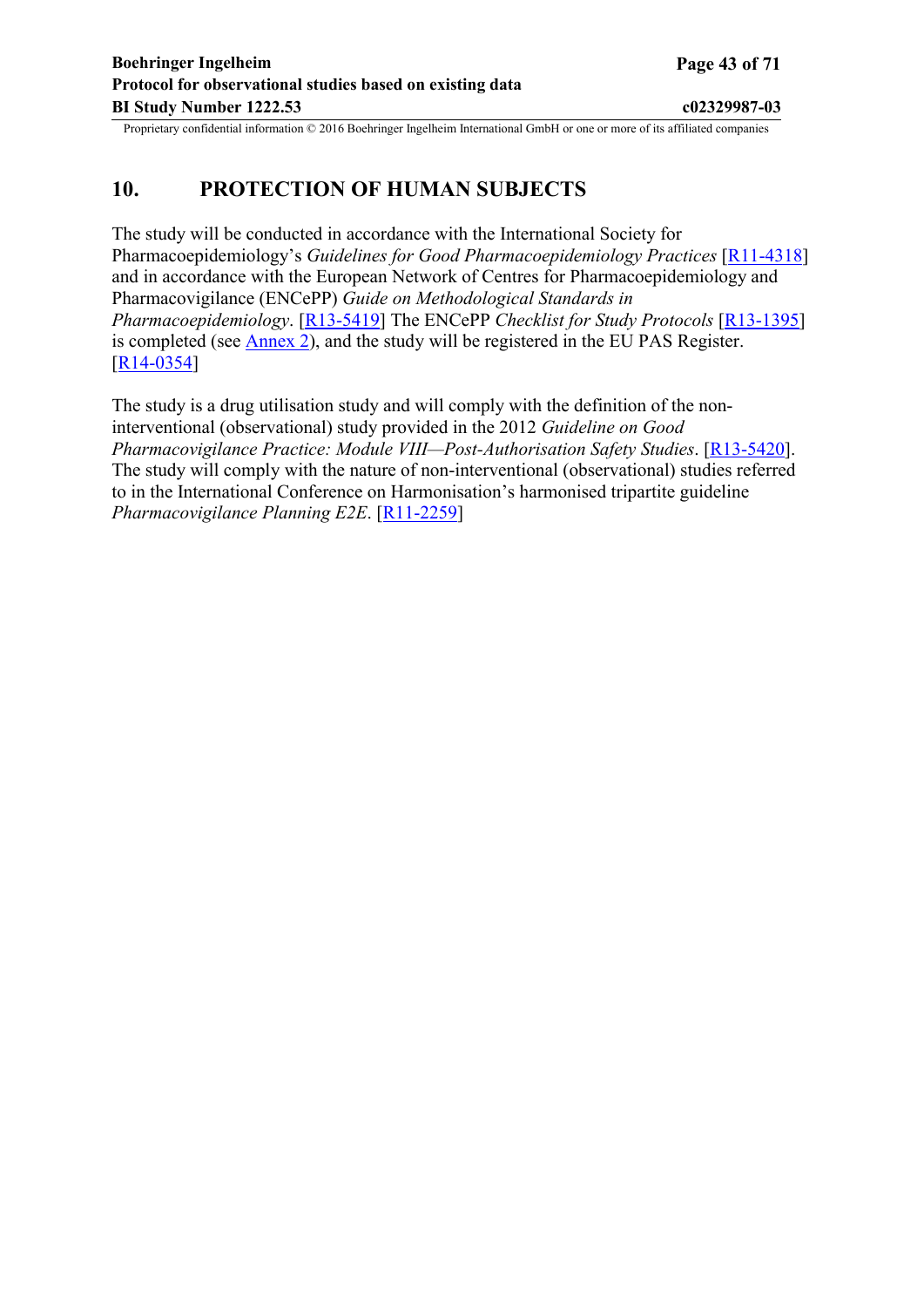## <span id="page-42-0"></span>**10. PROTECTION OF HUMAN SUBJECTS**

The study will be conducted in accordance with the International Society for Pharmacoepidemiology's *Guidelines for Good Pharmacoepidemiology Practices* [\[R11-4318](#page-46-0)] and in accordance with the European Network of Centres for Pharmacoepidemiology and Pharmacovigilance (ENCePP) *Guide on Methodological Standards in Pharmacoepidemiology*. [[R13-5419\]](#page-48-0) The ENCePP *Checklist for Study Protocols* [[R13-1395](#page-47-0)] is completed (see [Annex](#page-52-0) 2), and the study will be registered in the EU PAS Register. [[R14-0354](#page-48-0)]

The study is a drug utilisation study and will comply with the definition of the noninterventional (observational) study provided in the 2012 *Guideline on Good Pharmacovigilance Practice: Module VIII—Post-Authorisation Safety Studies*. [[R13-5420\]](#page-48-0). The study will comply with the nature of non-interventional (observational) studies referred to in the International Conference on Harmonisation's harmonised tripartite guideline *Pharmacovigilance Planning E2E*. [[R11-2259\]](#page-46-0)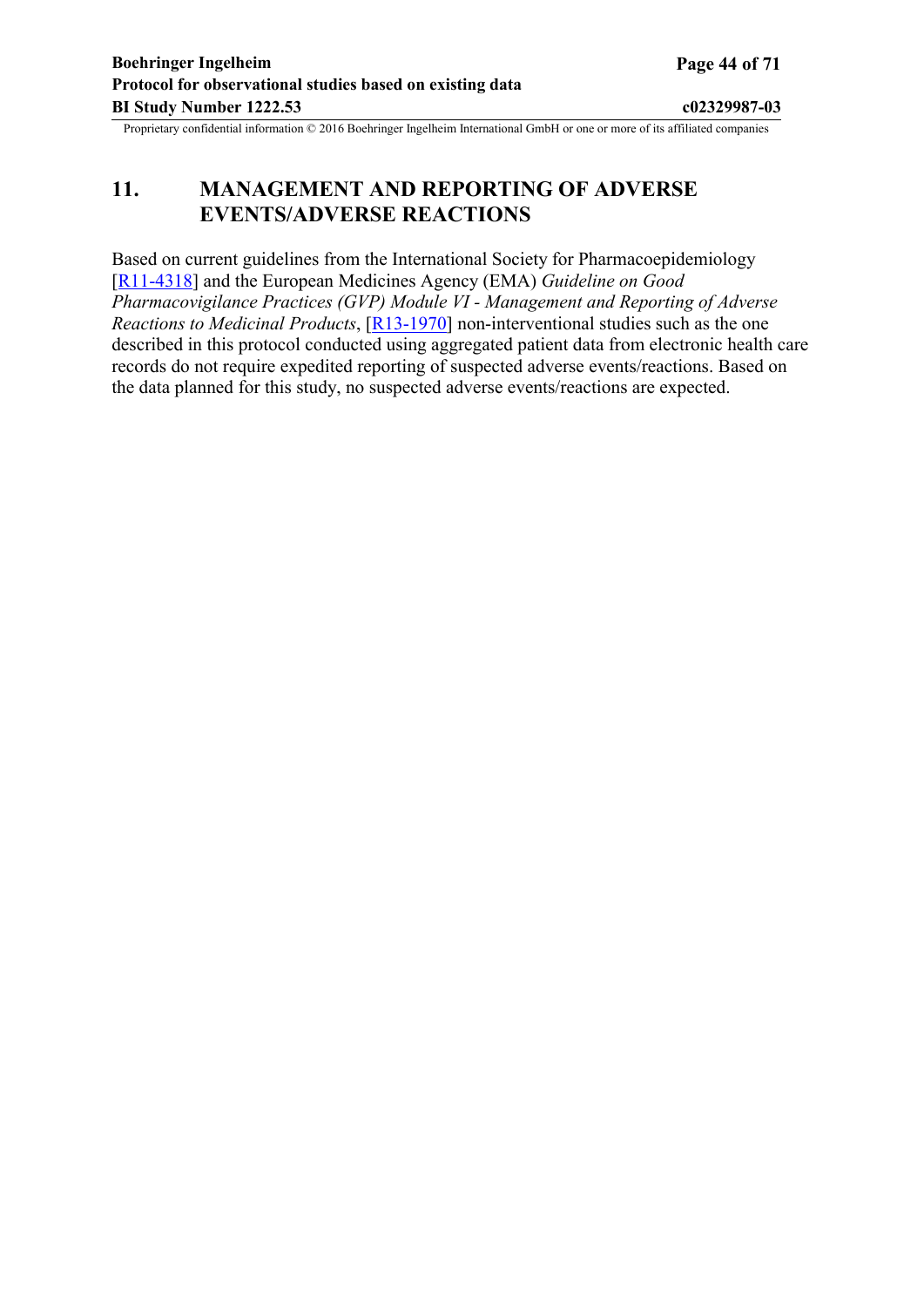# <span id="page-43-0"></span>**11. MANAGEMENT AND REPORTING OF ADVERSE EVENTS/ADVERSE REACTIONS**

Based on current guidelines from the International Society for Pharmacoepidemiology [[R11-4318](#page-46-0)] and the European Medicines Agency (EMA) *Guideline on Good Pharmacovigilance Practices (GVP) Module VI - Management and Reporting of Adverse Reactions to Medicinal Products*, [[R13-1970\]](#page-47-0) non-interventional studies such as the one described in this protocol conducted using aggregated patient data from electronic health care records do not require expedited reporting of suspected adverse events/reactions. Based on the data planned for this study, no suspected adverse events/reactions are expected.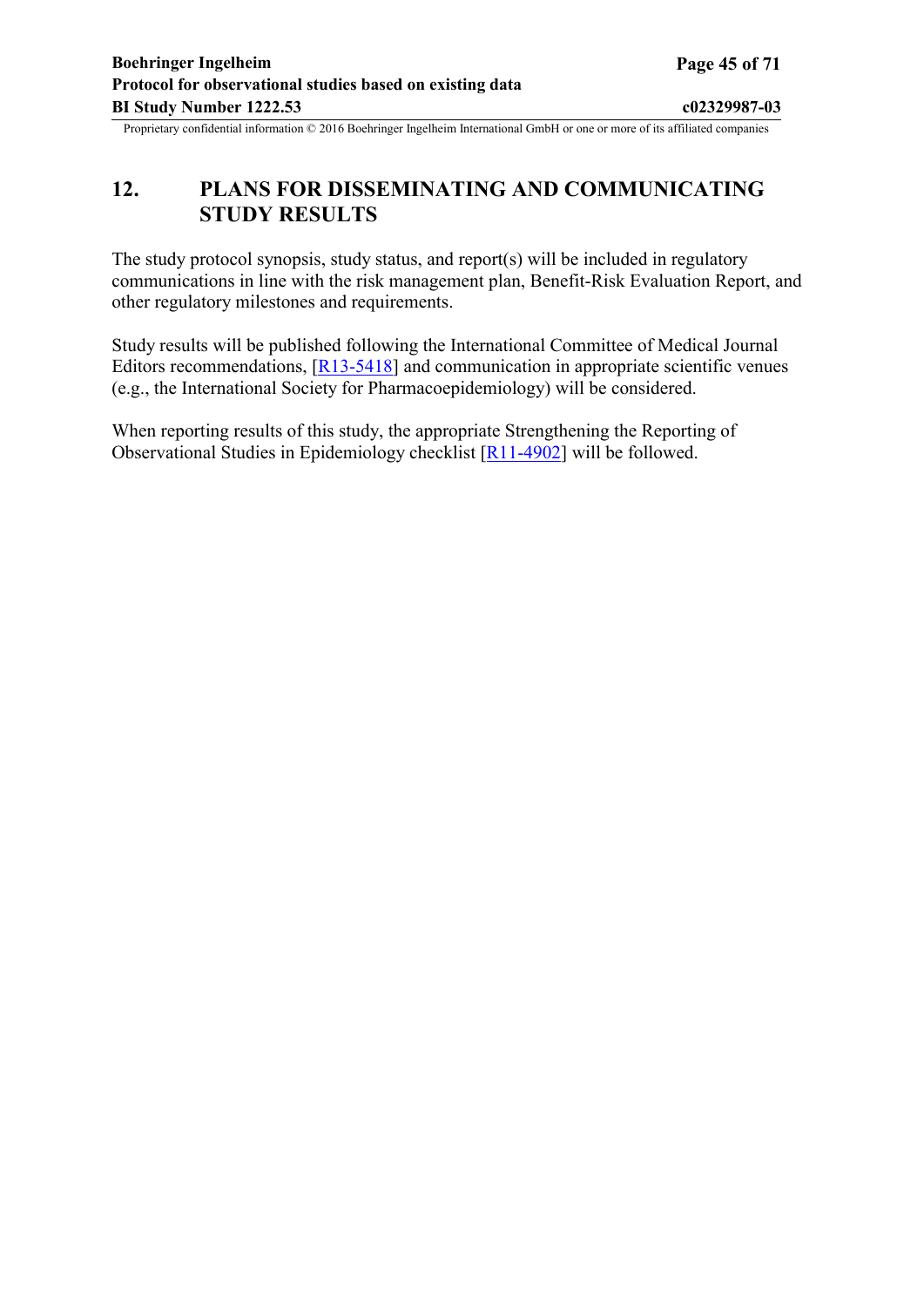# <span id="page-44-0"></span>**12. PLANS FOR DISSEMINATING AND COMMUNICATING STUDY RESULTS**

The study protocol synopsis, study status, and report(s) will be included in regulatory communications in line with the risk management plan, Benefit-Risk Evaluation Report, and other regulatory milestones and requirements.

Study results will be published following the International Committee of Medical Journal Editors recommendations, [[R13-5418](#page-47-0)] and communication in appropriate scientific venues (e.g., the International Society for Pharmacoepidemiology) will be considered.

When reporting results of this study, the appropriate Strengthening the Reporting of Observational Studies in Epidemiology checklist [[R11-4902\]](#page-46-0) will be followed.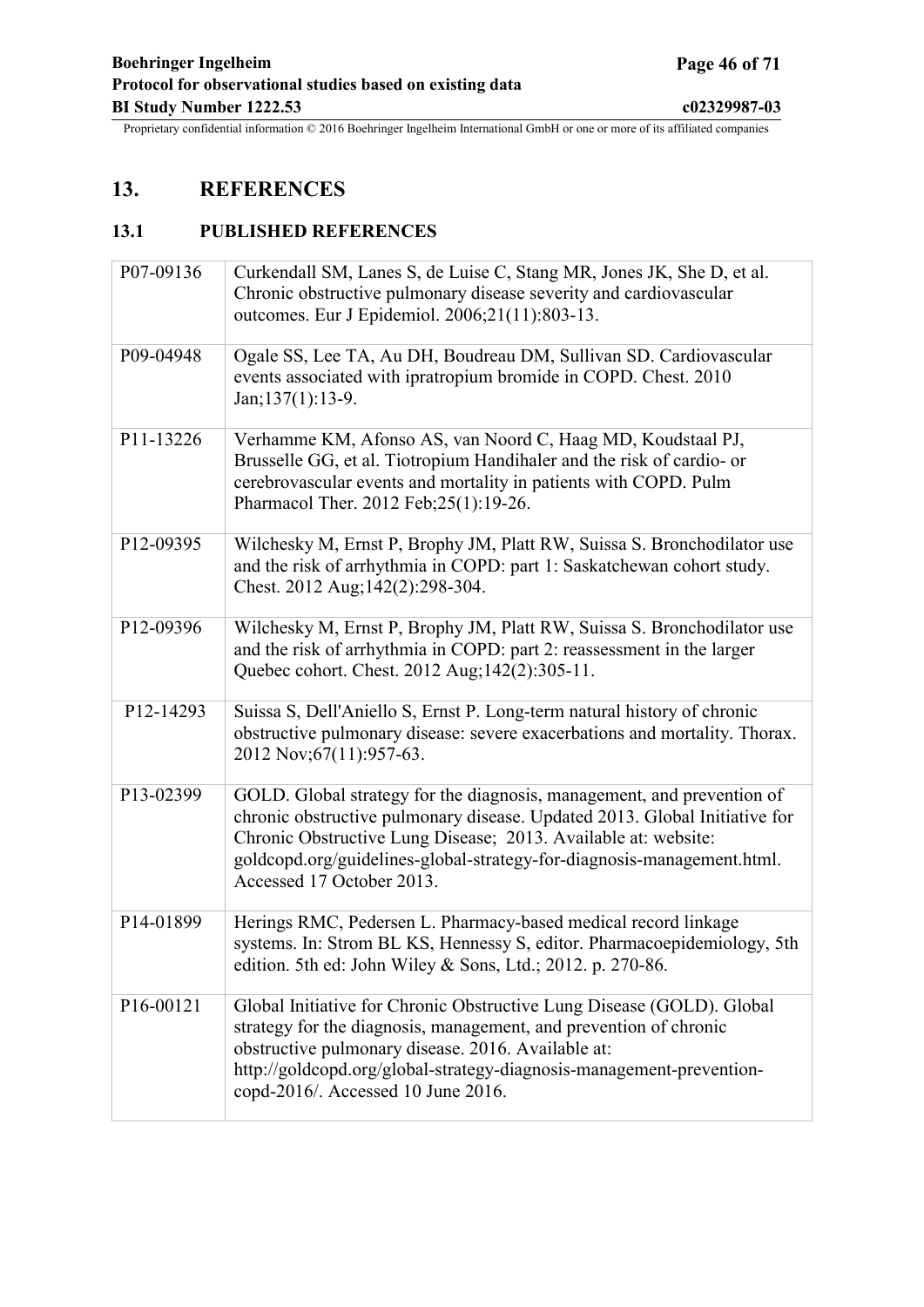# <span id="page-45-0"></span>**13. REFERENCES**

## **13.1 PUBLISHED REFERENCES**

| P07-09136 | Curkendall SM, Lanes S, de Luise C, Stang MR, Jones JK, She D, et al.<br>Chronic obstructive pulmonary disease severity and cardiovascular<br>outcomes. Eur J Epidemiol. 2006;21(11):803-13.                                                                                                                                  |
|-----------|-------------------------------------------------------------------------------------------------------------------------------------------------------------------------------------------------------------------------------------------------------------------------------------------------------------------------------|
| P09-04948 | Ogale SS, Lee TA, Au DH, Boudreau DM, Sullivan SD. Cardiovascular<br>events associated with ipratropium bromide in COPD. Chest. 2010<br>$Jan; 137(1): 13-9.$                                                                                                                                                                  |
| P11-13226 | Verhamme KM, Afonso AS, van Noord C, Haag MD, Koudstaal PJ,<br>Brusselle GG, et al. Tiotropium Handihaler and the risk of cardio- or<br>cerebrovascular events and mortality in patients with COPD. Pulm<br>Pharmacol Ther. 2012 Feb; 25(1): 19-26.                                                                           |
| P12-09395 | Wilchesky M, Ernst P, Brophy JM, Platt RW, Suissa S. Bronchodilator use<br>and the risk of arrhythmia in COPD: part 1: Saskatchewan cohort study.<br>Chest. 2012 Aug; 142(2): 298-304.                                                                                                                                        |
| P12-09396 | Wilchesky M, Ernst P, Brophy JM, Platt RW, Suissa S. Bronchodilator use<br>and the risk of arrhythmia in COPD: part 2: reassessment in the larger<br>Quebec cohort. Chest. 2012 Aug;142(2):305-11.                                                                                                                            |
| P12-14293 | Suissa S, Dell'Aniello S, Ernst P. Long-term natural history of chronic<br>obstructive pulmonary disease: severe exacerbations and mortality. Thorax.<br>2012 Nov; 67(11): 957-63.                                                                                                                                            |
| P13-02399 | GOLD. Global strategy for the diagnosis, management, and prevention of<br>chronic obstructive pulmonary disease. Updated 2013. Global Initiative for<br>Chronic Obstructive Lung Disease; 2013. Available at: website:<br>goldcopd.org/guidelines-global-strategy-for-diagnosis-management.html.<br>Accessed 17 October 2013. |
| P14-01899 | Herings RMC, Pedersen L. Pharmacy-based medical record linkage<br>systems. In: Strom BL KS, Hennessy S, editor. Pharmacoepidemiology, 5th<br>edition. 5th ed: John Wiley & Sons, Ltd.; 2012. p. 270-86.                                                                                                                       |
| P16-00121 | Global Initiative for Chronic Obstructive Lung Disease (GOLD). Global<br>strategy for the diagnosis, management, and prevention of chronic<br>obstructive pulmonary disease. 2016. Available at:<br>http://goldcopd.org/global-strategy-diagnosis-management-prevention-<br>copd-2016/. Accessed 10 June 2016.                |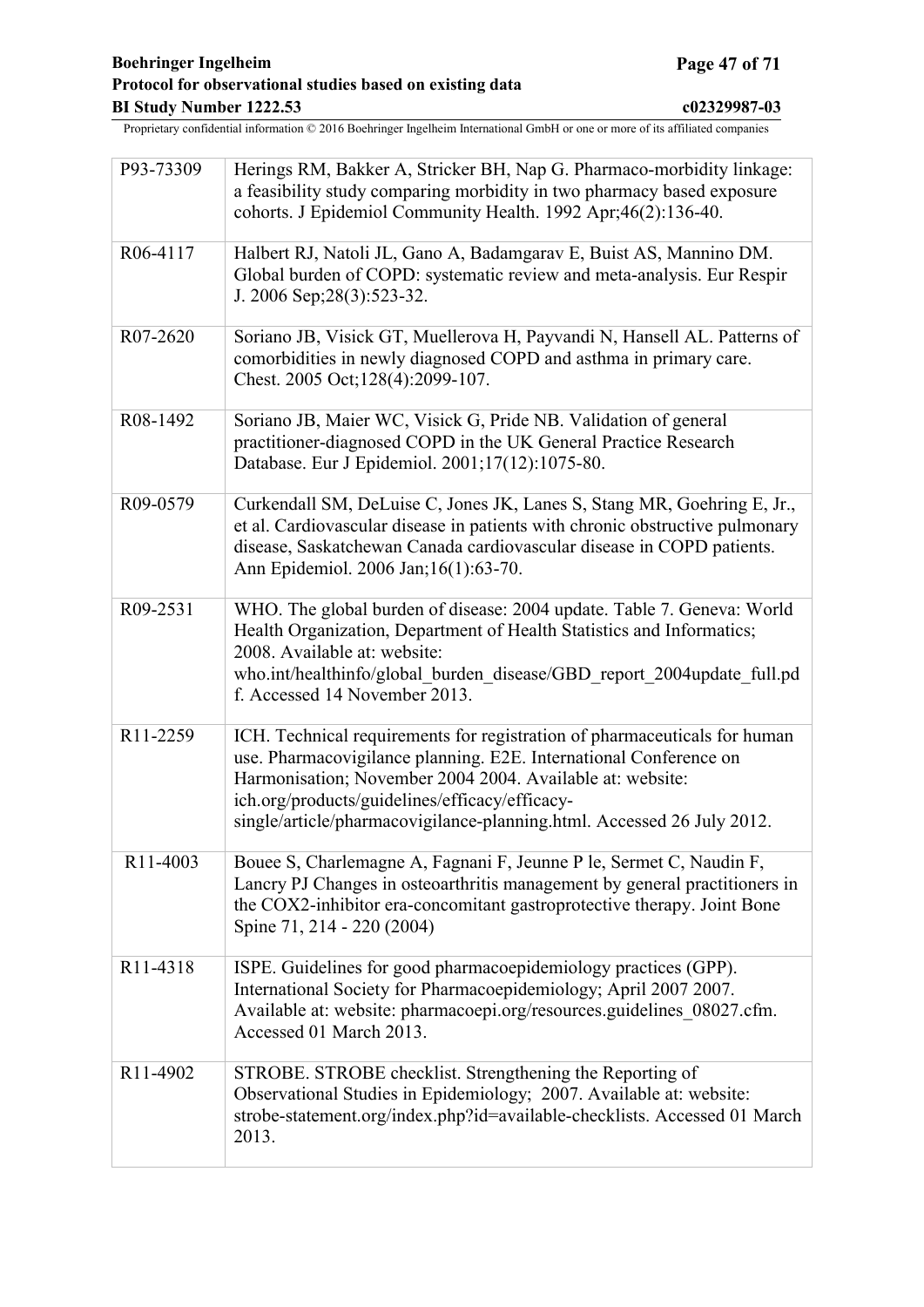<span id="page-46-0"></span>

| P93-73309 | Herings RM, Bakker A, Stricker BH, Nap G. Pharmaco-morbidity linkage:<br>a feasibility study comparing morbidity in two pharmacy based exposure<br>cohorts. J Epidemiol Community Health. 1992 Apr;46(2):136-40.                                                                                                                        |
|-----------|-----------------------------------------------------------------------------------------------------------------------------------------------------------------------------------------------------------------------------------------------------------------------------------------------------------------------------------------|
| R06-4117  | Halbert RJ, Natoli JL, Gano A, Badamgarav E, Buist AS, Mannino DM.<br>Global burden of COPD: systematic review and meta-analysis. Eur Respir<br>J. 2006 Sep; 28(3): 523-32.                                                                                                                                                             |
| R07-2620  | Soriano JB, Visick GT, Muellerova H, Payvandi N, Hansell AL. Patterns of<br>comorbidities in newly diagnosed COPD and asthma in primary care.<br>Chest. 2005 Oct; 128(4): 2099-107.                                                                                                                                                     |
| R08-1492  | Soriano JB, Maier WC, Visick G, Pride NB. Validation of general<br>practitioner-diagnosed COPD in the UK General Practice Research<br>Database. Eur J Epidemiol. 2001;17(12):1075-80.                                                                                                                                                   |
| R09-0579  | Curkendall SM, DeLuise C, Jones JK, Lanes S, Stang MR, Goehring E, Jr.,<br>et al. Cardiovascular disease in patients with chronic obstructive pulmonary<br>disease, Saskatchewan Canada cardiovascular disease in COPD patients.<br>Ann Epidemiol. 2006 Jan; 16(1):63-70.                                                               |
| R09-2531  | WHO. The global burden of disease: 2004 update. Table 7. Geneva: World<br>Health Organization, Department of Health Statistics and Informatics;<br>2008. Available at: website:<br>who.int/healthinfo/global burden disease/GBD report 2004update full.pd<br>f. Accessed 14 November 2013.                                              |
| R11-2259  | ICH. Technical requirements for registration of pharmaceuticals for human<br>use. Pharmacovigilance planning. E2E. International Conference on<br>Harmonisation; November 2004 2004. Available at: website:<br>ich.org/products/guidelines/efficacy/efficacy-<br>single/article/pharmacovigilance-planning.html. Accessed 26 July 2012. |
| R11-4003  | Bouee S, Charlemagne A, Fagnani F, Jeunne P le, Sermet C, Naudin F,<br>Lancry PJ Changes in osteoarthritis management by general practitioners in<br>the COX2-inhibitor era-concomitant gastroprotective therapy. Joint Bone<br>Spine 71, 214 - 220 (2004)                                                                              |
| R11-4318  | ISPE. Guidelines for good pharmacoepidemiology practices (GPP).<br>International Society for Pharmacoepidemiology; April 2007 2007.<br>Available at: website: pharmacoepi.org/resources.guidelines_08027.cfm.<br>Accessed 01 March 2013.                                                                                                |
| R11-4902  | STROBE. STROBE checklist. Strengthening the Reporting of<br>Observational Studies in Epidemiology; 2007. Available at: website:<br>strobe-statement.org/index.php?id=available-checklists. Accessed 01 March<br>2013.                                                                                                                   |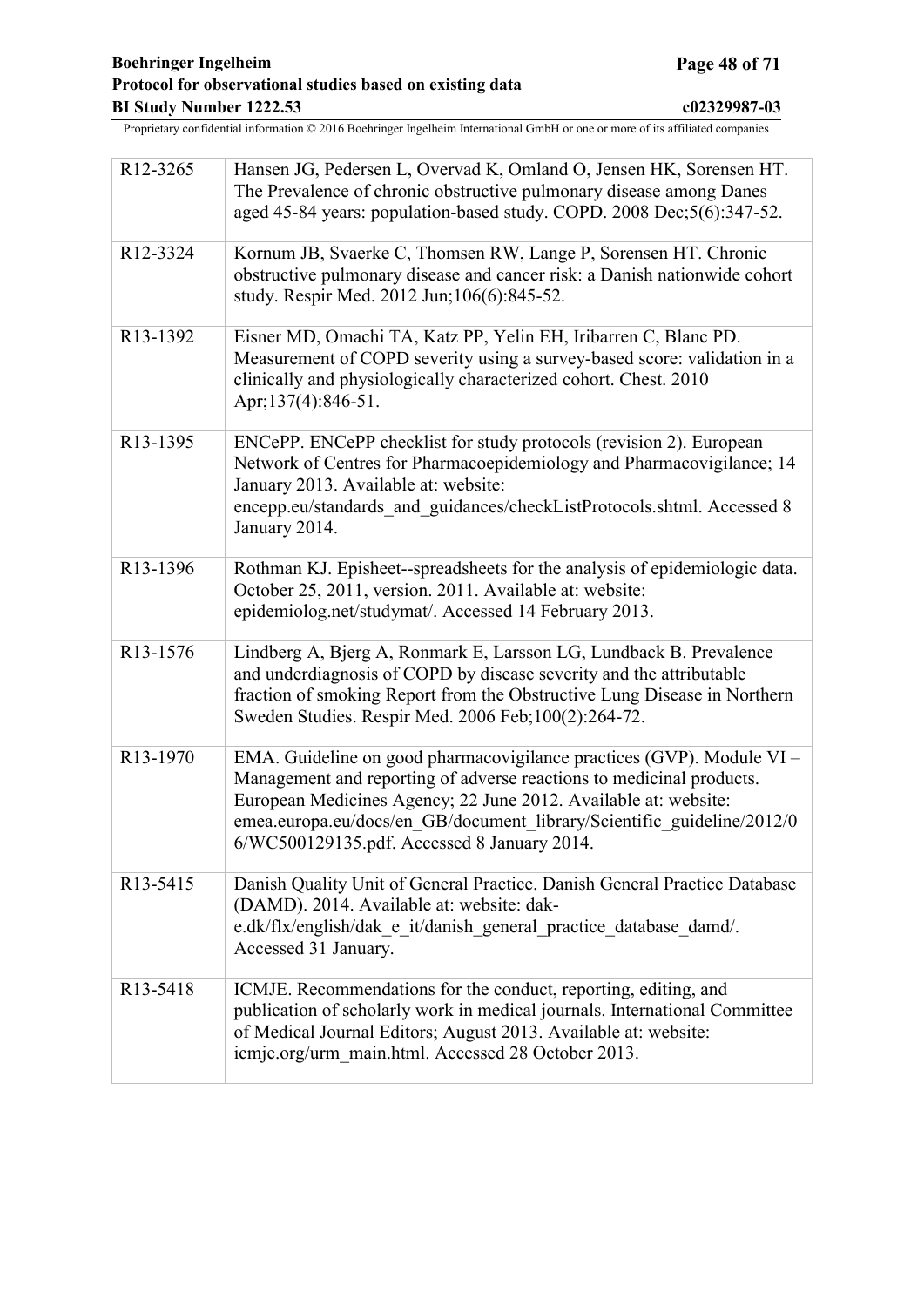<span id="page-47-0"></span>

| R12-3265 | Hansen JG, Pedersen L, Overvad K, Omland O, Jensen HK, Sorensen HT.<br>The Prevalence of chronic obstructive pulmonary disease among Danes<br>aged 45-84 years: population-based study. COPD. 2008 Dec;5(6):347-52.                                                                                                                       |
|----------|-------------------------------------------------------------------------------------------------------------------------------------------------------------------------------------------------------------------------------------------------------------------------------------------------------------------------------------------|
| R12-3324 | Kornum JB, Svaerke C, Thomsen RW, Lange P, Sorensen HT. Chronic<br>obstructive pulmonary disease and cancer risk: a Danish nationwide cohort<br>study. Respir Med. 2012 Jun; 106(6):845-52.                                                                                                                                               |
| R13-1392 | Eisner MD, Omachi TA, Katz PP, Yelin EH, Iribarren C, Blanc PD.<br>Measurement of COPD severity using a survey-based score: validation in a<br>clinically and physiologically characterized cohort. Chest. 2010<br>Apr; 137(4): 846-51.                                                                                                   |
| R13-1395 | ENCePP. ENCePP checklist for study protocols (revision 2). European<br>Network of Centres for Pharmacoepidemiology and Pharmacovigilance; 14<br>January 2013. Available at: website:<br>encepp.eu/standards_and_guidances/checkListProtocols.shtml. Accessed 8<br>January 2014.                                                           |
| R13-1396 | Rothman KJ. Episheet--spreadsheets for the analysis of epidemiologic data.<br>October 25, 2011, version. 2011. Available at: website:<br>epidemiolog.net/studymat/. Accessed 14 February 2013.                                                                                                                                            |
| R13-1576 | Lindberg A, Bjerg A, Ronmark E, Larsson LG, Lundback B. Prevalence<br>and underdiagnosis of COPD by disease severity and the attributable<br>fraction of smoking Report from the Obstructive Lung Disease in Northern<br>Sweden Studies. Respir Med. 2006 Feb;100(2):264-72.                                                              |
| R13-1970 | EMA. Guideline on good pharmacovigilance practices (GVP). Module VI –<br>Management and reporting of adverse reactions to medicinal products.<br>European Medicines Agency; 22 June 2012. Available at: website:<br>emea.europa.eu/docs/en GB/document library/Scientific guideline/2012/0<br>6/WC500129135.pdf. Accessed 8 January 2014. |
| R13-5415 | Danish Quality Unit of General Practice. Danish General Practice Database<br>(DAMD). 2014. Available at: website: dak-<br>e.dk/flx/english/dak e it/danish general practice database damd/.<br>Accessed 31 January.                                                                                                                       |
| R13-5418 | ICMJE. Recommendations for the conduct, reporting, editing, and<br>publication of scholarly work in medical journals. International Committee<br>of Medical Journal Editors; August 2013. Available at: website:<br>icmje.org/urm_main.html. Accessed 28 October 2013.                                                                    |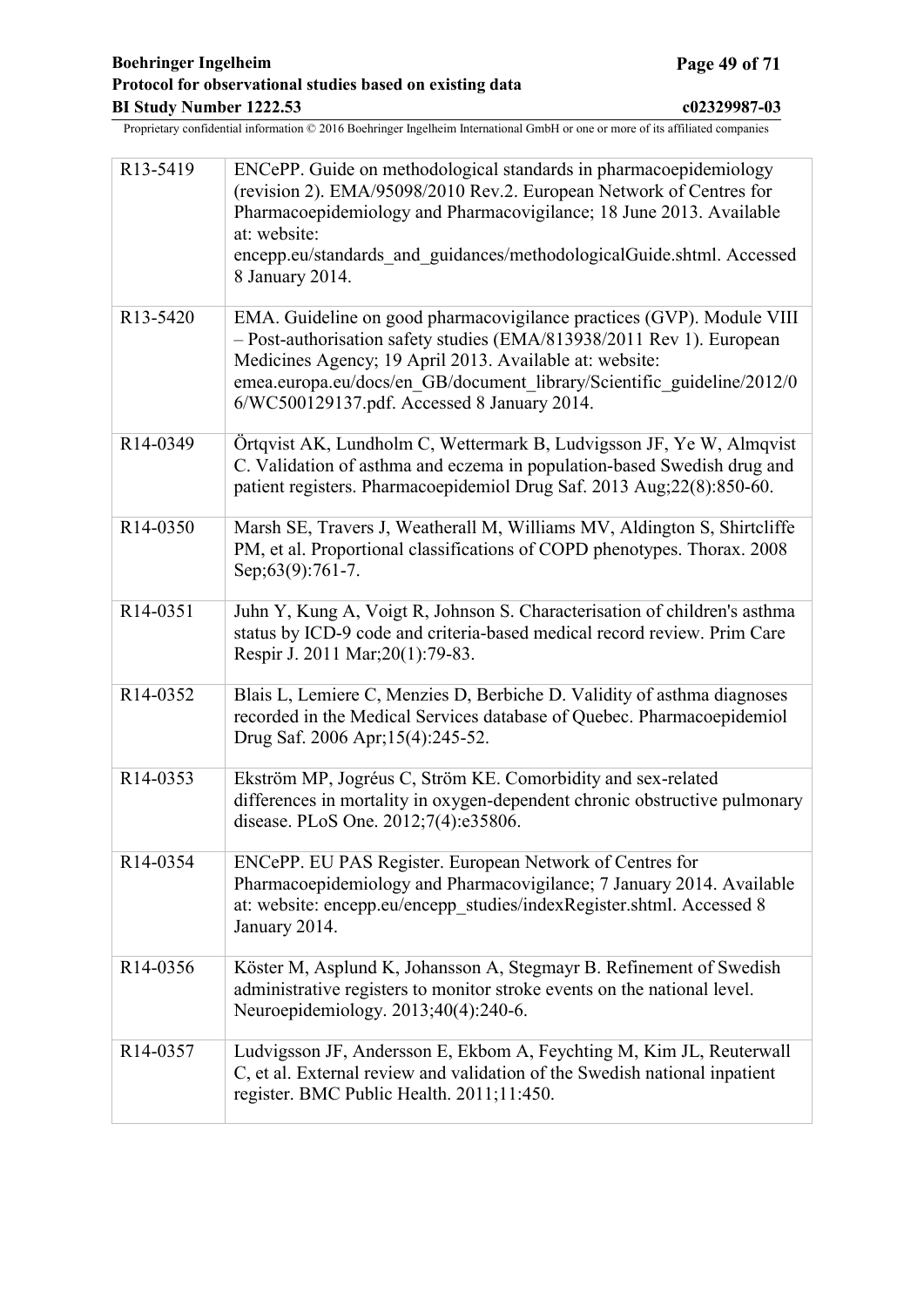<span id="page-48-0"></span>

| R13-5419              | ENCePP. Guide on methodological standards in pharmacoepidemiology<br>(revision 2). EMA/95098/2010 Rev.2. European Network of Centres for<br>Pharmacoepidemiology and Pharmacovigilance; 18 June 2013. Available<br>at: website:<br>encepp.eu/standards and guidances/methodologicalGuide.shtml. Accessed<br>8 January 2014.        |
|-----------------------|------------------------------------------------------------------------------------------------------------------------------------------------------------------------------------------------------------------------------------------------------------------------------------------------------------------------------------|
| R <sub>13</sub> -5420 | EMA. Guideline on good pharmacovigilance practices (GVP). Module VIII<br>- Post-authorisation safety studies (EMA/813938/2011 Rev 1). European<br>Medicines Agency; 19 April 2013. Available at: website:<br>emea.europa.eu/docs/en_GB/document_library/Scientific_guideline/2012/0<br>6/WC500129137.pdf. Accessed 8 January 2014. |
| R14-0349              | Örtqvist AK, Lundholm C, Wettermark B, Ludvigsson JF, Ye W, Almqvist<br>C. Validation of asthma and eczema in population-based Swedish drug and<br>patient registers. Pharmacoepidemiol Drug Saf. 2013 Aug;22(8):850-60.                                                                                                           |
| R <sub>14</sub> -0350 | Marsh SE, Travers J, Weatherall M, Williams MV, Aldington S, Shirtcliffe<br>PM, et al. Proportional classifications of COPD phenotypes. Thorax. 2008<br>Sep;63(9):761-7.                                                                                                                                                           |
| R14-0351              | Juhn Y, Kung A, Voigt R, Johnson S. Characterisation of children's asthma<br>status by ICD-9 code and criteria-based medical record review. Prim Care<br>Respir J. 2011 Mar; 20(1): 79-83.                                                                                                                                         |
| R14-0352              | Blais L, Lemiere C, Menzies D, Berbiche D. Validity of asthma diagnoses<br>recorded in the Medical Services database of Quebec. Pharmacoepidemiol<br>Drug Saf. 2006 Apr; 15(4): 245-52.                                                                                                                                            |
| R14-0353              | Ekström MP, Jogréus C, Ström KE. Comorbidity and sex-related<br>differences in mortality in oxygen-dependent chronic obstructive pulmonary<br>disease. PLoS One. 2012;7(4):e35806.                                                                                                                                                 |
| R14-0354              | ENCePP. EU PAS Register. European Network of Centres for<br>Pharmacoepidemiology and Pharmacovigilance; 7 January 2014. Available<br>at: website: encepp.eu/encepp_studies/indexRegister.shtml. Accessed 8<br>January 2014.                                                                                                        |
| R14-0356              | Köster M, Asplund K, Johansson A, Stegmayr B. Refinement of Swedish<br>administrative registers to monitor stroke events on the national level.<br>Neuroepidemiology. 2013;40(4):240-6.                                                                                                                                            |
| R14-0357              | Ludvigsson JF, Andersson E, Ekbom A, Feychting M, Kim JL, Reuterwall<br>C, et al. External review and validation of the Swedish national inpatient<br>register. BMC Public Health. 2011;11:450.                                                                                                                                    |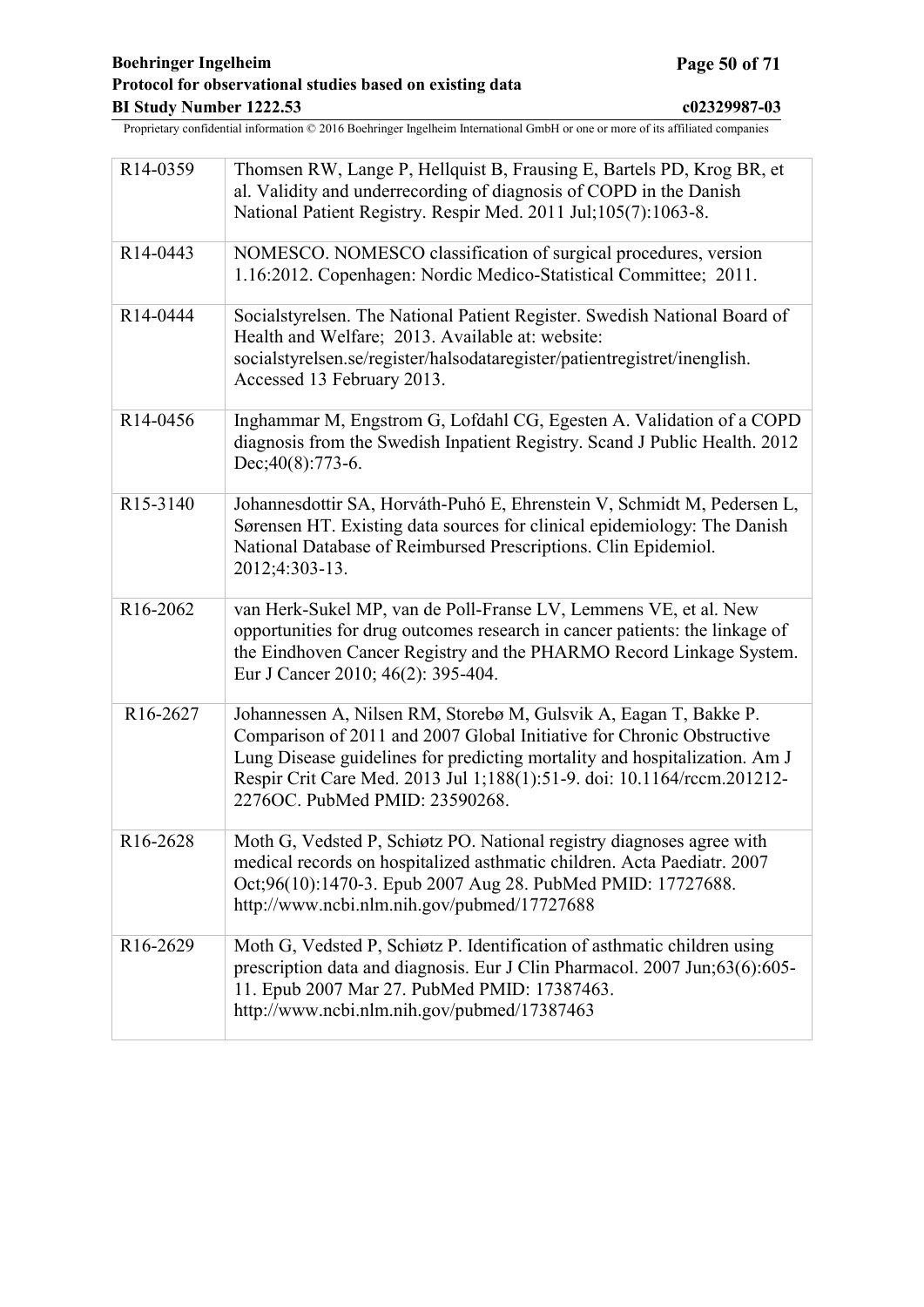<span id="page-49-0"></span>

| R14-0359              | Thomsen RW, Lange P, Hellquist B, Frausing E, Bartels PD, Krog BR, et<br>al. Validity and underrecording of diagnosis of COPD in the Danish<br>National Patient Registry. Respir Med. 2011 Jul;105(7):1063-8.                                                                                                                         |
|-----------------------|---------------------------------------------------------------------------------------------------------------------------------------------------------------------------------------------------------------------------------------------------------------------------------------------------------------------------------------|
| R14-0443              | NOMESCO. NOMESCO classification of surgical procedures, version<br>1.16:2012. Copenhagen: Nordic Medico-Statistical Committee; 2011.                                                                                                                                                                                                  |
| R14-0444              | Socialstyrelsen. The National Patient Register. Swedish National Board of<br>Health and Welfare; 2013. Available at: website:<br>socialstyrelsen.se/register/halsodataregister/patientregistret/inenglish.<br>Accessed 13 February 2013.                                                                                              |
| R14-0456              | Inghammar M, Engstrom G, Lofdahl CG, Egesten A. Validation of a COPD<br>diagnosis from the Swedish Inpatient Registry. Scand J Public Health. 2012<br>$Dec; 40(8): 773-6.$                                                                                                                                                            |
| R15-3140              | Johannesdottir SA, Horváth-Puhó E, Ehrenstein V, Schmidt M, Pedersen L,<br>Sørensen HT. Existing data sources for clinical epidemiology: The Danish<br>National Database of Reimbursed Prescriptions. Clin Epidemiol.<br>2012;4:303-13.                                                                                               |
| R16-2062              | van Herk-Sukel MP, van de Poll-Franse LV, Lemmens VE, et al. New<br>opportunities for drug outcomes research in cancer patients: the linkage of<br>the Eindhoven Cancer Registry and the PHARMO Record Linkage System.<br>Eur J Cancer 2010; 46(2): 395-404.                                                                          |
| R <sub>16</sub> -2627 | Johannessen A, Nilsen RM, Storebø M, Gulsvik A, Eagan T, Bakke P.<br>Comparison of 2011 and 2007 Global Initiative for Chronic Obstructive<br>Lung Disease guidelines for predicting mortality and hospitalization. Am J<br>Respir Crit Care Med. 2013 Jul 1;188(1):51-9. doi: 10.1164/rccm.201212-<br>2276OC. PubMed PMID: 23590268. |
| R <sub>16</sub> -2628 | Moth G, Vedsted P, Schiøtz PO. National registry diagnoses agree with<br>medical records on hospitalized asthmatic children. Acta Paediatr. 2007<br>Oct;96(10):1470-3. Epub 2007 Aug 28. PubMed PMID: 17727688.<br>http://www.ncbi.nlm.nih.gov/pubmed/17727688                                                                        |
| R <sub>16</sub> -2629 | Moth G, Vedsted P, Schiøtz P. Identification of asthmatic children using<br>prescription data and diagnosis. Eur J Clin Pharmacol. 2007 Jun;63(6):605-<br>11. Epub 2007 Mar 27. PubMed PMID: 17387463.<br>http://www.ncbi.nlm.nih.gov/pubmed/17387463                                                                                 |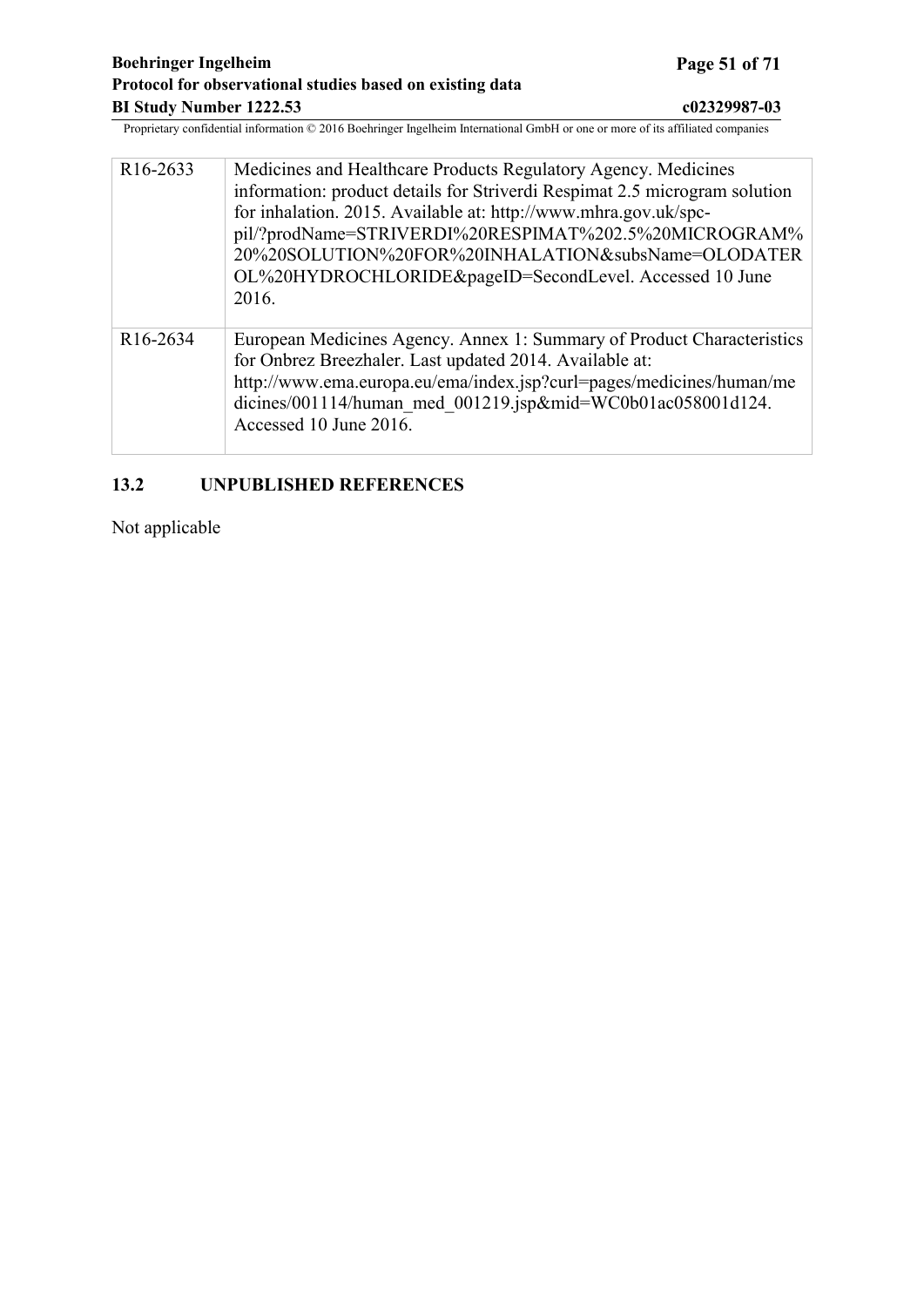<span id="page-50-0"></span>

| R <sub>16</sub> -2633 | Medicines and Healthcare Products Regulatory Agency. Medicines<br>information: product details for Striverdi Respimat 2.5 microgram solution<br>for inhalation. 2015. Available at: http://www.mhra.gov.uk/spc-<br>pil/?prodName=STRIVERDI%20RESPIMAT%202.5%20MICROGRAM%<br>20%20SOLUTION%20FOR%20INHALATION&subsName=OLODATER<br>OL%20HYDROCHLORIDE&pageID=SecondLevel. Accessed 10 June<br>2016. |
|-----------------------|----------------------------------------------------------------------------------------------------------------------------------------------------------------------------------------------------------------------------------------------------------------------------------------------------------------------------------------------------------------------------------------------------|
| R <sub>16</sub> -2634 | European Medicines Agency. Annex 1: Summary of Product Characteristics<br>for Onbrez Breezhaler. Last updated 2014. Available at:<br>http://www.ema.europa.eu/ema/index.jsp?curl=pages/medicines/human/me<br>dicines/001114/human med 001219.jsp∣=WC0b01ac058001d124.<br>Accessed 10 June 2016.                                                                                                    |

## **13.2 UNPUBLISHED REFERENCES**

Not applicable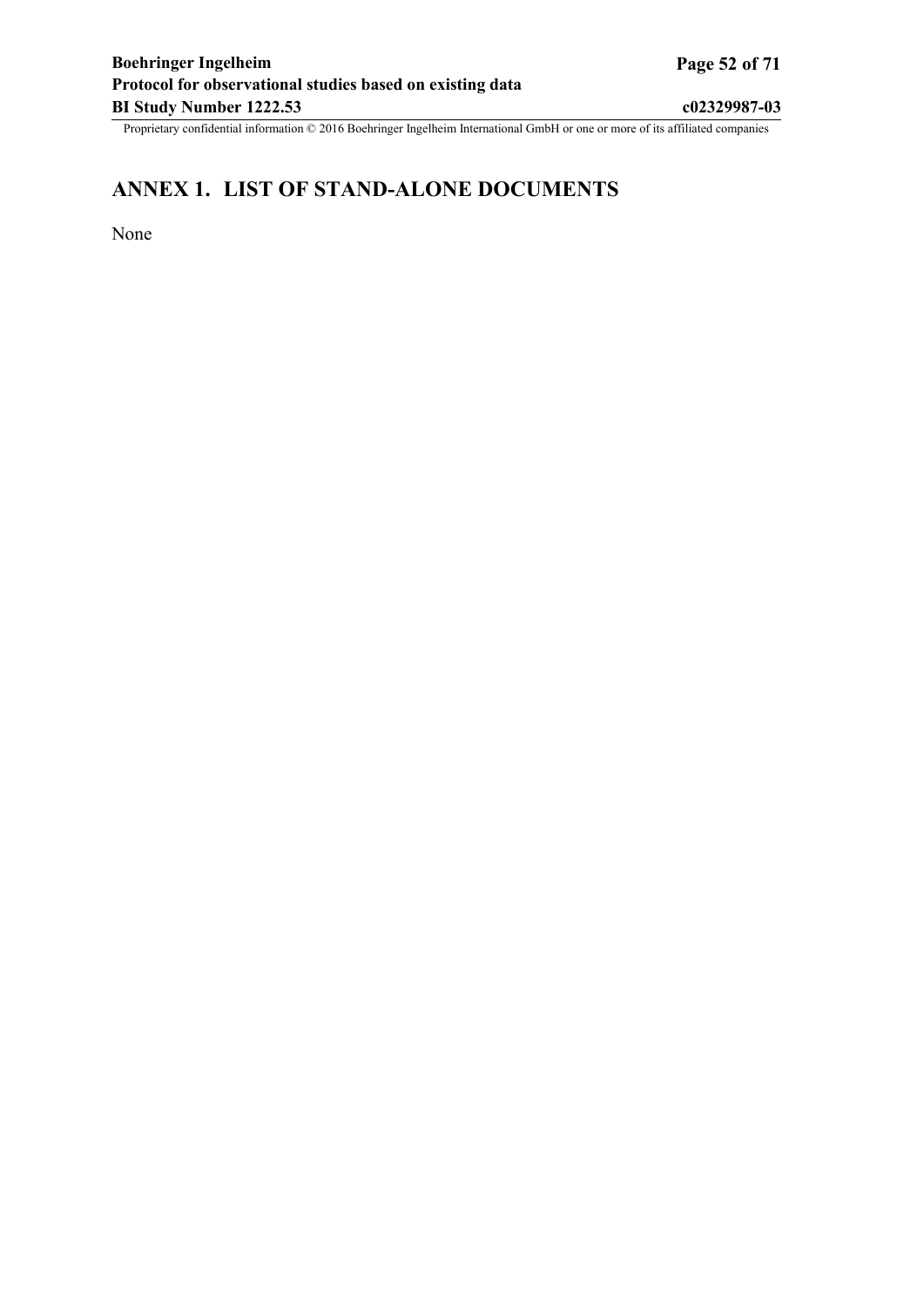# <span id="page-51-0"></span>**ANNEX 1. LIST OF STAND-ALONE DOCUMENTS**

None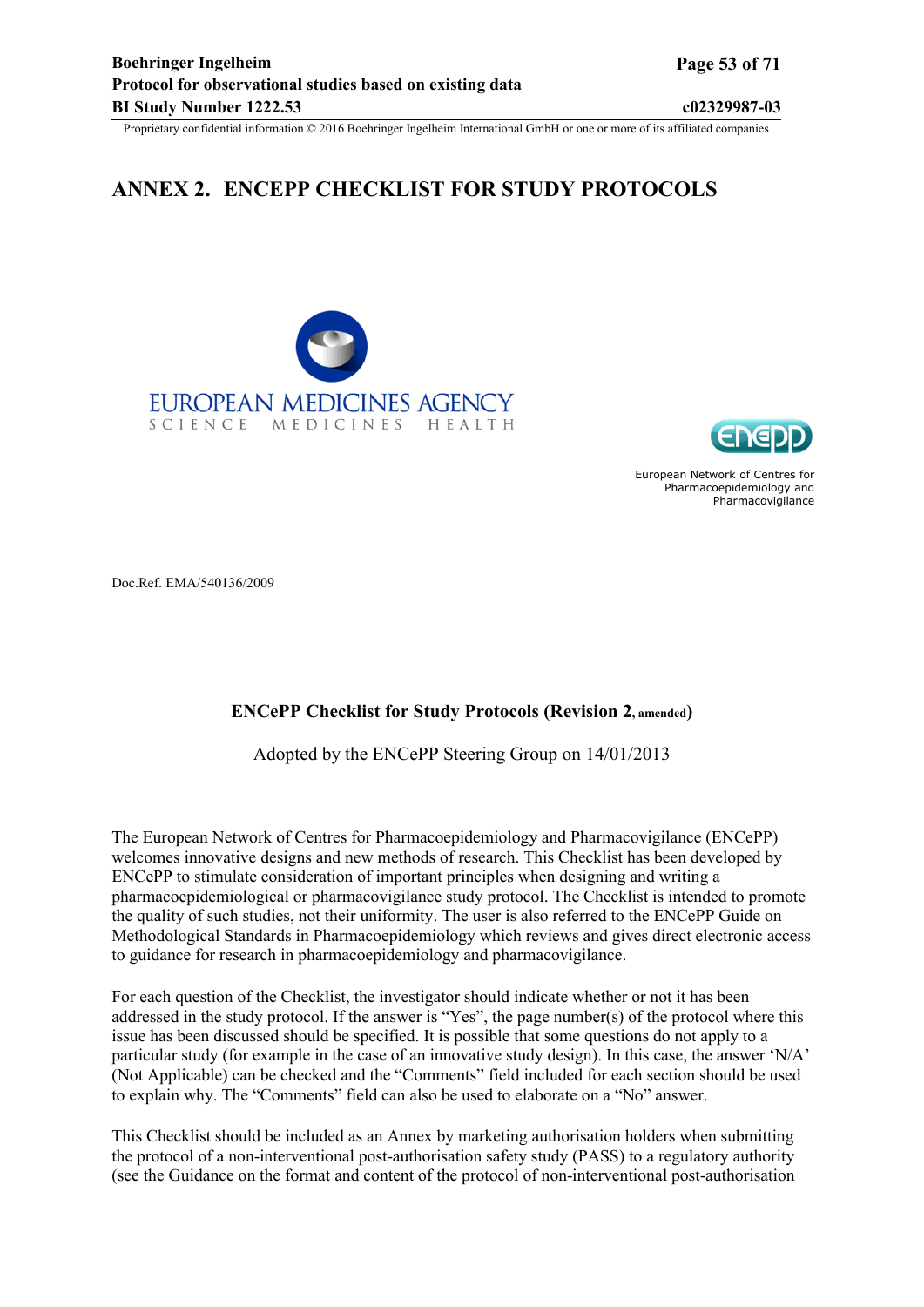# <span id="page-52-0"></span>**ANNEX 2. ENCEPP CHECKLIST FOR STUDY PROTOCOLS**





European Network of Centres for Pharmacoepidemiology and Pharmacovigilance

Doc.Ref. EMA/540136/2009

#### **ENCePP Checklist for Study Protocols (Revision 2, amended)**

Adopted by the ENCePP Steering Group on 14/01/2013

The European Network of Centres for Pharmacoepidemiology and Pharmacovigilance (ENCePP) welcomes innovative designs and new methods of research. This Checklist has been developed by ENCePP to stimulate consideration of important principles when designing and writing a pharmacoepidemiological or pharmacovigilance study protocol. The Checklist is intended to promote the quality of such studies, not their uniformity. The user is also referred to the ENCePP Guide on Methodological Standards in Pharmacoepidemiology which reviews and gives direct electronic access to guidance for research in pharmacoepidemiology and pharmacovigilance.

For each question of the Checklist, the investigator should indicate whether or not it has been addressed in the study protocol. If the answer is "Yes", the page number(s) of the protocol where this issue has been discussed should be specified. It is possible that some questions do not apply to a particular study (for example in the case of an innovative study design). In this case, the answer 'N/A' (Not Applicable) can be checked and the "Comments" field included for each section should be used to explain why. The "Comments" field can also be used to elaborate on a "No" answer.

This Checklist should be included as an Annex by marketing authorisation holders when submitting the protocol of a non-interventional post-authorisation safety study (PASS) to a regulatory authority (see the Guidance on the format and content of the protocol of non-interventional post-authorisation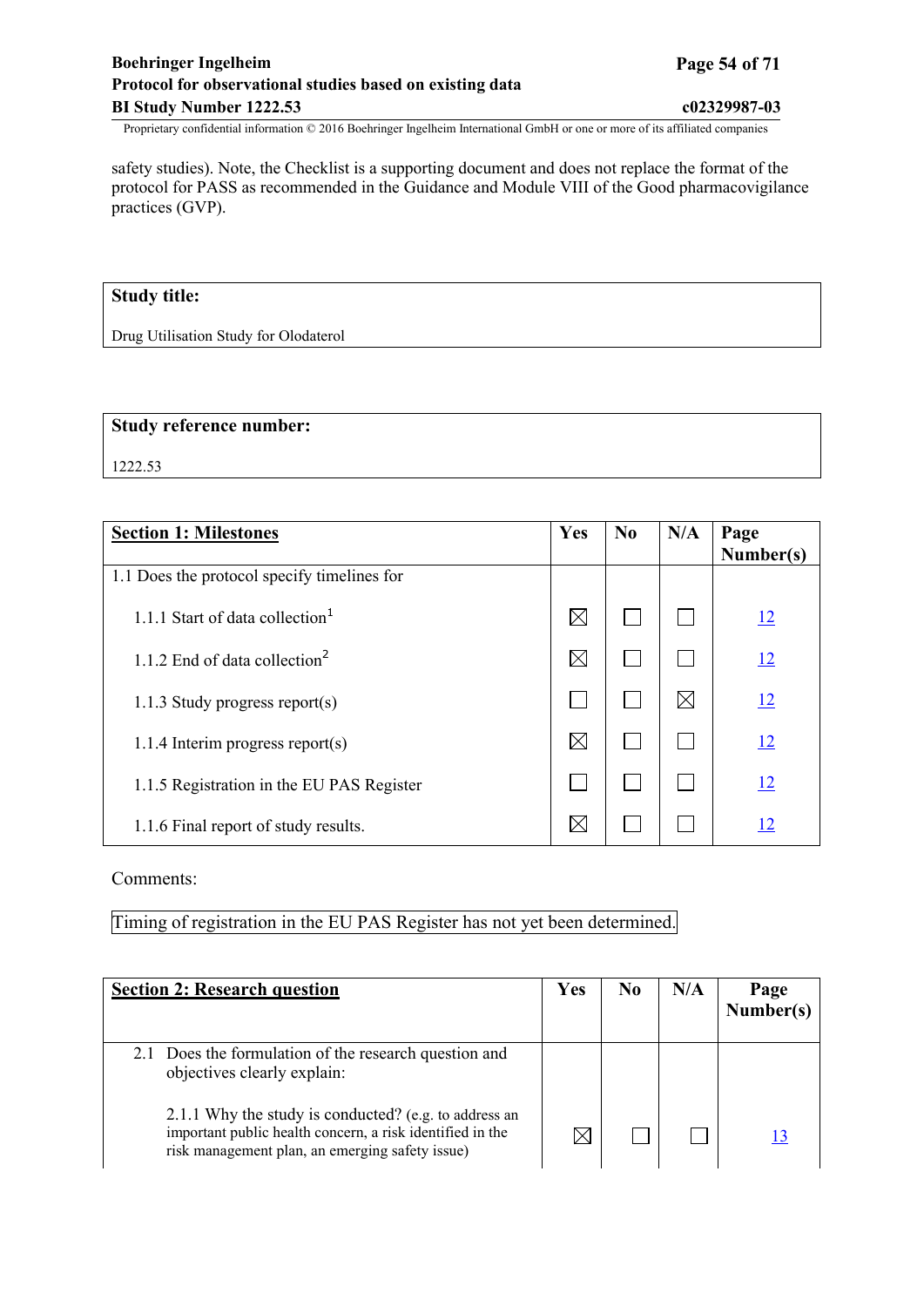## **Boehringer Ingelheim Page 54 of 71 Protocol for observational studies based on existing data BI Study Number 1222.53 c02329987-03**

Proprietary confidential information © 2016 Boehringer Ingelheim International GmbH or one or more of its affiliated companies

safety studies). Note, the Checklist is a supporting document and does not replace the format of the protocol for PASS as recommended in the Guidance and Module VIII of the Good pharmacovigilance practices (GVP).

## **Study title:**

Drug Utilisation Study for Olodaterol

#### **Study reference number:**

1222.53

| <b>Section 1: Milestones</b>                | Yes         | N <sub>0</sub> | N/A | Page<br>Number(s) |
|---------------------------------------------|-------------|----------------|-----|-------------------|
| 1.1 Does the protocol specify timelines for |             |                |     |                   |
| 1.1.1 Start of data collection <sup>1</sup> | $\boxtimes$ |                |     | 12                |
| 1.1.2 End of data collection <sup>2</sup>   | $\boxtimes$ |                |     | <u>12</u>         |
| 1.1.3 Study progress report(s)              |             |                | IX  | 12                |
| $1.1.4$ Interim progress report(s)          | $\boxtimes$ |                |     | <u>12</u>         |
| 1.1.5 Registration in the EU PAS Register   |             |                |     | <u>12</u>         |
| 1.1.6 Final report of study results.        | $\boxtimes$ |                |     | <u>12</u>         |

#### Comments:

Timing of registration in the EU PAS Register has not yet been determined.

| <b>Section 2: Research question</b>                                                                                                                                   | Yes                   | N <sub>0</sub> | N/A | Page<br>Number(s) |
|-----------------------------------------------------------------------------------------------------------------------------------------------------------------------|-----------------------|----------------|-----|-------------------|
| 2.1 Does the formulation of the research question and<br>objectives clearly explain:                                                                                  |                       |                |     |                   |
| 2.1.1 Why the study is conducted? (e.g. to address an<br>important public health concern, a risk identified in the<br>risk management plan, an emerging safety issue) | $\boldsymbol{\times}$ |                |     |                   |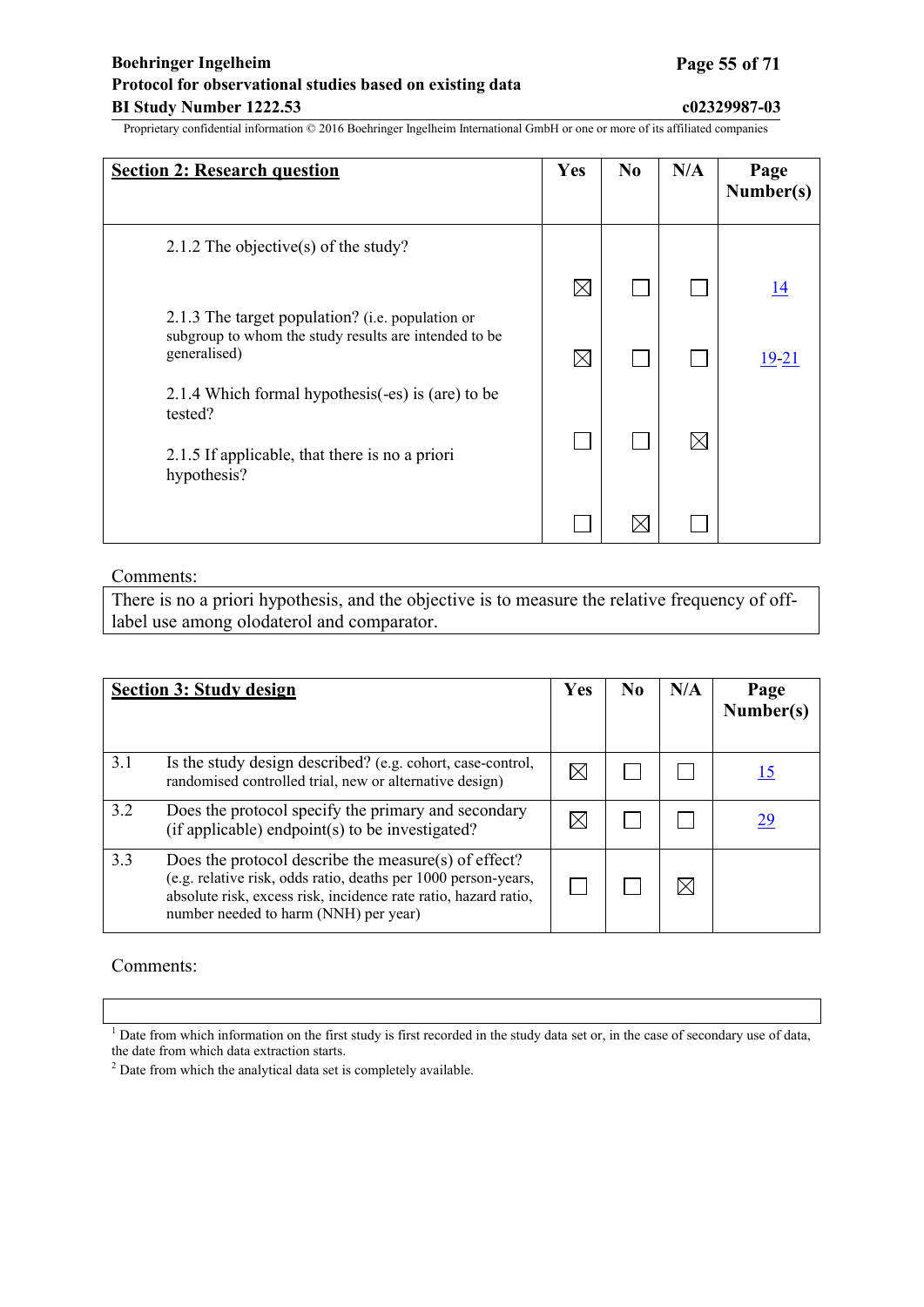## **Boehringer Ingelheim Page 55 of 71 Protocol for observational studies based on existing data BI Study Number 1222.53 c02329987-03**

Proprietary confidential information © 2016 Boehringer Ingelheim International GmbH or one or more of its affiliated companies

| <b>Section 2: Research question</b>                                                                                           | Yes         | N <sub>0</sub> | N/A         | Page<br>Number(s) |
|-------------------------------------------------------------------------------------------------------------------------------|-------------|----------------|-------------|-------------------|
| 2.1.2 The objective(s) of the study?                                                                                          |             |                |             |                   |
|                                                                                                                               | $\boxtimes$ |                |             | <u>14</u>         |
| 2.1.3 The target population? (i.e. population or<br>subgroup to whom the study results are intended to be<br>generalised)     | $\boxtimes$ |                |             | 19-21             |
| 2.1.4 Which formal hypothesis(-es) is (are) to be<br>tested?<br>2.1.5 If applicable, that there is no a priori<br>hypothesis? |             |                | $\boxtimes$ |                   |
|                                                                                                                               |             | $\boxtimes$    |             |                   |

#### Comments:

There is no a priori hypothesis, and the objective is to measure the relative frequency of offlabel use among olodaterol and comparator.

|     | <b>Section 3: Study design</b>                                                                                                                                                                                                     | Yes | No. | N/A | Page<br>Number(s) |
|-----|------------------------------------------------------------------------------------------------------------------------------------------------------------------------------------------------------------------------------------|-----|-----|-----|-------------------|
| 3.1 | Is the study design described? (e.g. cohort, case-control,<br>randomised controlled trial, new or alternative design)                                                                                                              |     |     |     |                   |
| 3.2 | Does the protocol specify the primary and secondary<br>(if applicable) endpoint(s) to be investigated?                                                                                                                             |     |     |     | 29                |
| 3.3 | Does the protocol describe the measure(s) of effect?<br>(e.g. relative risk, odds ratio, deaths per 1000 person-years,<br>absolute risk, excess risk, incidence rate ratio, hazard ratio,<br>number needed to harm (NNH) per year) |     |     |     |                   |

#### Comments:

<sup>&</sup>lt;sup>1</sup> Date from which information on the first study is first recorded in the study data set or, in the case of secondary use of data, the date from which data extraction starts.

<sup>2</sup> Date from which the analytical data set is completely available.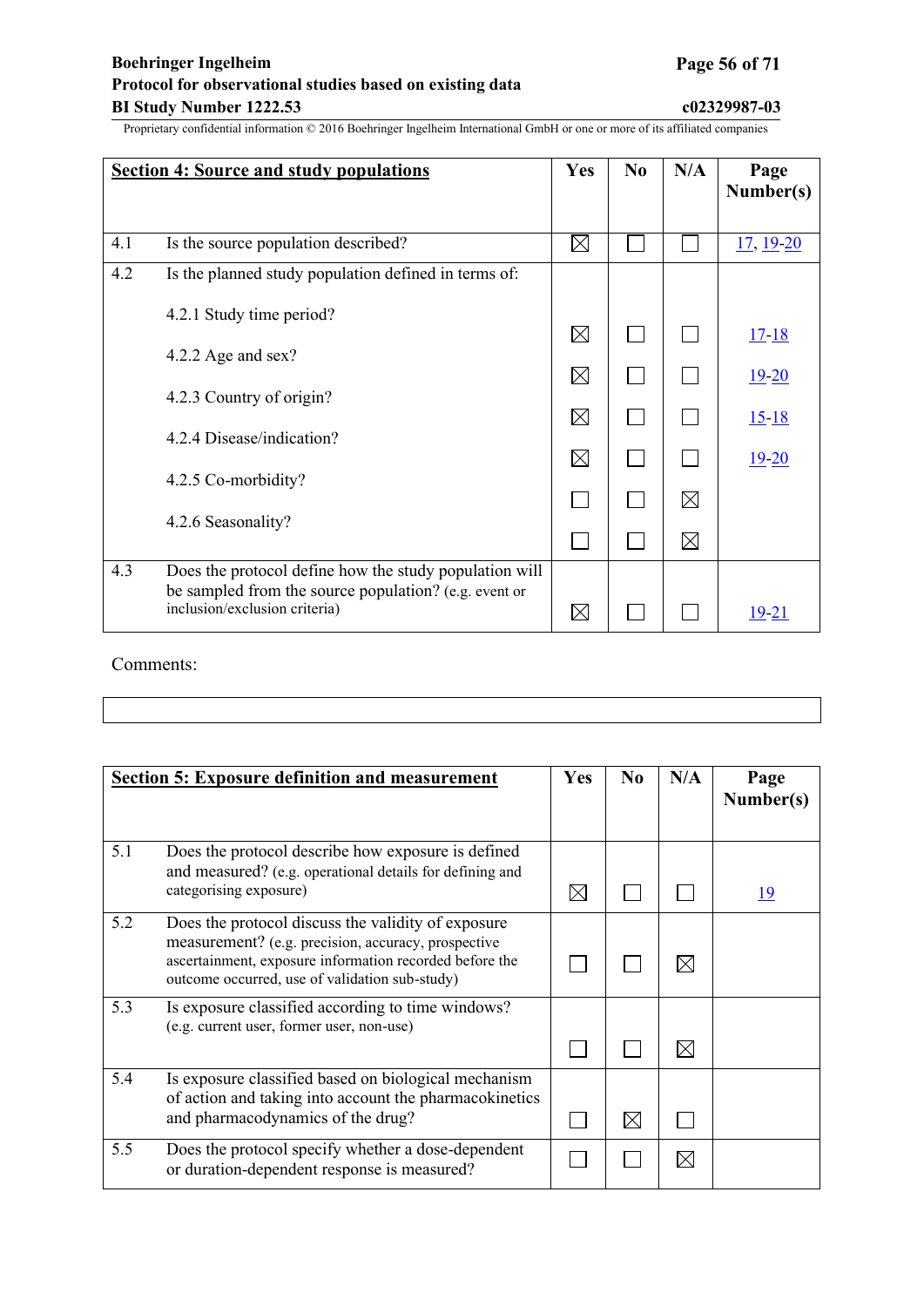|     | <b>Section 4: Source and study populations</b>                                                                                                   | <b>Yes</b>  | N <sub>0</sub> | N/A         | Page<br>Number(s) |
|-----|--------------------------------------------------------------------------------------------------------------------------------------------------|-------------|----------------|-------------|-------------------|
|     |                                                                                                                                                  |             |                |             |                   |
| 4.1 | Is the source population described?                                                                                                              | $\boxtimes$ |                |             | 17, 19-20         |
| 4.2 | Is the planned study population defined in terms of:                                                                                             |             |                |             |                   |
|     | 4.2.1 Study time period?                                                                                                                         |             |                |             |                   |
|     |                                                                                                                                                  | $\boxtimes$ |                |             | $17 - 18$         |
|     | 4.2.2 Age and sex?                                                                                                                               | $\boxtimes$ |                |             | $19 - 20$         |
|     | 4.2.3 Country of origin?                                                                                                                         | $\boxtimes$ |                |             | $15 - 18$         |
|     | 4.2.4 Disease/indication?                                                                                                                        | $\boxtimes$ |                |             | $19 - 20$         |
|     | 4.2.5 Co-morbidity?                                                                                                                              |             |                | ⊠           |                   |
|     | 4.2.6 Seasonality?                                                                                                                               |             |                | $\boxtimes$ |                   |
| 4.3 | Does the protocol define how the study population will<br>be sampled from the source population? (e.g. event or<br>inclusion/exclusion criteria) | $\boxtimes$ |                |             | 19-21             |

Comments:

|     | <b>Section 5: Exposure definition and measurement</b>                                                                                                                                                                  | <b>Yes</b>  | N <sub>0</sub> | N/A         | Page<br>Number(s) |
|-----|------------------------------------------------------------------------------------------------------------------------------------------------------------------------------------------------------------------------|-------------|----------------|-------------|-------------------|
| 5.1 | Does the protocol describe how exposure is defined<br>and measured? (e.g. operational details for defining and<br>categorising exposure)                                                                               | $\boxtimes$ |                |             | <u> 19</u>        |
| 5.2 | Does the protocol discuss the validity of exposure<br>measurement? (e.g. precision, accuracy, prospective<br>ascertainment, exposure information recorded before the<br>outcome occurred, use of validation sub-study) |             |                | $\boxtimes$ |                   |
| 5.3 | Is exposure classified according to time windows?<br>(e.g. current user, former user, non-use)                                                                                                                         |             |                | $\boxtimes$ |                   |
| 5.4 | Is exposure classified based on biological mechanism<br>of action and taking into account the pharmacokinetics<br>and pharmacodynamics of the drug?                                                                    |             | ⊠              |             |                   |
| 5.5 | Does the protocol specify whether a dose-dependent<br>or duration-dependent response is measured?                                                                                                                      |             |                | $\times$    |                   |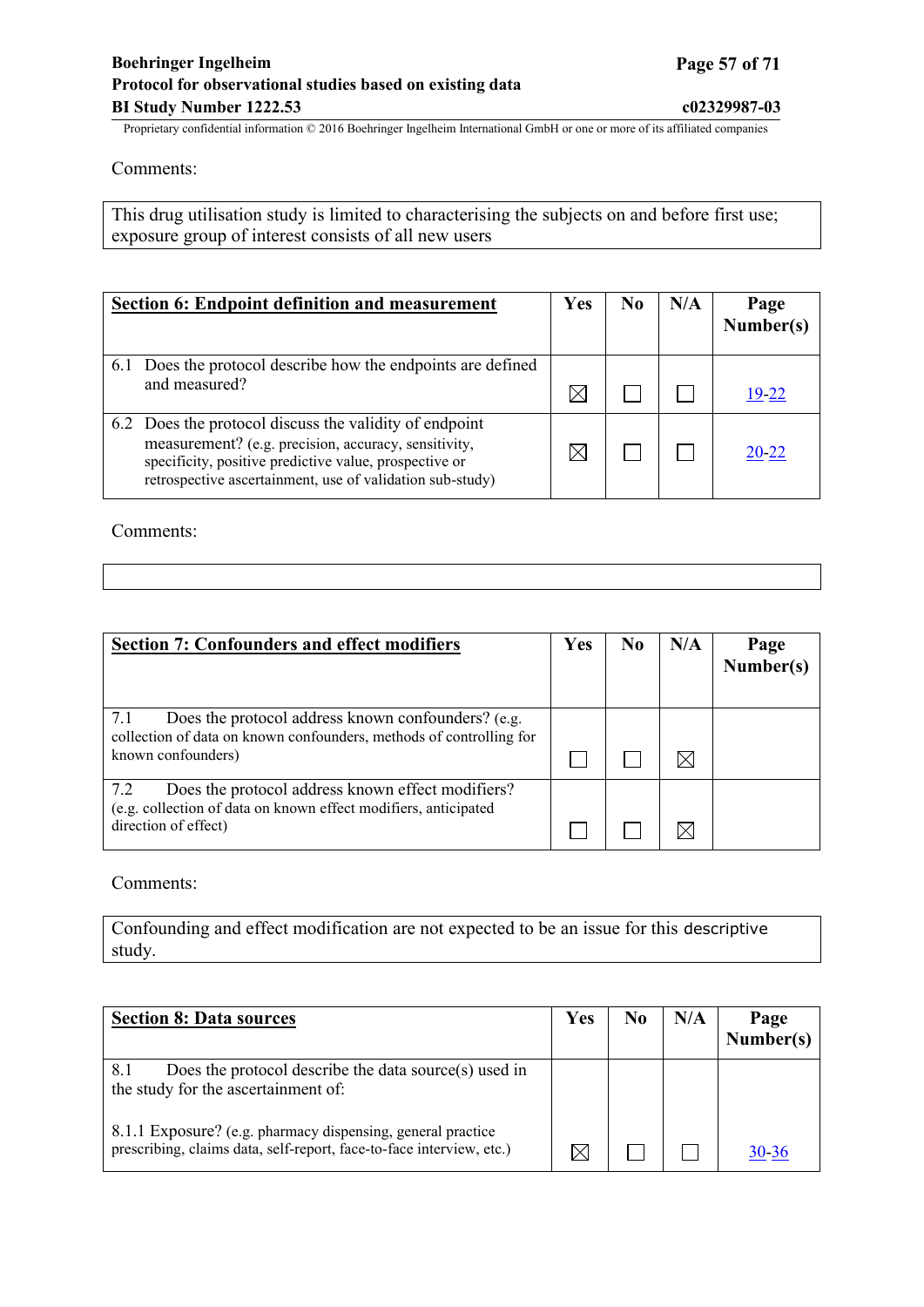Comments:

This drug utilisation study is limited to characterising the subjects on and before first use; exposure group of interest consists of all new users

| <b>Section 6: Endpoint definition and measurement</b>                                                                                                                                                                                 | <b>Yes</b> | N0 | N/A | Page<br>Number(s) |
|---------------------------------------------------------------------------------------------------------------------------------------------------------------------------------------------------------------------------------------|------------|----|-----|-------------------|
| Does the protocol describe how the endpoints are defined<br>6.1<br>and measured?                                                                                                                                                      |            |    |     | 19-22             |
| 6.2 Does the protocol discuss the validity of endpoint<br>measurement? (e.g. precision, accuracy, sensitivity,<br>specificity, positive predictive value, prospective or<br>retrospective ascertainment, use of validation sub-study) |            |    |     | 20-22             |

Comments:

| <b>Section 7: Confounders and effect modifiers</b>                                                                                                     | Yes | N <sub>0</sub> | N/A | Page<br>Number(s) |
|--------------------------------------------------------------------------------------------------------------------------------------------------------|-----|----------------|-----|-------------------|
| Does the protocol address known confounders? (e.g.<br>7.1<br>collection of data on known confounders, methods of controlling for<br>known confounders) |     |                |     |                   |
| 7.2<br>Does the protocol address known effect modifiers?<br>(e.g. collection of data on known effect modifiers, anticipated<br>direction of effect)    |     |                |     |                   |

Comments:

Confounding and effect modification are not expected to be an issue for this descriptive study.

| <b>Section 8: Data sources</b>                                                                                                      | <b>Yes</b> | No | N/A | Page<br>Number(s) |
|-------------------------------------------------------------------------------------------------------------------------------------|------------|----|-----|-------------------|
| Does the protocol describe the data source(s) used in<br>8.1<br>the study for the ascertainment of:                                 |            |    |     |                   |
| 8.1.1 Exposure? (e.g. pharmacy dispensing, general practice<br>prescribing, claims data, self-report, face-to-face interview, etc.) |            |    |     | 30-36             |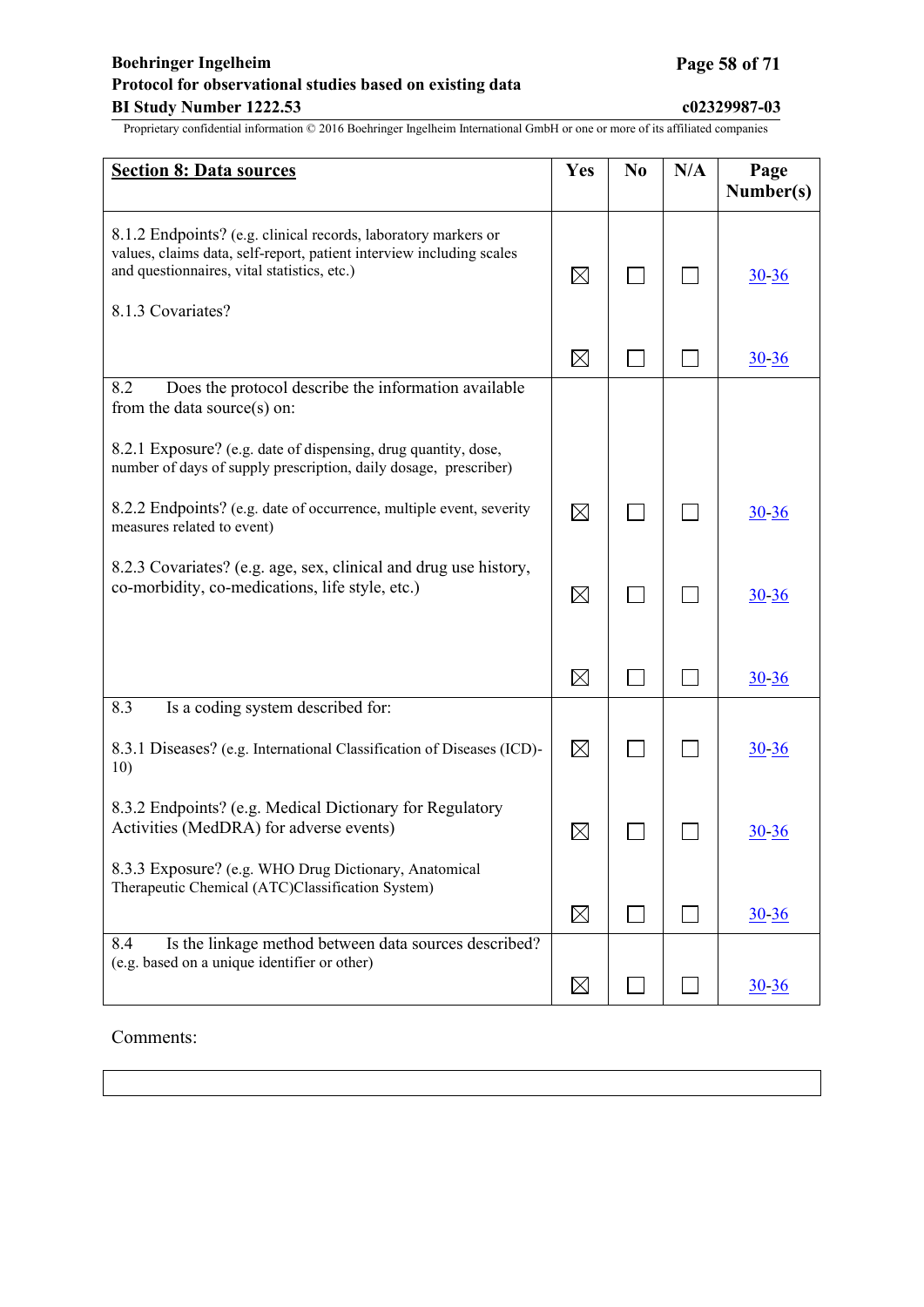## **Boehringer Ingelheim Page 58 of 71 Protocol for observational studies based on existing data BI Study Number 1222.53 c02329987-03**

Proprietary confidential information © 2016 Boehringer Ingelheim International GmbH or one or more of its affiliated companies

| <b>Section 8: Data sources</b>                                                                                                                                                        | Yes         | N <sub>0</sub> | N/A | Page<br>Number(s) |
|---------------------------------------------------------------------------------------------------------------------------------------------------------------------------------------|-------------|----------------|-----|-------------------|
| 8.1.2 Endpoints? (e.g. clinical records, laboratory markers or<br>values, claims data, self-report, patient interview including scales<br>and questionnaires, vital statistics, etc.) | $\boxtimes$ |                |     | $30 - 36$         |
| 8.1.3 Covariates?                                                                                                                                                                     |             |                |     |                   |
|                                                                                                                                                                                       | $\boxtimes$ |                |     | $30 - 36$         |
| 8.2<br>Does the protocol describe the information available<br>from the data source(s) on:                                                                                            |             |                |     |                   |
| 8.2.1 Exposure? (e.g. date of dispensing, drug quantity, dose,<br>number of days of supply prescription, daily dosage, prescriber)                                                    |             |                |     |                   |
| 8.2.2 Endpoints? (e.g. date of occurrence, multiple event, severity<br>measures related to event)                                                                                     | $\boxtimes$ |                |     | $30 - 36$         |
| 8.2.3 Covariates? (e.g. age, sex, clinical and drug use history,<br>co-morbidity, co-medications, life style, etc.)                                                                   | $\boxtimes$ |                |     | $30 - 36$         |
|                                                                                                                                                                                       | $\boxtimes$ |                |     | $30 - 36$         |
| 8.3<br>Is a coding system described for:                                                                                                                                              |             |                |     |                   |
| 8.3.1 Diseases? (e.g. International Classification of Diseases (ICD)-<br>10)                                                                                                          | $\boxtimes$ |                |     | $30 - 36$         |
| 8.3.2 Endpoints? (e.g. Medical Dictionary for Regulatory<br>Activities (MedDRA) for adverse events)                                                                                   | $\boxtimes$ |                |     | <u>30-36</u>      |
| 8.3.3 Exposure? (e.g. WHO Drug Dictionary, Anatomical<br>Therapeutic Chemical (ATC)Classification System)                                                                             |             |                |     |                   |
|                                                                                                                                                                                       | $\boxtimes$ |                |     | $30 - 36$         |
| Is the linkage method between data sources described?<br>8.4<br>(e.g. based on a unique identifier or other)                                                                          | $\boxtimes$ |                |     | $30 - 36$         |
|                                                                                                                                                                                       |             |                |     |                   |

Comments: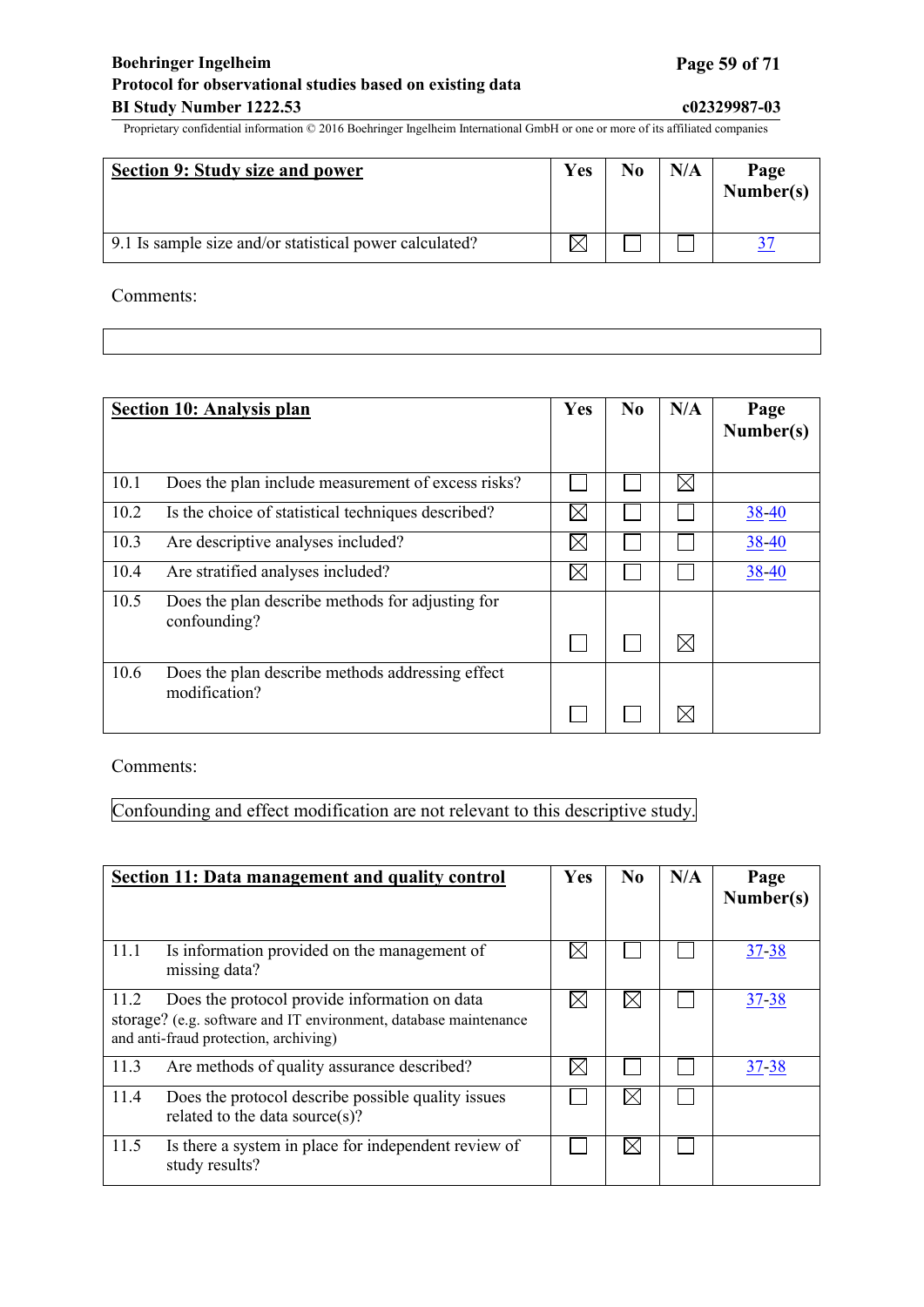## **Boehringer Ingelheim Page 59 of 71 Protocol for observational studies based on existing data BI Study Number 1222.53 c02329987-03**

Proprietary confidential information © 2016 Boehringer Ingelheim International GmbH or one or more of its affiliated companies

| Section 9: Study size and power                         | Yes | N <sub>0</sub> | N/A | Page<br>Number(s) |
|---------------------------------------------------------|-----|----------------|-----|-------------------|
| 9.1 Is sample size and/or statistical power calculated? |     |                |     |                   |

Comments:

|      | <b>Section 10: Analysis plan</b>                                  | Yes         | No | N/A         | Page<br>Number(s) |
|------|-------------------------------------------------------------------|-------------|----|-------------|-------------------|
| 10.1 | Does the plan include measurement of excess risks?                |             |    | IX          |                   |
| 10.2 | Is the choice of statistical techniques described?                | $\times$    |    |             | $38 - 40$         |
| 10.3 | Are descriptive analyses included?                                | $\boxtimes$ |    |             | $38 - 40$         |
| 10.4 | Are stratified analyses included?                                 | $\boxtimes$ |    |             | 38-40             |
| 10.5 | Does the plan describe methods for adjusting for<br>confounding?  |             |    | $\boxtimes$ |                   |
| 10.6 | Does the plan describe methods addressing effect<br>modification? |             |    | IХ          |                   |

Comments:

Confounding and effect modification are not relevant to this descriptive study.

|      | Section 11: Data management and quality control                                                                                                            | Yes | No | N/A | Page<br>Number(s) |
|------|------------------------------------------------------------------------------------------------------------------------------------------------------------|-----|----|-----|-------------------|
| 11.1 | Is information provided on the management of<br>missing data?                                                                                              |     |    |     | $37 - 38$         |
| 11.2 | Does the protocol provide information on data<br>storage? (e.g. software and IT environment, database maintenance<br>and anti-fraud protection, archiving) |     |    |     | <u>37-38</u>      |
| 11.3 | Are methods of quality assurance described?                                                                                                                |     |    |     | 37-38             |
| 11.4 | Does the protocol describe possible quality issues<br>related to the data source(s)?                                                                       |     |    |     |                   |
| 11.5 | Is there a system in place for independent review of<br>study results?                                                                                     |     |    |     |                   |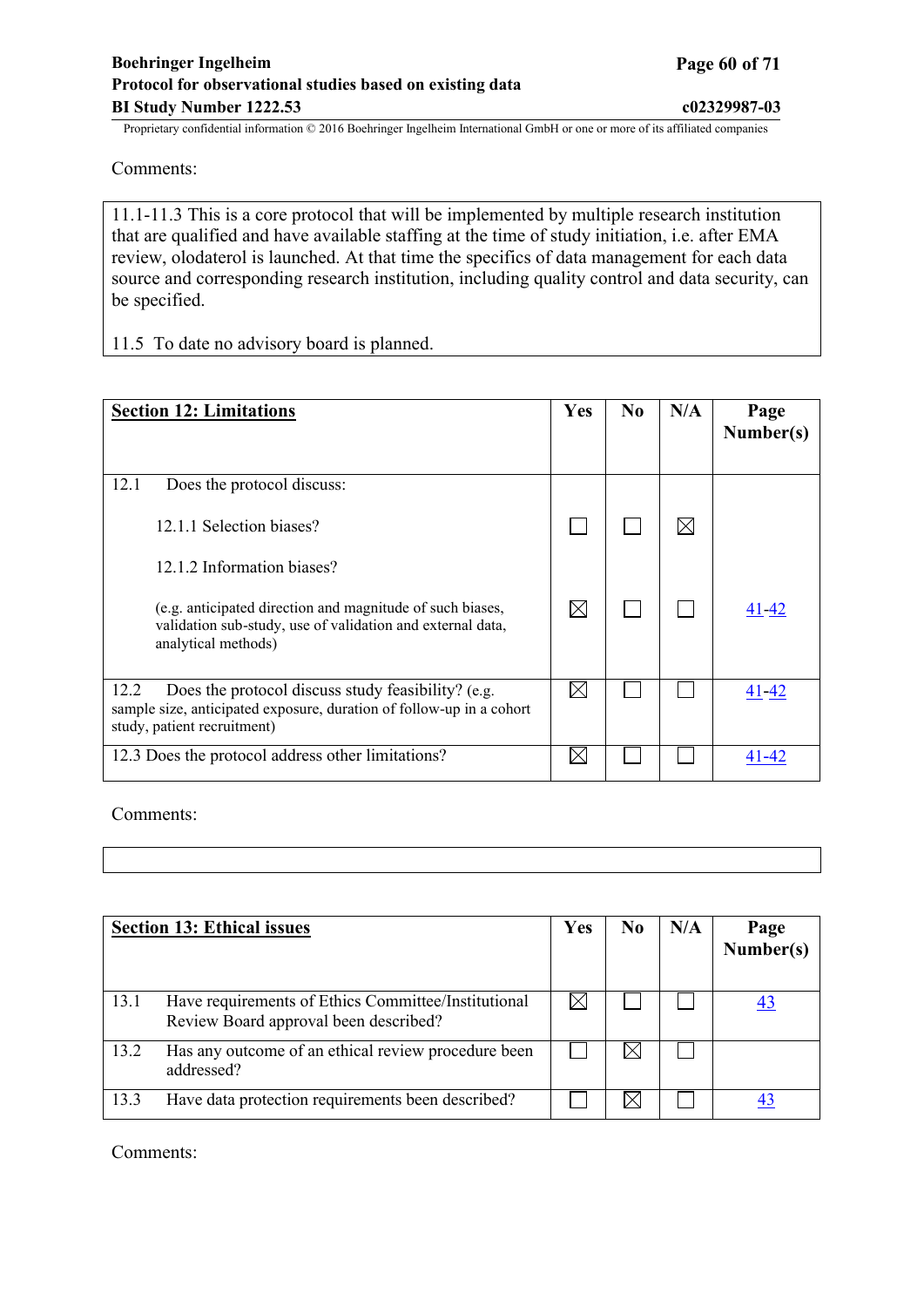Comments:

11.1-11.3 This is a core protocol that will be implemented by multiple research institution that are qualified and have available staffing at the time of study initiation, i.e. after EMA review, olodaterol is launched. At that time the specifics of data management for each data source and corresponding research institution, including quality control and data security, can be specified.

11.5 To date no advisory board is planned.

| <b>Section 12: Limitations</b>                                                                                                                                    | <b>Yes</b>  | $\bf No$ | N/A         | Page<br>Number(s) |
|-------------------------------------------------------------------------------------------------------------------------------------------------------------------|-------------|----------|-------------|-------------------|
| 12.1<br>Does the protocol discuss:                                                                                                                                |             |          |             |                   |
| 12.1.1 Selection biases?                                                                                                                                          |             |          | $\boxtimes$ |                   |
| 12.1.2 Information biases?                                                                                                                                        |             |          |             |                   |
| (e.g. anticipated direction and magnitude of such biases,<br>validation sub-study, use of validation and external data,<br>analytical methods)                    | $\boxtimes$ |          |             | $41 - 42$         |
| Does the protocol discuss study feasibility? (e.g.<br>12.2<br>sample size, anticipated exposure, duration of follow-up in a cohort<br>study, patient recruitment) |             |          |             | 41-42             |
| 12.3 Does the protocol address other limitations?                                                                                                                 |             |          |             | 41-42             |

Comments:

|      | <b>Section 13: Ethical issues</b>                                                            | <b>Yes</b> | No. | N/A | Page<br>Number(s) |
|------|----------------------------------------------------------------------------------------------|------------|-----|-----|-------------------|
| 13.1 | Have requirements of Ethics Committee/Institutional<br>Review Board approval been described? |            |     |     |                   |
| 13.2 | Has any outcome of an ethical review procedure been<br>addressed?                            |            |     |     |                   |
| 13.3 | Have data protection requirements been described?                                            |            |     |     |                   |

Comments: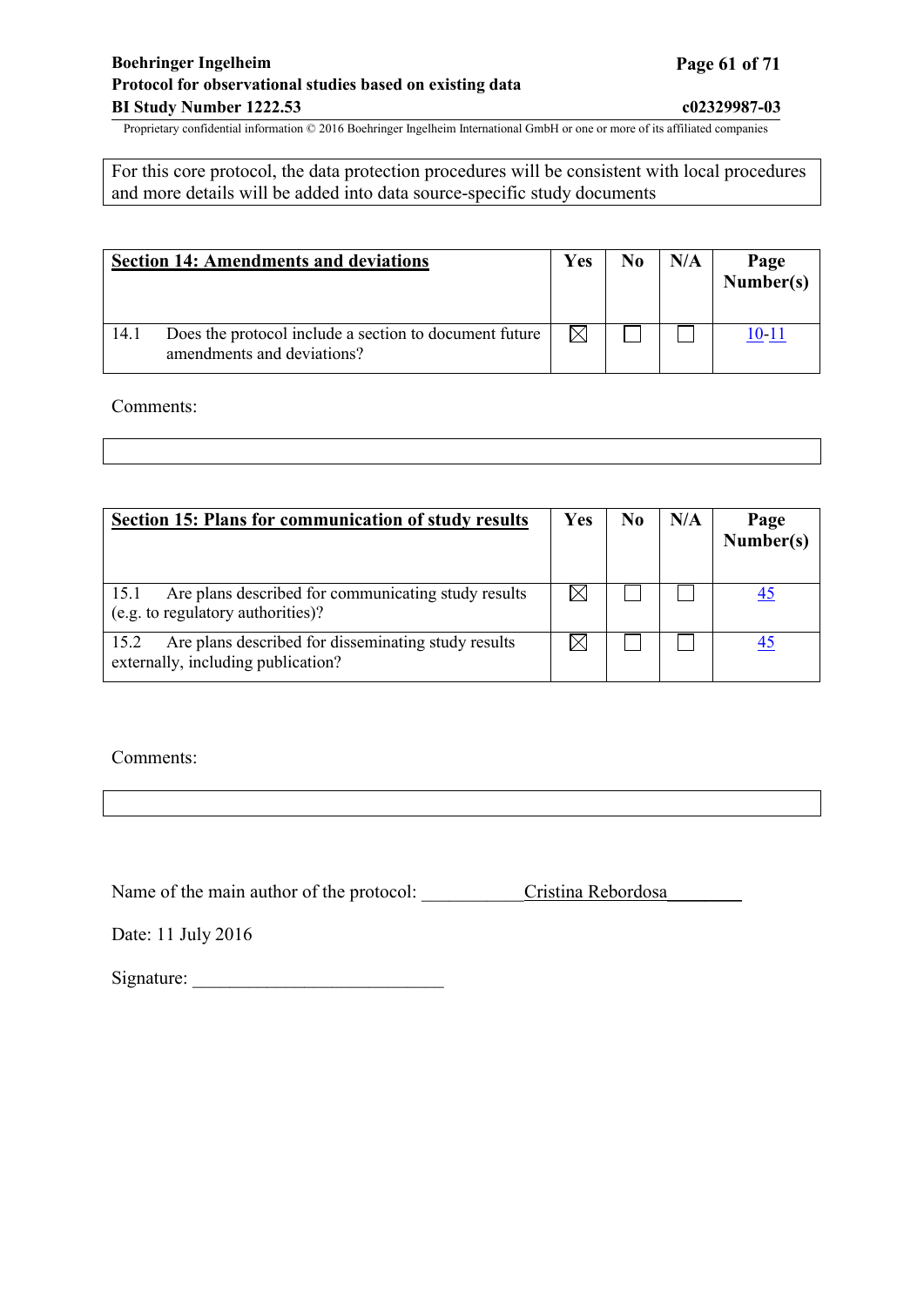## **Boehringer Ingelheim Page 61 of 71 Protocol for observational studies based on existing data BI Study Number 1222.53 c02329987-03**

Proprietary confidential information © 2016 Boehringer Ingelheim International GmbH or one or more of its affiliated companies

For this core protocol, the data protection procedures will be consistent with local procedures and more details will be added into data source-specific study documents

|      | <b>Section 14: Amendments and deviations</b>                                         | Yes | N <sub>0</sub> | N/A | Page<br>Number(s) |
|------|--------------------------------------------------------------------------------------|-----|----------------|-----|-------------------|
| 14.1 | Does the protocol include a section to document future<br>amendments and deviations? |     |                |     | 10-11             |

Comments:

| <b>Section 15: Plans for communication of study results</b>                                       | Yes | N <sub>0</sub> | N/A | Page<br>Number(s) |
|---------------------------------------------------------------------------------------------------|-----|----------------|-----|-------------------|
| Are plans described for communicating study results<br>15.1<br>(e.g. to regulatory authorities)?  |     |                |     |                   |
| Are plans described for disseminating study results<br>15.2<br>externally, including publication? |     |                |     |                   |

Comments:

Name of the main author of the protocol: Cristina Rebordosa

Date: 11 July 2016

Signature: \_\_\_\_\_\_\_\_\_\_\_\_\_\_\_\_\_\_\_\_\_\_\_\_\_\_\_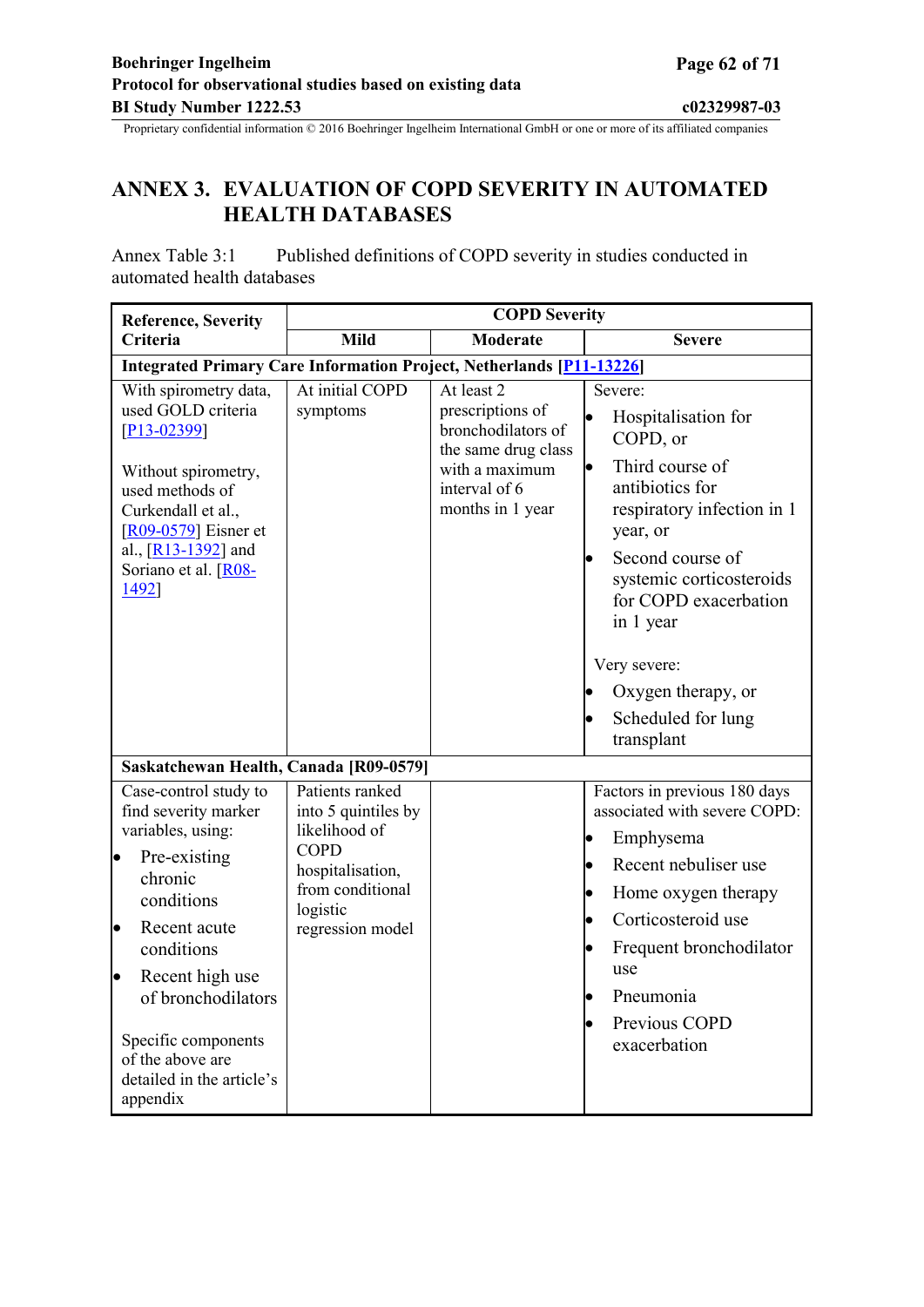# <span id="page-61-0"></span>**ANNEX 3. EVALUATION OF COPD SEVERITY IN AUTOMATED HEALTH DATABASES**

Annex Table 3:1 Published definitions of COPD severity in studies conducted in automated health databases

| <b>Reference, Severity</b>                                                                                                                                                                                                                                                                            | <b>COPD Severity</b>                                                                                                                           |                                                                                                                                    |                                                                                                                                                                                                                                                                                                                      |  |  |
|-------------------------------------------------------------------------------------------------------------------------------------------------------------------------------------------------------------------------------------------------------------------------------------------------------|------------------------------------------------------------------------------------------------------------------------------------------------|------------------------------------------------------------------------------------------------------------------------------------|----------------------------------------------------------------------------------------------------------------------------------------------------------------------------------------------------------------------------------------------------------------------------------------------------------------------|--|--|
| Criteria                                                                                                                                                                                                                                                                                              | <b>Mild</b>                                                                                                                                    | <b>Moderate</b>                                                                                                                    | <b>Severe</b>                                                                                                                                                                                                                                                                                                        |  |  |
|                                                                                                                                                                                                                                                                                                       | <b>Integrated Primary Care Information Project, Netherlands [P11-13226]</b>                                                                    |                                                                                                                                    |                                                                                                                                                                                                                                                                                                                      |  |  |
| With spirometry data,<br>used GOLD criteria<br>$[P13-02399]$<br>Without spirometry,<br>used methods of<br>Curkendall et al.,<br>$[R09-0579]$ Eisner et<br>al., $[R13-1392]$ and<br>Soriano et al. [R08-<br>1492]                                                                                      | At initial COPD<br>symptoms                                                                                                                    | At least 2<br>prescriptions of<br>bronchodilators of<br>the same drug class<br>with a maximum<br>interval of 6<br>months in 1 year | Severe:<br>Hospitalisation for<br>COPD, or<br>Third course of<br>$\bullet$<br>antibiotics for<br>respiratory infection in 1<br>year, or<br>Second course of<br>$\bullet$<br>systemic corticosteroids<br>for COPD exacerbation<br>in 1 year<br>Very severe:<br>Oxygen therapy, or<br>Scheduled for lung<br>transplant |  |  |
| Saskatchewan Health, Canada [R09-0579]                                                                                                                                                                                                                                                                |                                                                                                                                                |                                                                                                                                    |                                                                                                                                                                                                                                                                                                                      |  |  |
| Case-control study to<br>find severity marker<br>variables, using:<br>Pre-existing<br>þ<br>chronic<br>conditions<br>Recent acute<br>$\bullet$<br>conditions<br>Recent high use<br>$\bullet$<br>of bronchodilators<br>Specific components<br>of the above are<br>detailed in the article's<br>appendix | Patients ranked<br>into 5 quintiles by<br>likelihood of<br><b>COPD</b><br>hospitalisation,<br>from conditional<br>logistic<br>regression model |                                                                                                                                    | Factors in previous 180 days<br>associated with severe COPD:<br>Emphysema<br>Recent nebuliser use<br>Home oxygen therapy<br>Corticosteroid use<br>Frequent bronchodilator<br>use<br>Pneumonia<br>Previous COPD<br>exacerbation                                                                                       |  |  |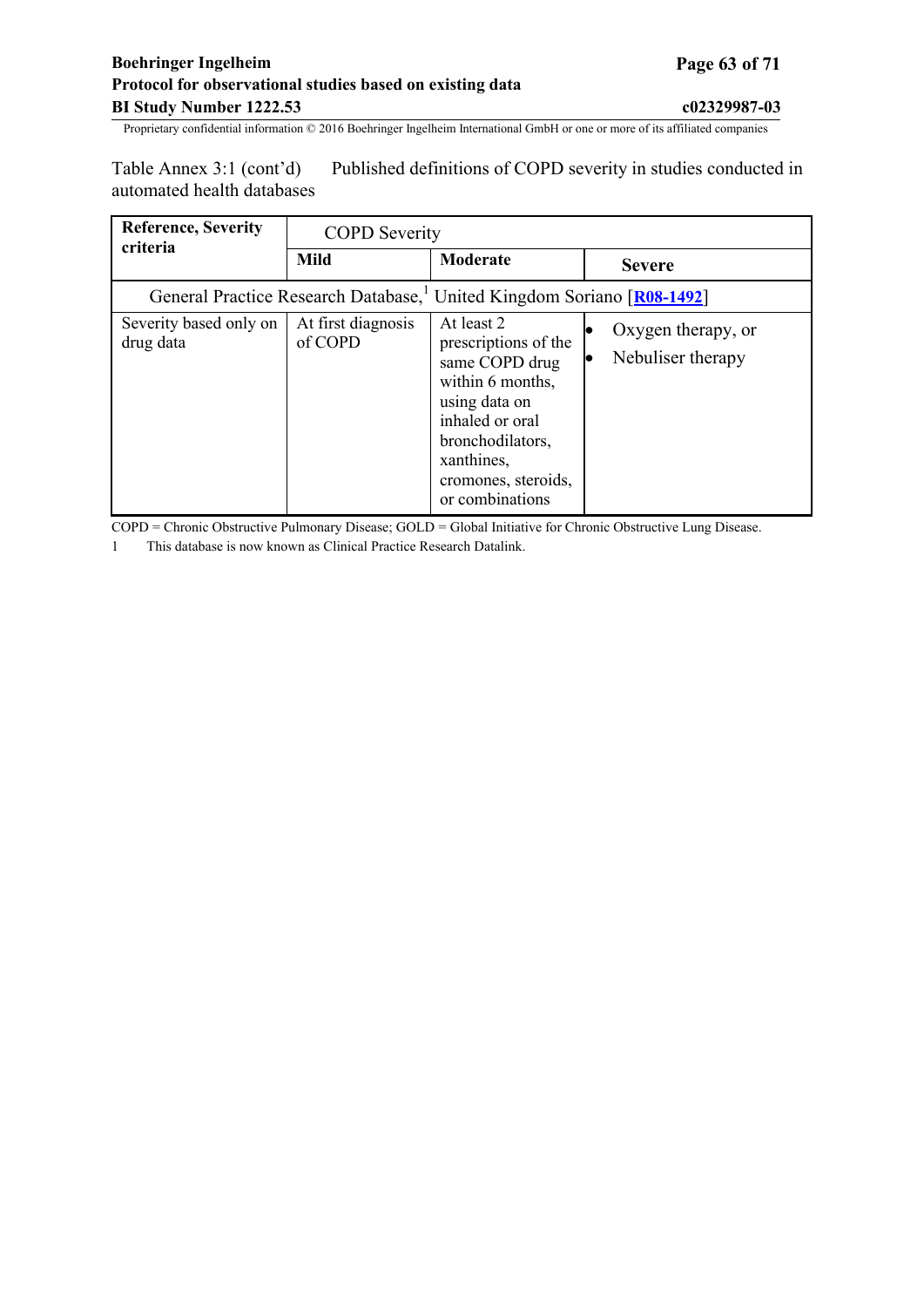Table Annex 3:1 (cont'd) Published definitions of COPD severity in studies conducted in automated health databases

| <b>Reference, Severity</b>          | <b>COPD</b> Severity          |                                                                                                                                                                                          |                                         |
|-------------------------------------|-------------------------------|------------------------------------------------------------------------------------------------------------------------------------------------------------------------------------------|-----------------------------------------|
| criteria                            | Mild                          | Moderate                                                                                                                                                                                 | <b>Severe</b>                           |
|                                     |                               | General Practice Research Database, <sup>1</sup> United Kingdom Soriano [R08-1492]                                                                                                       |                                         |
| Severity based only on<br>drug data | At first diagnosis<br>of COPD | At least 2<br>prescriptions of the<br>same COPD drug<br>within 6 months,<br>using data on<br>inhaled or oral<br>bronchodilators,<br>xanthines,<br>cromones, steroids,<br>or combinations | Oxygen therapy, or<br>Nebuliser therapy |

COPD = Chronic Obstructive Pulmonary Disease; GOLD = Global Initiative for Chronic Obstructive Lung Disease.

1 This database is now known as Clinical Practice Research Datalink.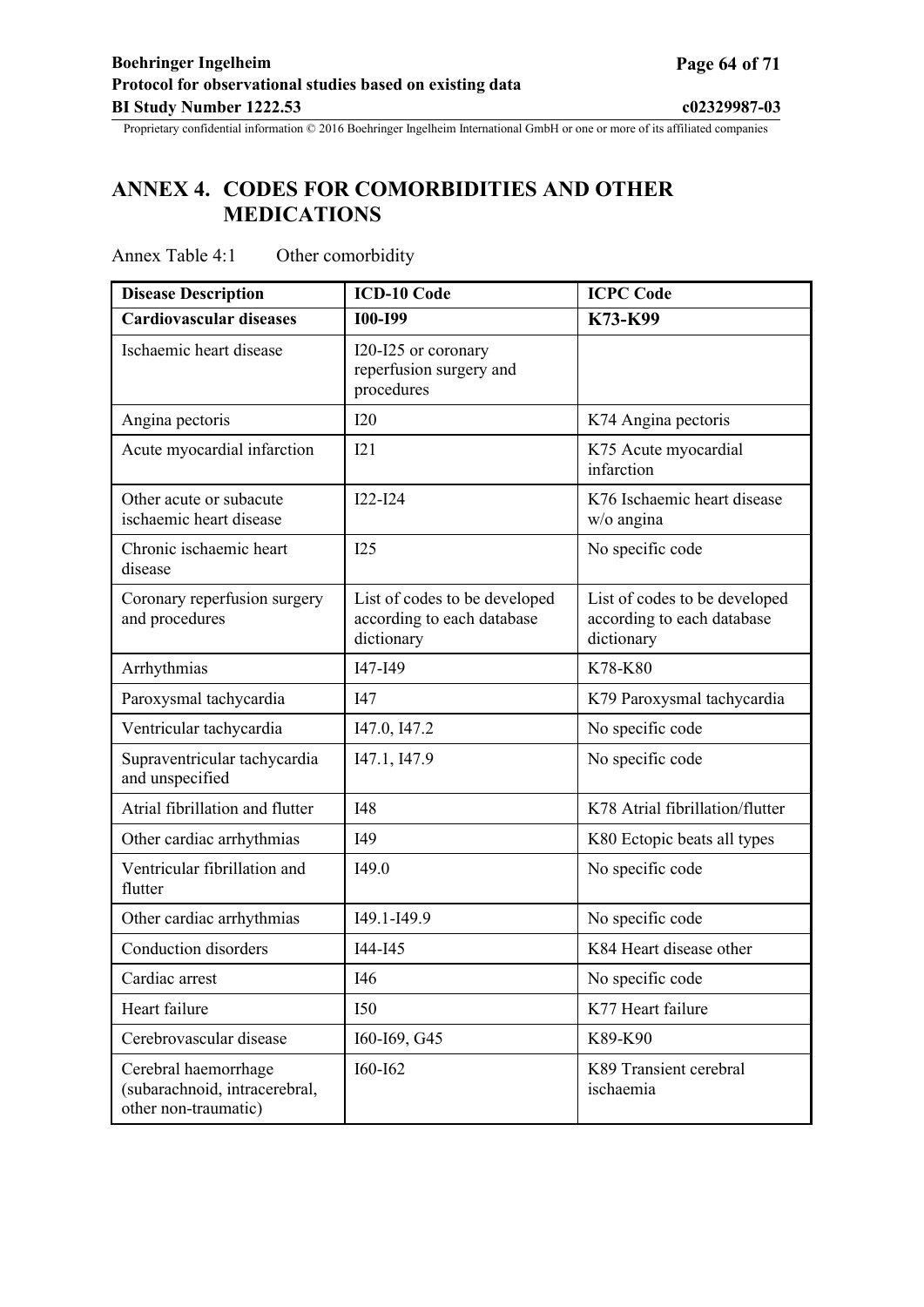# <span id="page-63-0"></span>**ANNEX 4. CODES FOR COMORBIDITIES AND OTHER MEDICATIONS**

| <b>Disease Description</b>                                                    | <b>ICD-10 Code</b>                                                        | <b>ICPC Code</b>                                                          |
|-------------------------------------------------------------------------------|---------------------------------------------------------------------------|---------------------------------------------------------------------------|
| <b>Cardiovascular diseases</b>                                                | <b>I00-I99</b>                                                            | K73-K99                                                                   |
| Ischaemic heart disease                                                       | I20-I25 or coronary<br>reperfusion surgery and<br>procedures              |                                                                           |
| Angina pectoris                                                               | I20                                                                       | K74 Angina pectoris                                                       |
| Acute myocardial infarction                                                   | I21                                                                       | K75 Acute myocardial<br>infarction                                        |
| Other acute or subacute<br>ischaemic heart disease                            | $I22-I24$                                                                 | K76 Ischaemic heart disease<br>w/o angina                                 |
| Chronic ischaemic heart<br>disease                                            | I25                                                                       | No specific code                                                          |
| Coronary reperfusion surgery<br>and procedures                                | List of codes to be developed<br>according to each database<br>dictionary | List of codes to be developed<br>according to each database<br>dictionary |
| Arrhythmias                                                                   | I47-I49                                                                   | K78-K80                                                                   |
| Paroxysmal tachycardia                                                        | I47                                                                       | K79 Paroxysmal tachycardia                                                |
| Ventricular tachycardia                                                       | I47.0, I47.2                                                              | No specific code                                                          |
| Supraventricular tachycardia<br>and unspecified                               | I47.1, I47.9                                                              | No specific code                                                          |
| Atrial fibrillation and flutter                                               | I48                                                                       | K78 Atrial fibrillation/flutter                                           |
| Other cardiac arrhythmias                                                     | I49                                                                       | K80 Ectopic beats all types                                               |
| Ventricular fibrillation and<br>flutter                                       | I49.0                                                                     | No specific code                                                          |
| Other cardiac arrhythmias                                                     | I49.1-I49.9                                                               | No specific code                                                          |
| Conduction disorders                                                          | I44-I45                                                                   | K84 Heart disease other                                                   |
| Cardiac arrest                                                                | I46                                                                       | No specific code                                                          |
| Heart failure                                                                 | <b>I50</b>                                                                | K77 Heart failure                                                         |
| Cerebrovascular disease                                                       | I60-I69, G45                                                              | K89-K90                                                                   |
| Cerebral haemorrhage<br>(subarachnoid, intracerebral,<br>other non-traumatic) | I60-I62                                                                   | K89 Transient cerebral<br>ischaemia                                       |

## Annex Table 4:1 Other comorbidity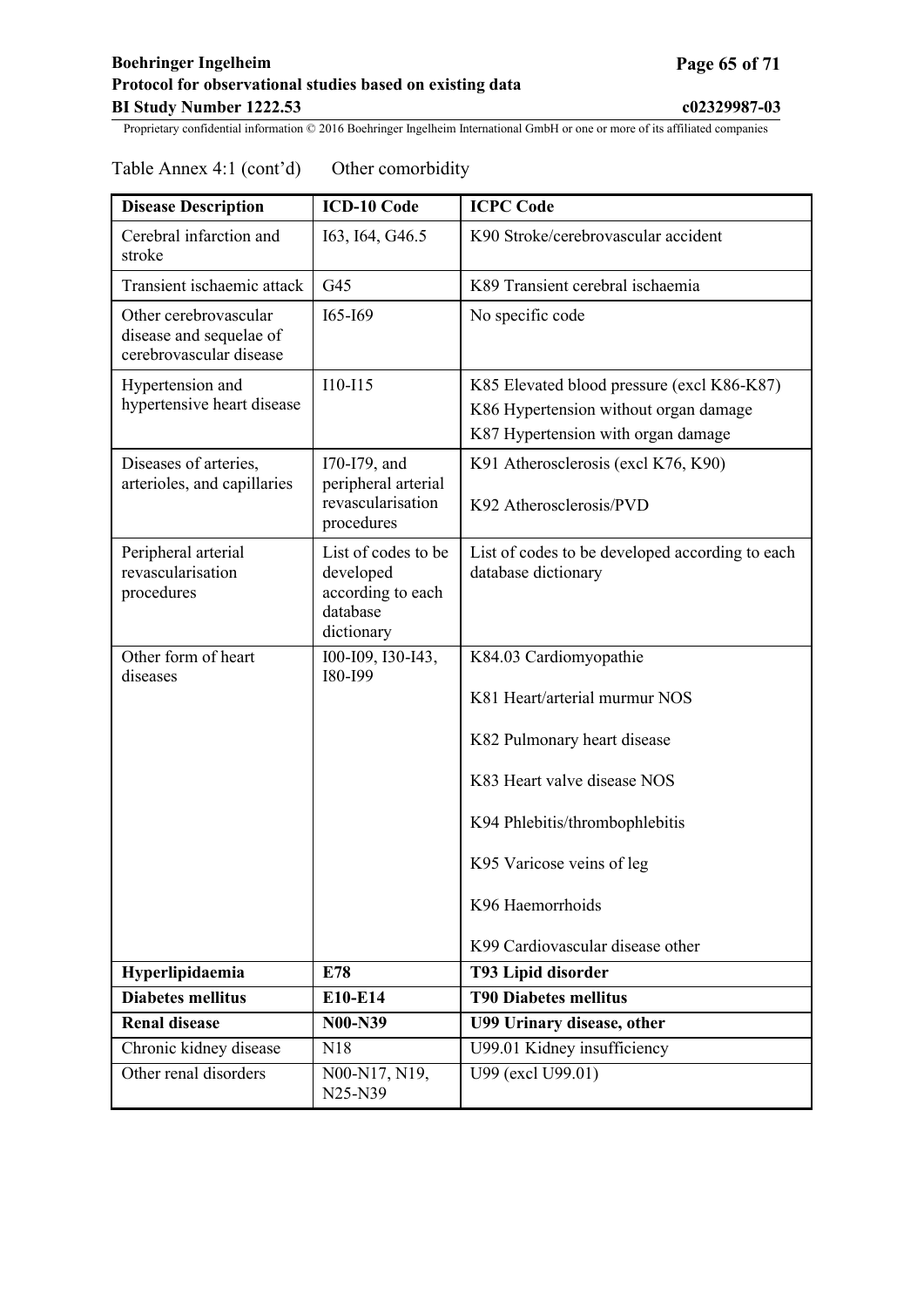# Table Annex 4:1 (cont'd) Other comorbidity

| <b>Disease Description</b>                                                  | <b>ICD-10 Code</b>                                                              | <b>ICPC Code</b>                                                                                                                                                                                                                             |
|-----------------------------------------------------------------------------|---------------------------------------------------------------------------------|----------------------------------------------------------------------------------------------------------------------------------------------------------------------------------------------------------------------------------------------|
| Cerebral infarction and<br>stroke                                           | I63, I64, G46.5                                                                 | K90 Stroke/cerebrovascular accident                                                                                                                                                                                                          |
| Transient ischaemic attack                                                  | G45                                                                             | K89 Transient cerebral ischaemia                                                                                                                                                                                                             |
| Other cerebrovascular<br>disease and sequelae of<br>cerebrovascular disease | 165-169                                                                         | No specific code                                                                                                                                                                                                                             |
| Hypertension and<br>hypertensive heart disease                              | $I10-I15$                                                                       | K85 Elevated blood pressure (excl K86-K87)<br>K86 Hypertension without organ damage<br>K87 Hypertension with organ damage                                                                                                                    |
| Diseases of arteries,<br>arterioles, and capillaries                        | I70-I79, and<br>peripheral arterial<br>revascularisation<br>procedures          | K91 Atherosclerosis (excl K76, K90)<br>K92 Atherosclerosis/PVD                                                                                                                                                                               |
| Peripheral arterial<br>revascularisation<br>procedures                      | List of codes to be<br>developed<br>according to each<br>database<br>dictionary | List of codes to be developed according to each<br>database dictionary                                                                                                                                                                       |
| Other form of heart<br>diseases                                             | 100-109, 130-143,<br>I80-I99                                                    | K84.03 Cardiomyopathie<br>K81 Heart/arterial murmur NOS<br>K82 Pulmonary heart disease<br>K83 Heart valve disease NOS<br>K94 Phlebitis/thrombophlebitis<br>K95 Varicose veins of leg<br>K96 Haemorrhoids<br>K99 Cardiovascular disease other |
| Hyperlipidaemia                                                             | E78                                                                             | T93 Lipid disorder                                                                                                                                                                                                                           |
| <b>Diabetes mellitus</b>                                                    | E10-E14                                                                         | <b>T90 Diabetes mellitus</b>                                                                                                                                                                                                                 |
| <b>Renal disease</b>                                                        | <b>N00-N39</b>                                                                  | U99 Urinary disease, other                                                                                                                                                                                                                   |
| Chronic kidney disease                                                      | N18                                                                             | U99.01 Kidney insufficiency                                                                                                                                                                                                                  |
| Other renal disorders                                                       | N00-N17, N19,<br>N25-N39                                                        | U99 (excl U99.01)                                                                                                                                                                                                                            |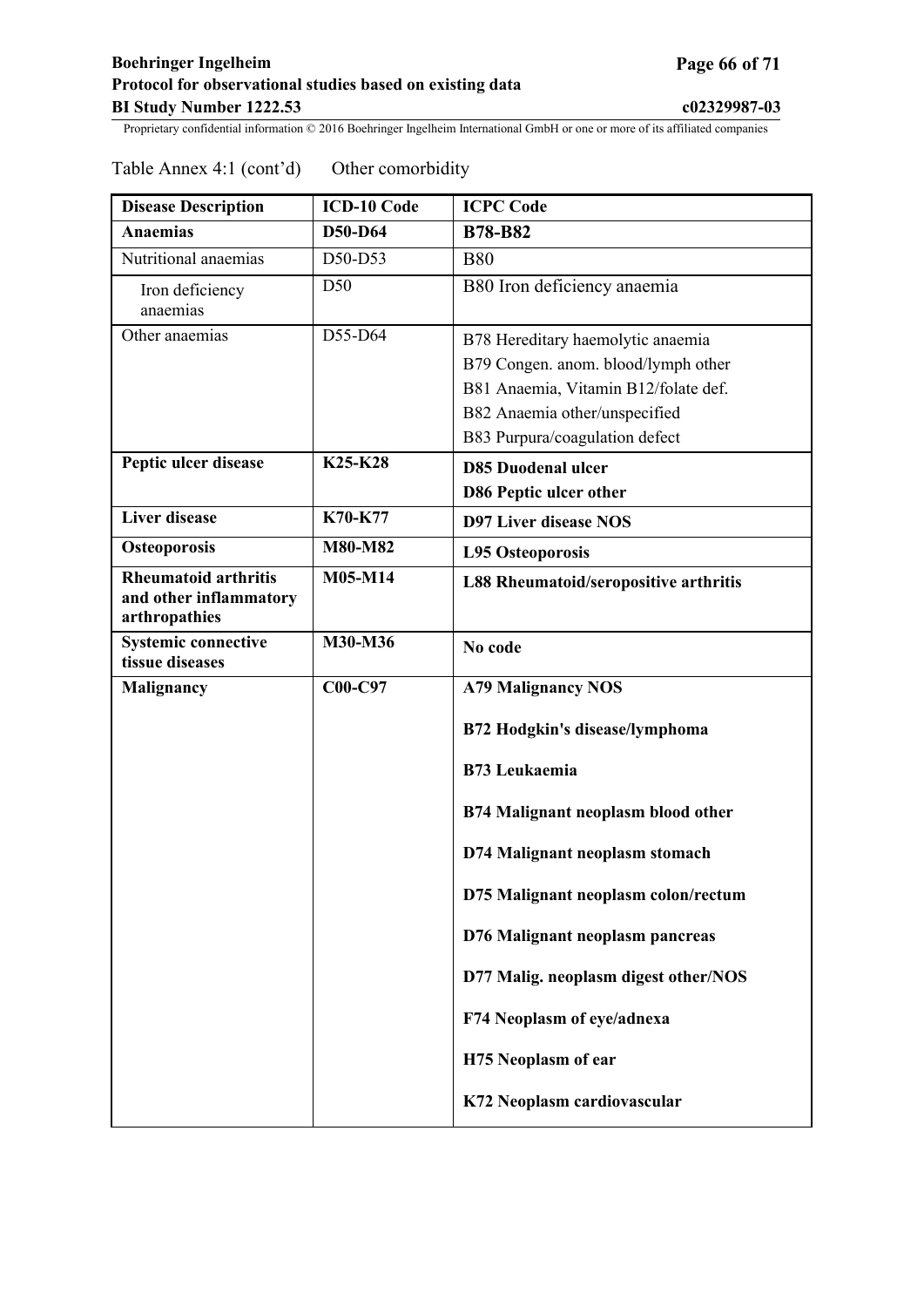| <b>Disease Description</b>                                             | <b>ICD-10 Code</b> | <b>ICPC Code</b>                             |
|------------------------------------------------------------------------|--------------------|----------------------------------------------|
| <b>Anaemias</b>                                                        | D50-D64            | <b>B78-B82</b>                               |
| Nutritional anaemias                                                   | D50-D53            | <b>B80</b>                                   |
| Iron deficiency<br>anaemias                                            | D50                | B80 Iron deficiency anaemia                  |
| Other anaemias                                                         | D55-D64            | B78 Hereditary haemolytic anaemia            |
|                                                                        |                    | B79 Congen. anom. blood/lymph other          |
|                                                                        |                    | B81 Anaemia, Vitamin B12/folate def.         |
|                                                                        |                    | B82 Anaemia other/unspecified                |
|                                                                        |                    | B83 Purpura/coagulation defect               |
| Peptic ulcer disease                                                   | K25-K28            | <b>D85 Duodenal ulcer</b>                    |
|                                                                        |                    | D86 Peptic ulcer other                       |
| <b>Liver disease</b>                                                   | K70-K77            | <b>D97 Liver disease NOS</b>                 |
| <b>Osteoporosis</b>                                                    | M80-M82            | <b>L95 Osteoporosis</b>                      |
| <b>Rheumatoid arthritis</b><br>and other inflammatory<br>arthropathies | M05-M14            | <b>L88 Rheumatoid/seropositive arthritis</b> |
| <b>Systemic connective</b><br>tissue diseases                          | M30-M36            | No code                                      |
| Malignancy                                                             | C00-C97            | <b>A79 Malignancy NOS</b>                    |
|                                                                        |                    | B72 Hodgkin's disease/lymphoma               |
|                                                                        |                    | <b>B73 Leukaemia</b>                         |
|                                                                        |                    | B74 Malignant neoplasm blood other           |
|                                                                        |                    | D74 Malignant neoplasm stomach               |
|                                                                        |                    | D75 Malignant neoplasm colon/rectum          |
|                                                                        |                    | D76 Malignant neoplasm pancreas              |
|                                                                        |                    | D77 Malig. neoplasm digest other/NOS         |
|                                                                        |                    | F74 Neoplasm of eye/adnexa                   |
|                                                                        |                    | H75 Neoplasm of ear                          |
|                                                                        |                    | K72 Neoplasm cardiovascular                  |

## Table Annex 4:1 (cont'd) Other comorbidity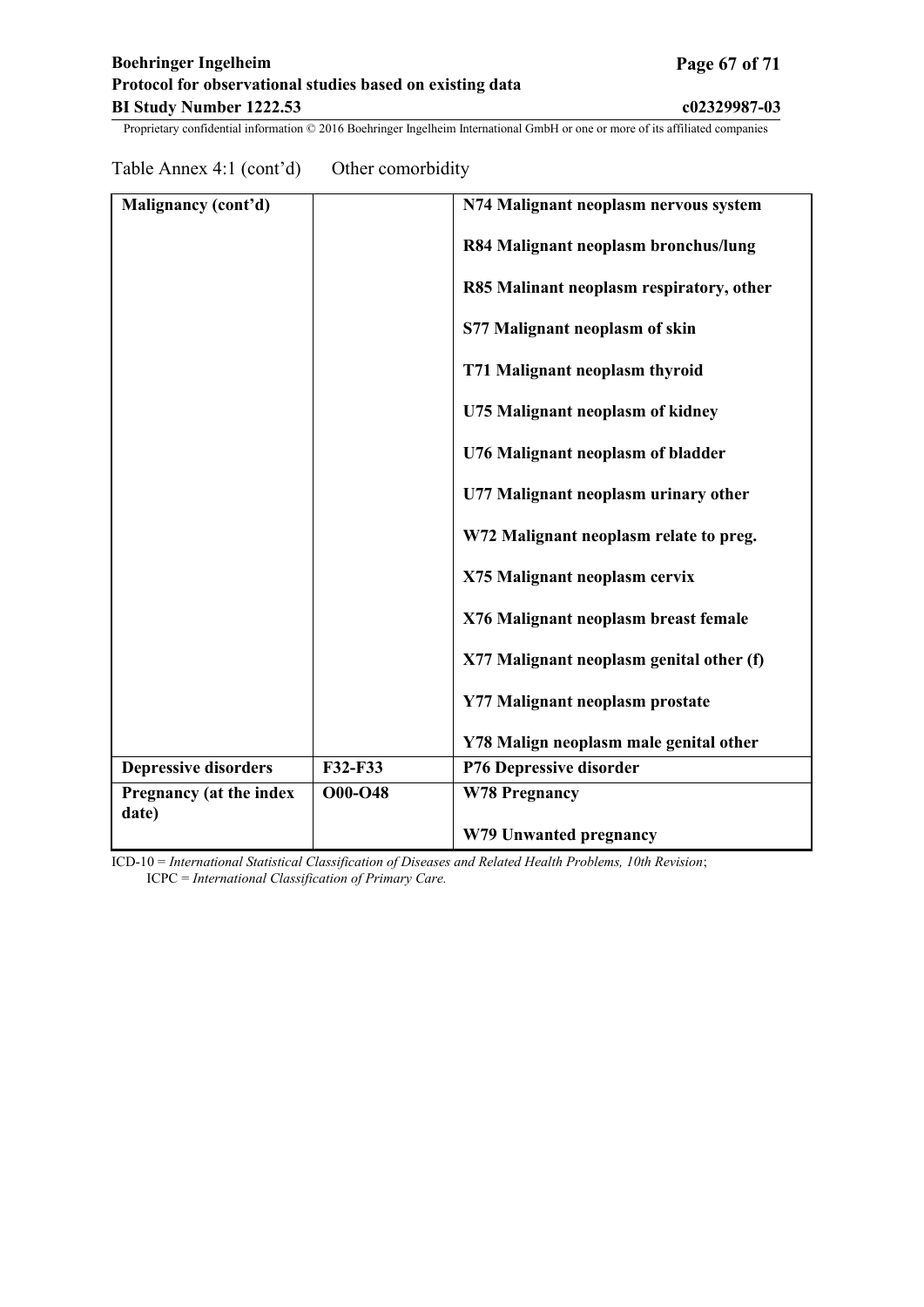Table Annex 4:1 (cont'd) Other comorbidity

| Malignancy (cont'd)            |                | N74 Malignant neoplasm nervous system    |
|--------------------------------|----------------|------------------------------------------|
|                                |                | R84 Malignant neoplasm bronchus/lung     |
|                                |                | R85 Malinant neoplasm respiratory, other |
|                                |                | S77 Malignant neoplasm of skin           |
|                                |                | T71 Malignant neoplasm thyroid           |
|                                |                | U75 Malignant neoplasm of kidney         |
|                                |                | U76 Malignant neoplasm of bladder        |
|                                |                | U77 Malignant neoplasm urinary other     |
|                                |                | W72 Malignant neoplasm relate to preg.   |
|                                |                | X75 Malignant neoplasm cervix            |
|                                |                | X76 Malignant neoplasm breast female     |
|                                |                | X77 Malignant neoplasm genital other (f) |
|                                |                | Y77 Malignant neoplasm prostate          |
|                                |                | Y78 Malign neoplasm male genital other   |
| <b>Depressive disorders</b>    | F32-F33        | P76 Depressive disorder                  |
| <b>Pregnancy (at the index</b> | <b>O00-O48</b> | <b>W78 Pregnancy</b>                     |
| date)                          |                |                                          |
|                                |                | W79 Unwanted pregnancy                   |

ICD-10 = *International Statistical Classification of Diseases and Related Health Problems, 10th Revision*; ICPC = *International Classification of Primary Care.*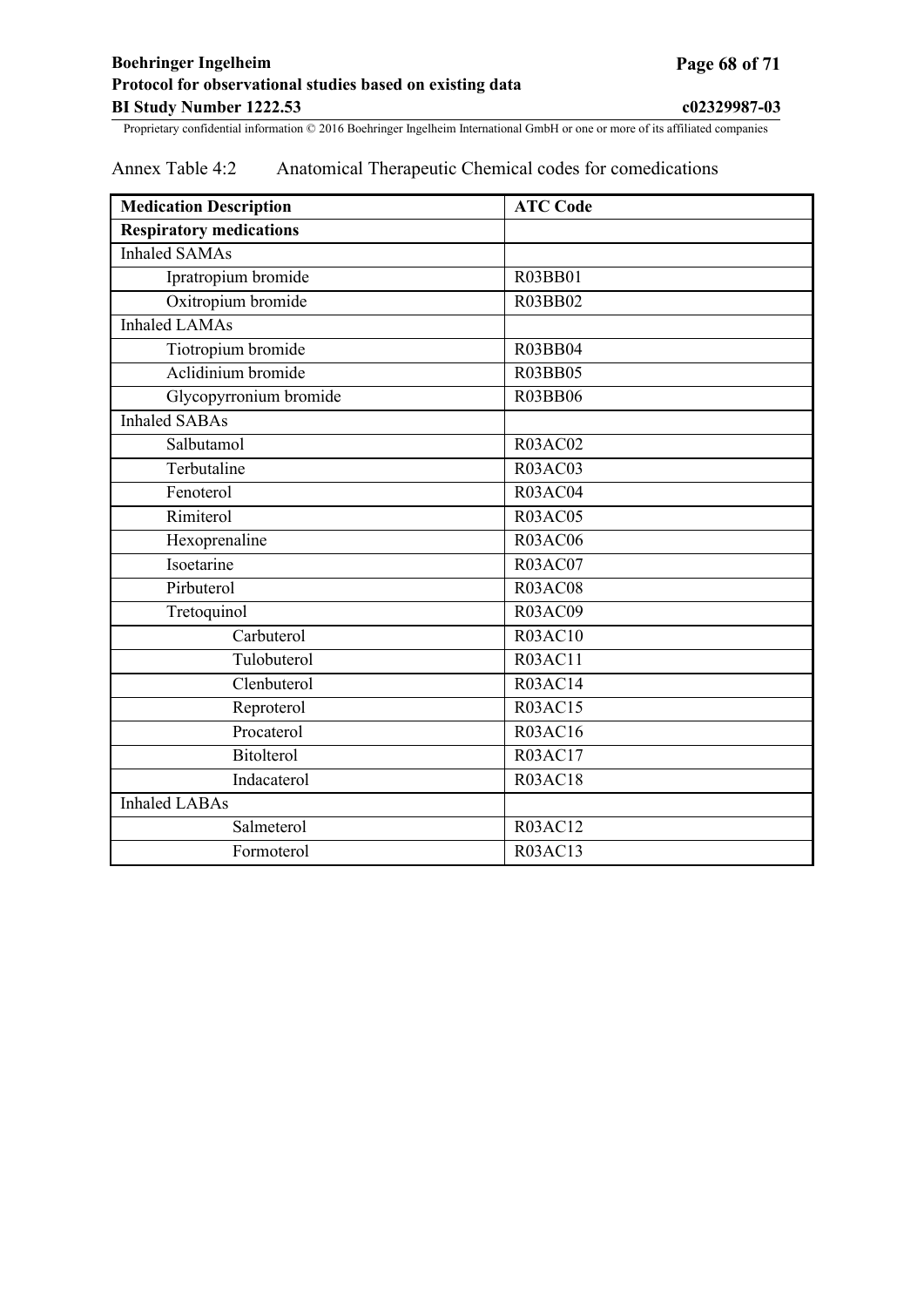## <span id="page-67-0"></span>Annex Table 4:2 Anatomical Therapeutic Chemical codes for comedications

| <b>Medication Description</b>  | <b>ATC Code</b> |
|--------------------------------|-----------------|
| <b>Respiratory medications</b> |                 |
| <b>Inhaled SAMAs</b>           |                 |
| Ipratropium bromide            | R03BB01         |
| Oxitropium bromide             | R03BB02         |
| <b>Inhaled LAMAs</b>           |                 |
| Tiotropium bromide             | R03BB04         |
| Aclidinium bromide             | <b>R03BB05</b>  |
| Glycopyrronium bromide         | <b>R03BB06</b>  |
| <b>Inhaled SABAs</b>           |                 |
| Salbutamol                     | <b>R03AC02</b>  |
| Terbutaline                    | <b>R03AC03</b>  |
| Fenoterol                      | <b>R03AC04</b>  |
| Rimiterol                      | <b>R03AC05</b>  |
| Hexoprenaline                  | <b>R03AC06</b>  |
| Isoetarine                     | R03AC07         |
| Pirbuterol                     | <b>R03AC08</b>  |
| Tretoquinol                    | <b>R03AC09</b>  |
| Carbuterol                     | <b>R03AC10</b>  |
| Tulobuterol                    | <b>R03AC11</b>  |
| Clenbuterol                    | <b>R03AC14</b>  |
| Reproterol                     | R03AC15         |
| Procaterol                     | <b>R03AC16</b>  |
| Bitolterol                     | <b>R03AC17</b>  |
| Indacaterol                    | <b>R03AC18</b>  |
| <b>Inhaled LABAs</b>           |                 |
| Salmeterol                     | <b>R03AC12</b>  |
| Formoterol                     | <b>R03AC13</b>  |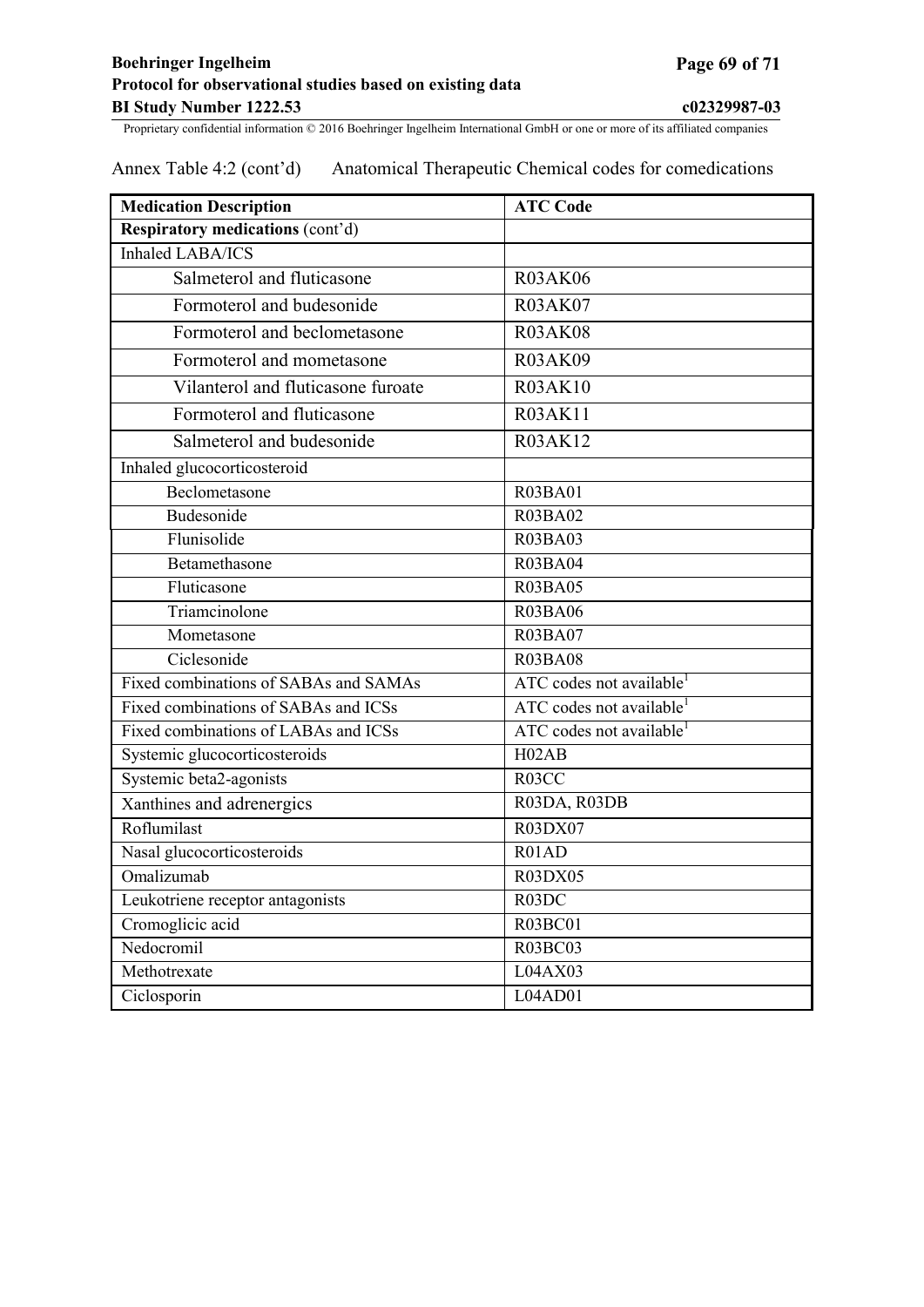## **Boehringer Ingelheim Page 69 of 71 Protocol for observational studies based on existing data BI Study Number 1222.53 c02329987-03**

| <b>Medication Description</b>         | <b>ATC Code</b>                      |  |  |  |
|---------------------------------------|--------------------------------------|--|--|--|
| Respiratory medications (cont'd)      |                                      |  |  |  |
| <b>Inhaled LABA/ICS</b>               |                                      |  |  |  |
| Salmeterol and fluticasone            | <b>R03AK06</b>                       |  |  |  |
| Formoterol and budesonide             | <b>R03AK07</b>                       |  |  |  |
| Formoterol and beclometasone          | <b>R03AK08</b>                       |  |  |  |
| Formoterol and mometasone             | <b>R03AK09</b>                       |  |  |  |
| Vilanterol and fluticasone furoate    | <b>R03AK10</b>                       |  |  |  |
| Formoterol and fluticasone            | <b>R03AK11</b>                       |  |  |  |
| Salmeterol and budesonide             | <b>R03AK12</b>                       |  |  |  |
| Inhaled glucocorticosteroid           |                                      |  |  |  |
| Beclometasone                         | <b>R03BA01</b>                       |  |  |  |
| Budesonide                            | <b>R03BA02</b>                       |  |  |  |
| Flunisolide                           | <b>R03BA03</b>                       |  |  |  |
| Betamethasone                         | <b>R03BA04</b>                       |  |  |  |
| Fluticasone                           | <b>R03BA05</b>                       |  |  |  |
| Triamcinolone                         | <b>R03BA06</b>                       |  |  |  |
| Mometasone                            | R03BA07                              |  |  |  |
| Ciclesonide                           | <b>R03BA08</b>                       |  |  |  |
| Fixed combinations of SABAs and SAMAs | ATC codes not available <sup>1</sup> |  |  |  |
| Fixed combinations of SABAs and ICSs  | ATC codes not available <sup>1</sup> |  |  |  |
| Fixed combinations of LABAs and ICSs  | ATC codes not available <sup>1</sup> |  |  |  |
| Systemic glucocorticosteroids         | H02AB                                |  |  |  |
| Systemic beta2-agonists               | R03CC                                |  |  |  |
| Xanthines and adrenergics             | R03DA, R03DB                         |  |  |  |
| Roflumilast                           | R03DX07                              |  |  |  |
| Nasal glucocorticosteroids            | R01AD                                |  |  |  |
| Omalizumab                            | <b>R03DX05</b>                       |  |  |  |
| Leukotriene receptor antagonists      | R03DC                                |  |  |  |
| Cromoglicic acid                      | R03BC01                              |  |  |  |
| Nedocromil                            | <b>R03BC03</b>                       |  |  |  |
| Methotrexate                          | L04AX03                              |  |  |  |
| Ciclosporin                           | L04AD01                              |  |  |  |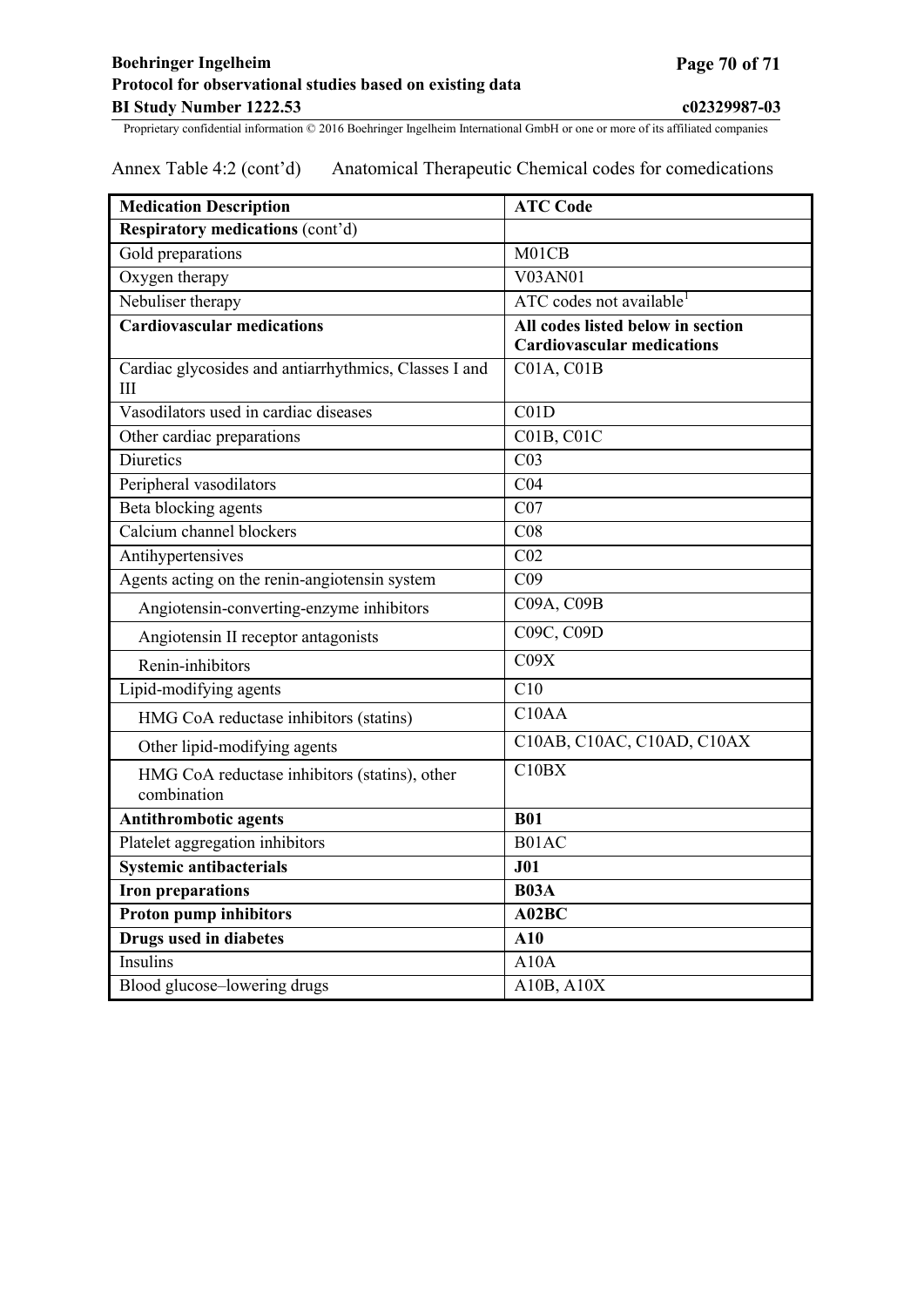| <b>Medication Description</b>                                | <b>ATC Code</b>                      |  |  |  |
|--------------------------------------------------------------|--------------------------------------|--|--|--|
| Respiratory medications (cont'd)                             |                                      |  |  |  |
| Gold preparations                                            | M01CB                                |  |  |  |
| Oxygen therapy                                               | <b>V03AN01</b>                       |  |  |  |
| Nebuliser therapy                                            | ATC codes not available <sup>1</sup> |  |  |  |
| <b>Cardiovascular medications</b>                            | All codes listed below in section    |  |  |  |
|                                                              | <b>Cardiovascular medications</b>    |  |  |  |
| Cardiac glycosides and antiarrhythmics, Classes I and<br>III | $CO1A$ , $CO1B$                      |  |  |  |
| Vasodilators used in cardiac diseases                        | $\overline{C01D}$                    |  |  |  |
| Other cardiac preparations                                   | <b>C01B, C01C</b>                    |  |  |  |
| <b>Diuretics</b>                                             | CO <sub>3</sub>                      |  |  |  |
| Peripheral vasodilators                                      | C <sub>04</sub>                      |  |  |  |
| Beta blocking agents                                         | CO7                                  |  |  |  |
| Calcium channel blockers                                     | C <sub>08</sub>                      |  |  |  |
| Antihypertensives                                            | CO <sub>2</sub>                      |  |  |  |
| Agents acting on the renin-angiotensin system                | C <sub>09</sub>                      |  |  |  |
| Angiotensin-converting-enzyme inhibitors                     | C09A, C09B                           |  |  |  |
| Angiotensin II receptor antagonists                          | C09C, C09D                           |  |  |  |
| Renin-inhibitors                                             | C09X                                 |  |  |  |
| Lipid-modifying agents                                       | C10                                  |  |  |  |
| HMG CoA reductase inhibitors (statins)                       | C <sub>10</sub> AA                   |  |  |  |
| Other lipid-modifying agents                                 | C10AB, C10AC, C10AD, C10AX           |  |  |  |
| HMG CoA reductase inhibitors (statins), other                | C10BX                                |  |  |  |
| combination                                                  |                                      |  |  |  |
| <b>Antithrombotic agents</b>                                 | <b>B01</b>                           |  |  |  |
| Platelet aggregation inhibitors                              | B01AC                                |  |  |  |
| <b>Systemic antibacterials</b>                               | J01                                  |  |  |  |
| <b>Iron preparations</b>                                     | <b>B03A</b>                          |  |  |  |
| <b>Proton pump inhibitors</b>                                | A02BC                                |  |  |  |
| <b>Drugs used in diabetes</b>                                | A10                                  |  |  |  |
| <b>Insulins</b>                                              | A10A                                 |  |  |  |
| Blood glucose-lowering drugs                                 | A10B, A10X                           |  |  |  |